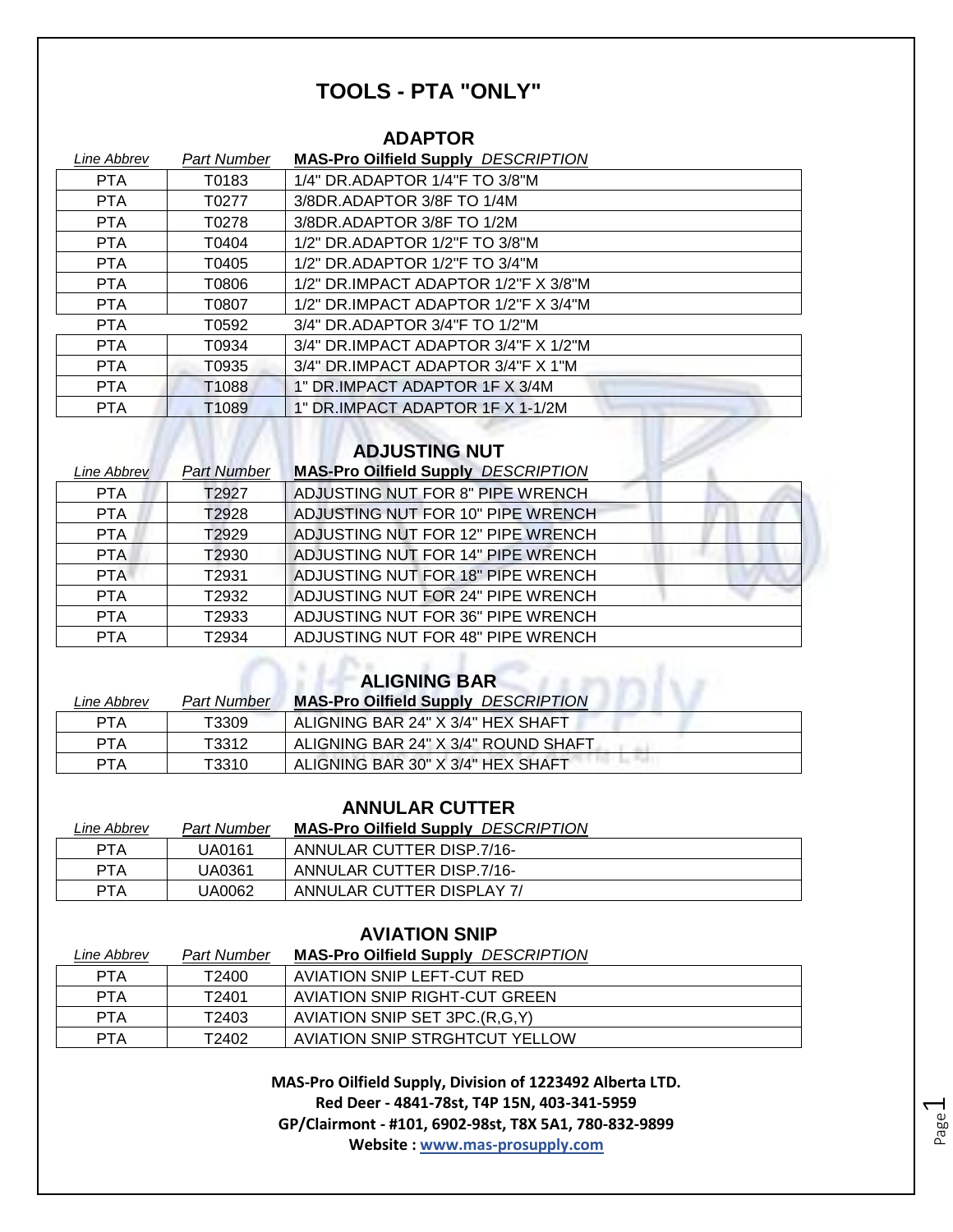# **TOOLS - PTA "ONLY"**

#### **ADAPTOR**

| Line Abbrev | <b>Part Number</b> | <b>MAS-Pro Oilfield Supply DESCRIPTION</b>    |
|-------------|--------------------|-----------------------------------------------|
| <b>PTA</b>  | T0183              | 1/4" DR.ADAPTOR 1/4"F TO 3/8"M                |
| <b>PTA</b>  | T0277              | 3/8DR.ADAPTOR 3/8F TO 1/4M                    |
| PTA         | T0278              | 3/8DR.ADAPTOR 3/8F TO 1/2M                    |
| <b>PTA</b>  | T0404              | 1/2" DR.ADAPTOR 1/2"F TO 3/8"M                |
| <b>PTA</b>  | T0405              | 1/2" DR.ADAPTOR 1/2"F TO 3/4"M                |
| <b>PTA</b>  | T0806              | 1/2" DR.IMPACT ADAPTOR 1/2"F X 3/8"M          |
| <b>PTA</b>  | T0807              | $1/2$ " DR.IMPACT ADAPTOR $1/2$ "F X $3/4$ "M |
| <b>PTA</b>  | T0592              | 3/4" DR.ADAPTOR 3/4"F TO 1/2"M                |
| PTA         | T0934              | $3/4"$ DR.IMPACT ADAPTOR $3/4"$ F X $1/2"$ M  |
| <b>PTA</b>  | T0935              | 3/4" DR.IMPACT ADAPTOR 3/4"F X 1"M            |
| <b>PTA</b>  | T1088              | 1" DR.IMPACT ADAPTOR 1F X 3/4M                |
| <b>PTA</b>  | T1089              | 1" DR.IMPACT ADAPTOR 1F X 1-1/2M              |

# **ADJUSTING NUT**

| Line Abbrev | <b>Part Number</b> | <b>MAS-Pro Oilfield Supply DESCRIPTION</b> |
|-------------|--------------------|--------------------------------------------|
| <b>PTA</b>  | T2927              | ADJUSTING NUT FOR 8" PIPE WRENCH           |
| <b>PTA</b>  | T2928              | ADJUSTING NUT FOR 10" PIPE WRENCH          |
| <b>PTA</b>  | T2929              | ADJUSTING NUT FOR 12" PIPE WRENCH          |
| PTA.        | T2930              | ADJUSTING NUT FOR 14" PIPE WRENCH          |
| <b>PTA</b>  | T2931              | ADJUSTING NUT FOR 18" PIPE WRENCH          |
| <b>PTA</b>  | T2932              | ADJUSTING NUT FOR 24" PIPE WRENCH          |
| <b>PTA</b>  | T2933              | ADJUSTING NUT FOR 36" PIPE WRENCH          |
| <b>PTA</b>  | T2934              | ADJUSTING NUT FOR 48" PIPE WRENCH          |

# **ALIGNING BAR**

| Line Abbrev | <b>Part Number</b> | <b>MAS-Pro Oilfield Supply DESCRIPTION</b> |
|-------------|--------------------|--------------------------------------------|
| PTA         | T3309              | ALIGNING BAR 24" X 3/4" HEX SHAFT          |
| PTA         | T3312              | ALIGNING BAR 24" X 3/4" ROUND SHAFT        |
| <b>PTA</b>  | T3310              | ALIGNING BAR 30" X 3/4" HEX SHAFT          |

#### **ANNULAR CUTTER**

| Line Abbrev | Part Number | <b>MAS-Pro Oilfield Supply DESCRIPTION</b> |
|-------------|-------------|--------------------------------------------|
| PTA         | UA0161      | ANNULAR CUTTER DISP.7/16-                  |
| PTA         | UA0361      | ANNULAR CUTTER DISP.7/16-                  |
| PTA         | UA0062      | ANNULAR CUTTER DISPLAY 7/                  |

#### **AVIATION SNIP**

| Line Abbrev | <b>Part Number</b> | <b>MAS-Pro Oilfield Supply DESCRIPTION</b> |
|-------------|--------------------|--------------------------------------------|
| <b>PTA</b>  | T2400              | AVIATION SNIP LEFT-CUT RED                 |
| PTA         | T <sub>2401</sub>  | <b>AVIATION SNIP RIGHT-CUT GREEN</b>       |
| <b>PTA</b>  | T2403              | AVIATION SNIP SET 3PC.(R,G,Y)              |
| PTA         | T2402              | AVIATION SNIP STRGHTCUT YELLOW             |

**MAS-Pro Oilfield Supply, Division of 1223492 Alberta LTD. Red Deer - 4841-78st, T4P 15N, 403-341-5959 GP/Clairmont - #101, 6902-98st, T8X 5A1, 780-832-9899 Website : www.mas-prosupply.com**

Page  $\overline{\phantom{0}}$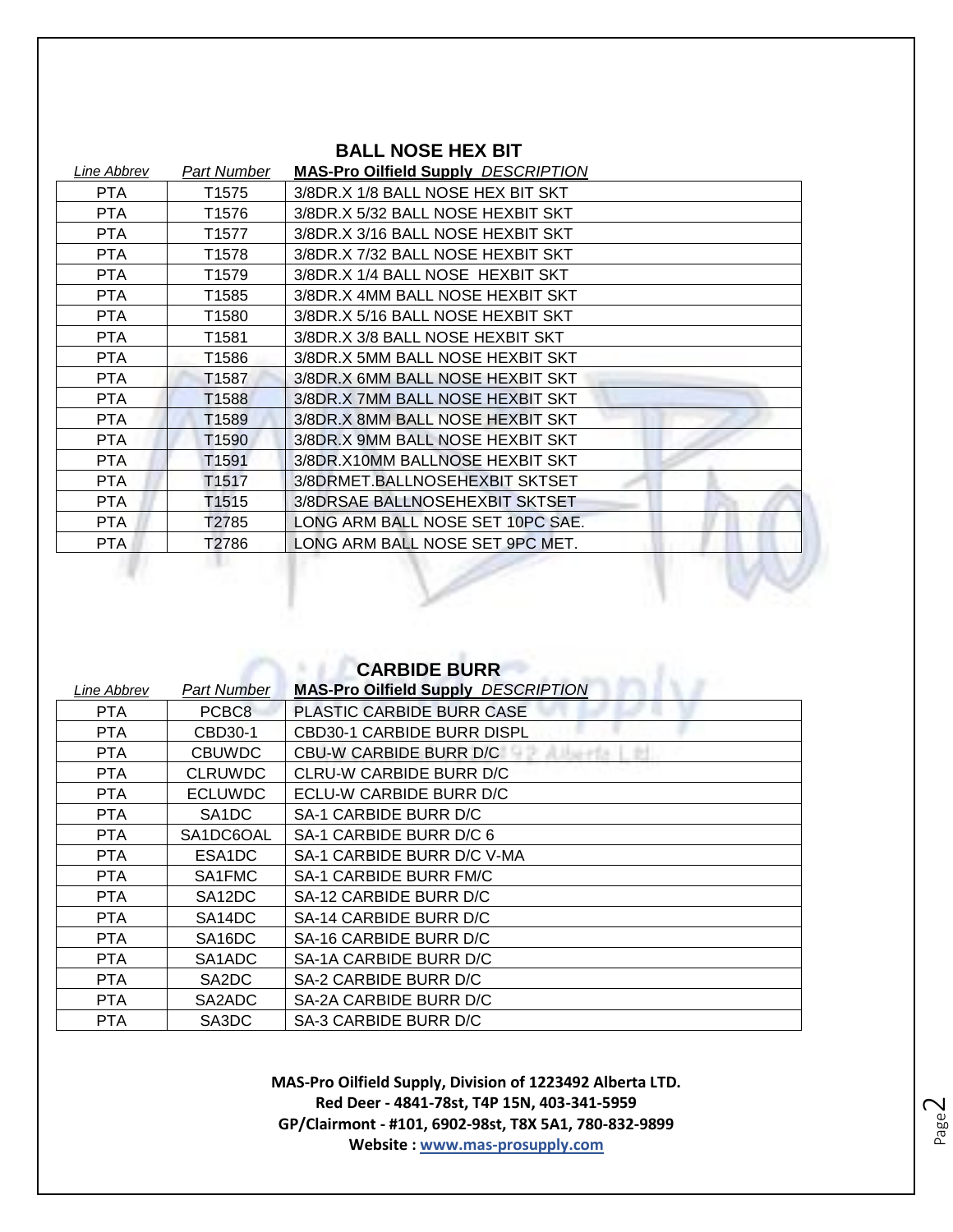| <b>BALL NOSE HEX BIT</b> |                   |                                            |
|--------------------------|-------------------|--------------------------------------------|
| Line Abbrev              | Part Number       | <b>MAS-Pro Oilfield Supply DESCRIPTION</b> |
| PTA                      | T <sub>1575</sub> | 3/8DR.X 1/8 BALL NOSE HEX BIT SKT          |
| <b>PTA</b>               | T1576             | 3/8DR.X 5/32 BALL NOSE HEXBIT SKT          |
| <b>PTA</b>               | T1577             | 3/8DR.X 3/16 BALL NOSE HEXBIT SKT          |
| <b>PTA</b>               | T1578             | 3/8DR.X 7/32 BALL NOSE HEXBIT SKT          |
| <b>PTA</b>               | T1579             | 3/8DR.X 1/4 BALL NOSE HEXBIT SKT           |
| <b>PTA</b>               | T1585             | 3/8DR.X 4MM BALL NOSE HEXBIT SKT           |
| <b>PTA</b>               | T1580             | 3/8DR.X 5/16 BALL NOSE HEXBIT SKT          |
| PTA                      | T1581             | 3/8DR.X 3/8 BALL NOSE HEXBIT SKT           |
| <b>PTA</b>               | T1586             | 3/8DR.X 5MM BALL NOSE HEXBIT SKT           |
| <b>PTA</b>               | T <sub>1587</sub> | 3/8DR.X 6MM BALL NOSE HEXBIT SKT           |
| <b>PTA</b>               | T1588             | 3/8DR.X 7MM BALL NOSE HEXBIT SKT           |
| <b>PTA</b>               | T1589             | 3/8DR.X 8MM BALL NOSE HEXBIT SKT           |
| PTA.                     | T <sub>1590</sub> | 3/8DR.X 9MM BALL NOSE HEXBIT SKT           |
| <b>PTA</b>               | T1591             | 3/8DR.X10MM BALLNOSE HEXBIT SKT            |
| <b>PTA</b>               | T <sub>1517</sub> | 3/8DRMET.BALLNOSEHEXBIT SKTSET             |
| <b>PTA</b>               | T1515             | 3/8DRSAE BALLNOSEHEXBIT SKTSET             |
| <b>PTA</b>               | T2785             | LONG ARM BALL NOSE SET 10PC SAE.           |
| <b>PTA</b>               | T2786             | LONG ARM BALL NOSE SET 9PC MET.            |

w

|             |                                 | <b>CARBIDE BURR</b>                        |
|-------------|---------------------------------|--------------------------------------------|
| Line Abbrev | Part Number                     | <b>MAS-Pro Oilfield Supply DESCRIPTION</b> |
| <b>PTA</b>  | PCBC8                           | <b>PLASTIC CARBIDE BURR CASE</b>           |
| <b>PTA</b>  | CBD30-1                         | <b>CBD30-1 CARBIDE BURR DISPL</b>          |
| <b>PTA</b>  | <b>CBUWDC</b>                   | <b>CBU-W CARBIDE BURR D/C</b>              |
| <b>PTA</b>  | <b>CLRUWDC</b>                  | CLRU-W CARBIDE BURR D/C                    |
| <b>PTA</b>  | <b>ECLUWDC</b>                  | ECLU-W CARBIDE BURR D/C                    |
| <b>PTA</b>  | SA <sub>1</sub> DC              | SA-1 CARBIDE BURR D/C                      |
| PTA.        | SA1DC6OAL                       | SA-1 CARBIDE BURR D/C 6                    |
| <b>PTA</b>  | ESA <sub>1</sub> DC             | SA-1 CARBIDE BURR D/C V-MA                 |
| <b>PTA</b>  | SA1FMC                          | SA-1 CARBIDE BURR FM/C                     |
| PTA         | SA <sub>12</sub> DC             | SA-12 CARBIDE BURR D/C                     |
| <b>PTA</b>  | SA <sub>14</sub> DC             | SA-14 CARBIDE BURR D/C                     |
| <b>PTA</b>  | SA <sub>16</sub> DC             | SA-16 CARBIDE BURR D/C                     |
| <b>PTA</b>  | SA <sub>1</sub> AD <sub>C</sub> | SA-1A CARBIDE BURR D/C                     |
| <b>PTA</b>  | SA2DC                           | SA-2 CARBIDE BURR D/C                      |
| <b>PTA</b>  | SA2ADC                          | SA-2A CARBIDE BURR D/C                     |
| <b>PTA</b>  | SA3DC                           | SA-3 CARBIDE BURR D/C                      |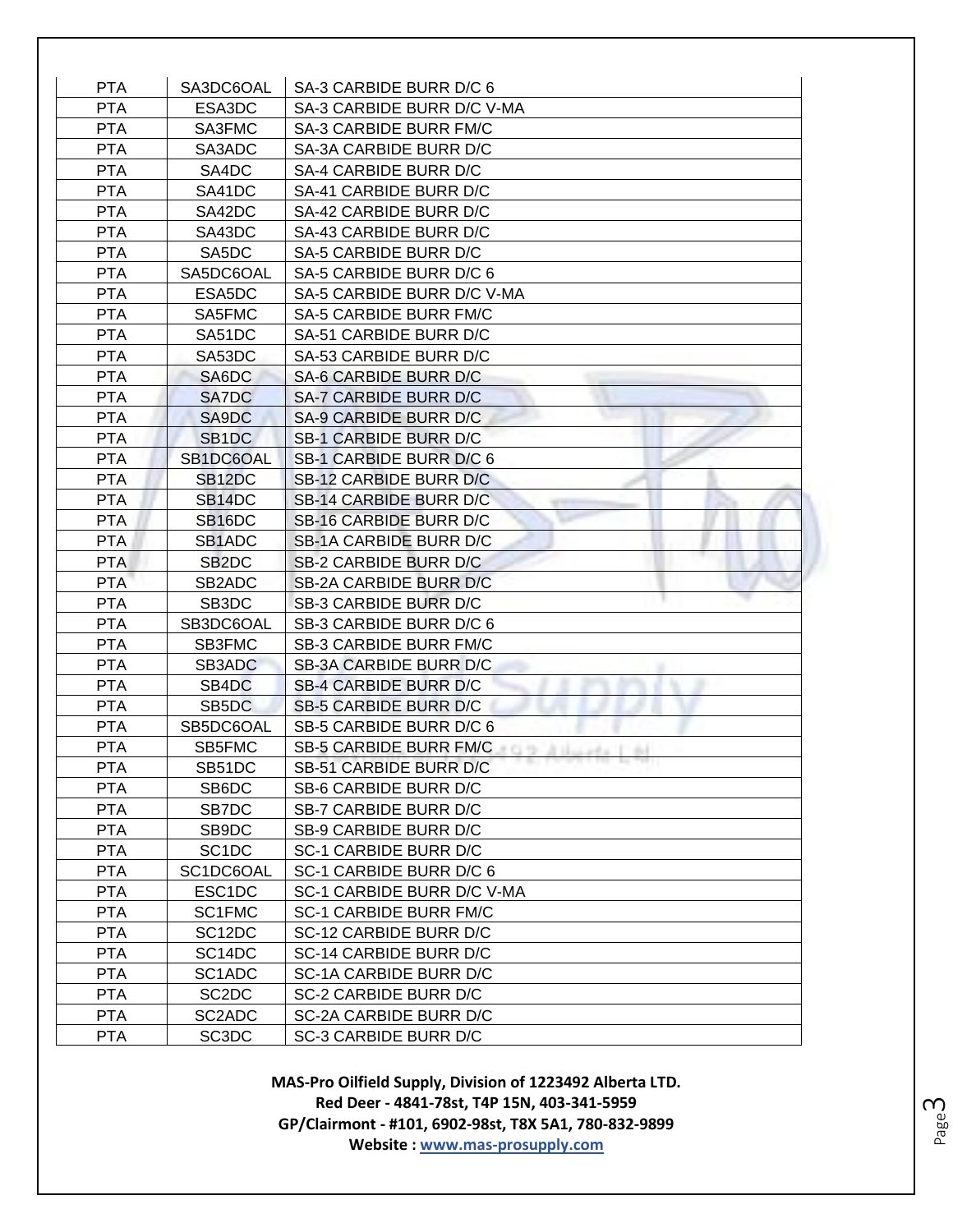| <b>PTA</b> | SA3DC6OAL                       | SA-3 CARBIDE BURR D/C 6                                                                              |
|------------|---------------------------------|------------------------------------------------------------------------------------------------------|
| <b>PTA</b> | ESA3DC                          | SA-3 CARBIDE BURR D/C V-MA                                                                           |
| <b>PTA</b> | SA3FMC                          | <b>SA-3 CARBIDE BURR FM/C</b>                                                                        |
| <b>PTA</b> | SA3ADC                          | SA-3A CARBIDE BURR D/C                                                                               |
| <b>PTA</b> | SA4DC                           | SA-4 CARBIDE BURR D/C                                                                                |
| <b>PTA</b> | SA41DC                          | SA-41 CARBIDE BURR D/C                                                                               |
| <b>PTA</b> | SA42DC                          | SA-42 CARBIDE BURR D/C                                                                               |
| <b>PTA</b> | SA43DC                          | SA-43 CARBIDE BURR D/C                                                                               |
| <b>PTA</b> | SA5DC                           | SA-5 CARBIDE BURR D/C                                                                                |
| <b>PTA</b> | SA5DC6OAL                       | SA-5 CARBIDE BURR D/C 6                                                                              |
| <b>PTA</b> | ESA5DC                          | SA-5 CARBIDE BURR D/C V-MA                                                                           |
| <b>PTA</b> | SA5FMC                          | <b>SA-5 CARBIDE BURR FM/C</b>                                                                        |
| <b>PTA</b> | SA51DC                          | SA-51 CARBIDE BURR D/C                                                                               |
| <b>PTA</b> | SA53DC                          | SA-53 CARBIDE BURR D/C                                                                               |
| <b>PTA</b> | SA6DC                           | SA-6 CARBIDE BURR D/C                                                                                |
| <b>PTA</b> | SA7DC                           | SA-7 CARBIDE BURR D/C                                                                                |
| <b>PTA</b> | SA9DC                           | SA-9 CARBIDE BURR D/C                                                                                |
| <b>PTA</b> | SB <sub>1</sub> DC              | SB-1 CARBIDE BURR D/C                                                                                |
| <b>PTA</b> | SB1DC6OAL                       | SB-1 CARBIDE BURR D/C 6                                                                              |
| <b>PTA</b> | SB <sub>12</sub> DC             | SB-12 CARBIDE BURR D/C                                                                               |
| <b>PTA</b> | SB14DC                          | <b>SB-14 CARBIDE BURR D/C</b>                                                                        |
| <b>PTA</b> | SB <sub>16</sub> DC             | SB-16 CARBIDE BURR D/C                                                                               |
| <b>PTA</b> | SB <sub>1</sub> ADC             | SB-1A CARBIDE BURR D/C                                                                               |
| <b>PTA</b> | SB <sub>2</sub> D <sub>C</sub>  | <b>SB-2 CARBIDE BURR D/C</b>                                                                         |
| <b>PTA</b> | SB <sub>2</sub> ADC             | SB-2A CARBIDE BURR D/C                                                                               |
| <b>PTA</b> | SB <sub>3</sub> DC              | SB-3 CARBIDE BURR D/C                                                                                |
| <b>PTA</b> | SB3DC6OAL                       | SB-3 CARBIDE BURR D/C 6                                                                              |
| <b>PTA</b> | SB3FMC                          | <b>SB-3 CARBIDE BURR FM/C</b>                                                                        |
| <b>PTA</b> | SB3ADC                          | SB-3A CARBIDE BURR D/C                                                                               |
| <b>PTA</b> | SB4DC                           | SB-4 CARBIDE BURR D/C                                                                                |
| <b>PTA</b> | SB5DC                           | SB-5 CARBIDE BURR D/C                                                                                |
| <b>PTA</b> | SB5DC6OAL                       | SB-5 CARBIDE BURR D/C 6                                                                              |
| <b>PTA</b> | SB5FMC                          | SB-5 CARBIDE BURR FM/C CONTROLL CONTROLL CONTROLL CONTROLL CONTROLL CONTROLL CONTROLL CONTROLL CONTR |
| PTA        | SB51DC                          | SB-51 CARBIDE BURR D/C                                                                               |
| <b>PTA</b> | SB6DC                           | SB-6 CARBIDE BURR D/C                                                                                |
| <b>PTA</b> | SB7DC                           | SB-7 CARBIDE BURR D/C                                                                                |
| <b>PTA</b> | SB9DC                           | SB-9 CARBIDE BURR D/C                                                                                |
| <b>PTA</b> | SC <sub>1</sub> DC              | SC-1 CARBIDE BURR D/C                                                                                |
| <b>PTA</b> | SC1DC6OAL                       | SC-1 CARBIDE BURR D/C 6                                                                              |
| <b>PTA</b> | ESC1DC                          | SC-1 CARBIDE BURR D/C V-MA                                                                           |
| <b>PTA</b> | SC1FMC                          | <b>SC-1 CARBIDE BURR FM/C</b>                                                                        |
| <b>PTA</b> | SC <sub>12</sub> D <sub>C</sub> | SC-12 CARBIDE BURR D/C                                                                               |
| <b>PTA</b> | SC <sub>14</sub> D <sub>C</sub> | SC-14 CARBIDE BURR D/C                                                                               |
| <b>PTA</b> | SC1ADC                          | SC-1A CARBIDE BURR D/C                                                                               |
| <b>PTA</b> | SC <sub>2</sub> D <sub>C</sub>  | SC-2 CARBIDE BURR D/C                                                                                |
| <b>PTA</b> | SC2ADC                          | SC-2A CARBIDE BURR D/C                                                                               |
| <b>PTA</b> | SC <sub>3</sub> DC              | SC-3 CARBIDE BURR D/C                                                                                |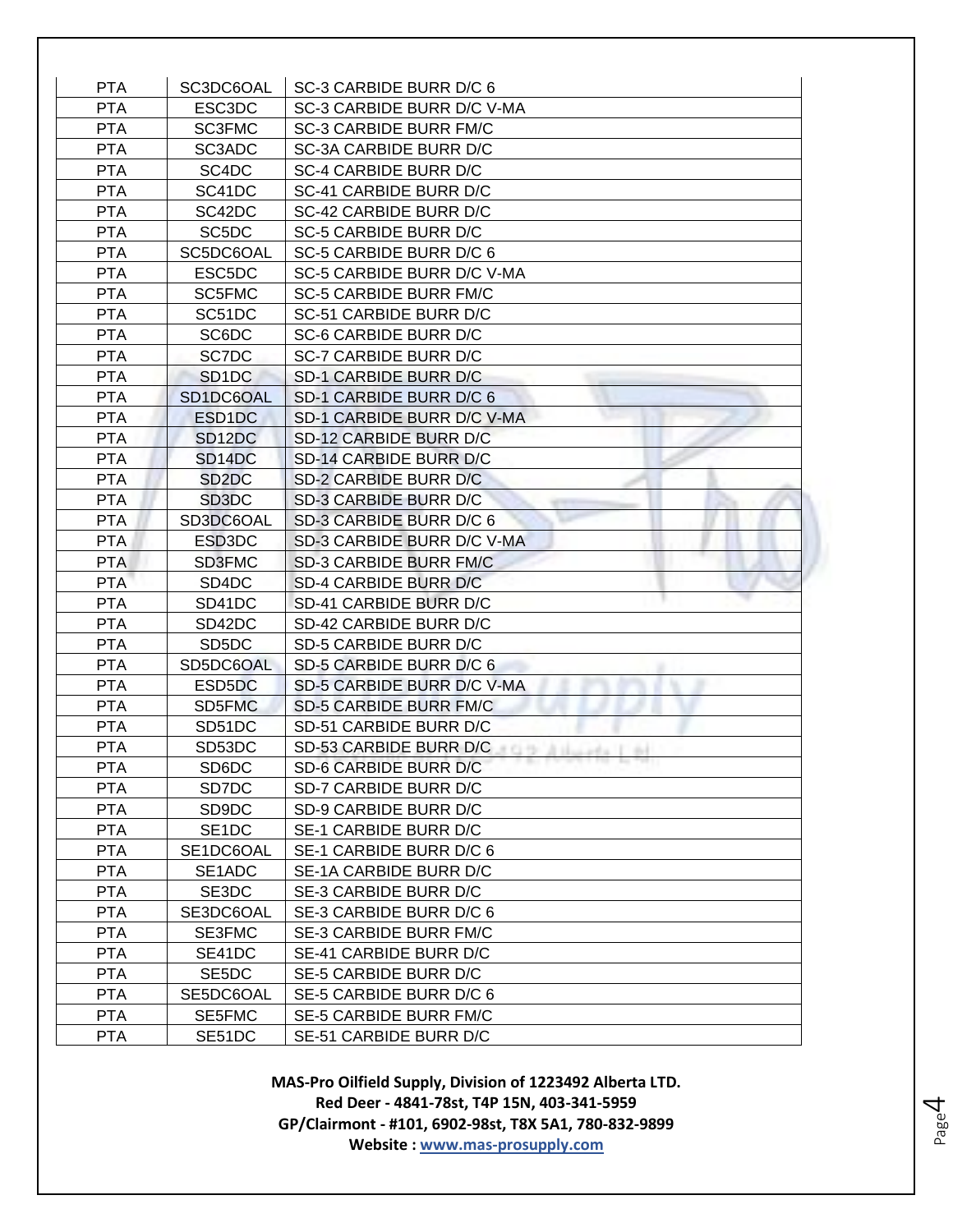| <b>PTA</b>               | SC3DC6OAL                       | SC-3 CARBIDE BURR D/C 6                          |
|--------------------------|---------------------------------|--------------------------------------------------|
| <b>PTA</b>               | ESC3DC                          | SC-3 CARBIDE BURR D/C V-MA                       |
| <b>PTA</b>               | <b>SC3FMC</b>                   | <b>SC-3 CARBIDE BURR FM/C</b>                    |
| <b>PTA</b>               | SC3ADC                          | SC-3A CARBIDE BURR D/C                           |
| <b>PTA</b>               | SC4DC                           | SC-4 CARBIDE BURR D/C                            |
| <b>PTA</b>               | SC41DC                          | SC-41 CARBIDE BURR D/C                           |
| <b>PTA</b>               | SC42DC                          | SC-42 CARBIDE BURR D/C                           |
| <b>PTA</b>               | SC <sub>5</sub> D <sub>C</sub>  | <b>SC-5 CARBIDE BURR D/C</b>                     |
| <b>PTA</b>               | SC5DC6OAL                       | SC-5 CARBIDE BURR D/C 6                          |
| <b>PTA</b>               | ESC5DC                          | SC-5 CARBIDE BURR D/C V-MA                       |
| <b>PTA</b>               | SC5FMC                          | <b>SC-5 CARBIDE BURR FM/C</b>                    |
| <b>PTA</b>               | SC51DC                          | SC-51 CARBIDE BURR D/C                           |
| <b>PTA</b>               | SC6DC                           | SC-6 CARBIDE BURR D/C                            |
| <b>PTA</b>               | SC7DC                           | <b>SC-7 CARBIDE BURR D/C</b>                     |
| <b>PTA</b>               | SD <sub>1</sub> D <sub>C</sub>  | <b>SD-1 CARBIDE BURR D/C</b>                     |
| <b>PTA</b>               | SD1DC6OAL                       | SD-1 CARBIDE BURR D/C 6                          |
| <b>PTA</b>               | ESD <sub>1</sub> DC             | SD-1 CARBIDE BURR D/C V-MA                       |
| <b>PTA</b>               | SD <sub>12</sub> D <sub>C</sub> | SD-12 CARBIDE BURR D/C                           |
| <b>PTA</b>               | SD <sub>14</sub> DC             | SD-14 CARBIDE BURR D/C                           |
| <b>PTA</b>               | SD <sub>2</sub> D <sub>C</sub>  | SD-2 CARBIDE BURR D/C                            |
| <b>PTA</b>               | SD <sub>3</sub> D <sub>C</sub>  | SD-3 CARBIDE BURR D/C                            |
| <b>PTA</b>               | SD3DC6OAL                       | SD-3 CARBIDE BURR D/C 6                          |
| <b>PTA</b>               | ESD3DC                          | SD-3 CARBIDE BURR D/C V-MA                       |
| <b>PTA</b>               | SD3FMC                          | <b>SD-3 CARBIDE BURR FM/C</b>                    |
| <b>PTA</b>               | SD4DC                           | SD-4 CARBIDE BURR D/C                            |
| <b>PTA</b>               | SD41DC                          | SD-41 CARBIDE BURR D/C                           |
| <b>PTA</b>               | SD42DC                          | SD-42 CARBIDE BURR D/C                           |
| <b>PTA</b>               | SD <sub>5</sub> D <sub>C</sub>  | SD-5 CARBIDE BURR D/C                            |
| <b>PTA</b>               | SD5DC6OAL                       | SD-5 CARBIDE BURR D/C 6                          |
| <b>PTA</b>               | ESD5DC                          | SD-5 CARBIDE BURR D/C V-MA                       |
| <b>PTA</b>               | SD5FMC                          | <b>SD-5 CARBIDE BURR FM/C</b>                    |
| <b>PTA</b>               | SD51DC                          | SD-51 CARBIDE BURR D/C                           |
| <b>PTA</b>               | SD53DC                          | SD-53 CARBIDE BURR D/C <b>CARBIOLOGY</b>         |
| PTA                      | SD6DC                           | SD-6 CARBIDE BURR D/C                            |
| <b>PTA</b>               | SD7DC                           | SD-7 CARBIDE BURR D/C                            |
| <b>PTA</b>               | SD9DC                           | SD-9 CARBIDE BURR D/C                            |
| <b>PTA</b><br><b>PTA</b> | SE <sub>1</sub> DC              | SE-1 CARBIDE BURR D/C<br>SE-1 CARBIDE BURR D/C 6 |
|                          | SE1DC6OAL                       |                                                  |
| <b>PTA</b><br><b>PTA</b> | SE1ADC<br>SE3DC                 | SE-1A CARBIDE BURR D/C<br>SE-3 CARBIDE BURR D/C  |
| <b>PTA</b>               | SE3DC6OAL                       | SE-3 CARBIDE BURR D/C 6                          |
| <b>PTA</b>               | SE3FMC                          | <b>SE-3 CARBIDE BURR FM/C</b>                    |
| <b>PTA</b>               | SE41DC                          | SE-41 CARBIDE BURR D/C                           |
| <b>PTA</b>               | SE5DC                           | SE-5 CARBIDE BURR D/C                            |
| <b>PTA</b>               | SE5DC6OAL                       | SE-5 CARBIDE BURR D/C 6                          |
| <b>PTA</b>               | SE5FMC                          | SE-5 CARBIDE BURR FM/C                           |
| <b>PTA</b>               | SE51DC                          | SE-51 CARBIDE BURR D/C                           |
|                          |                                 |                                                  |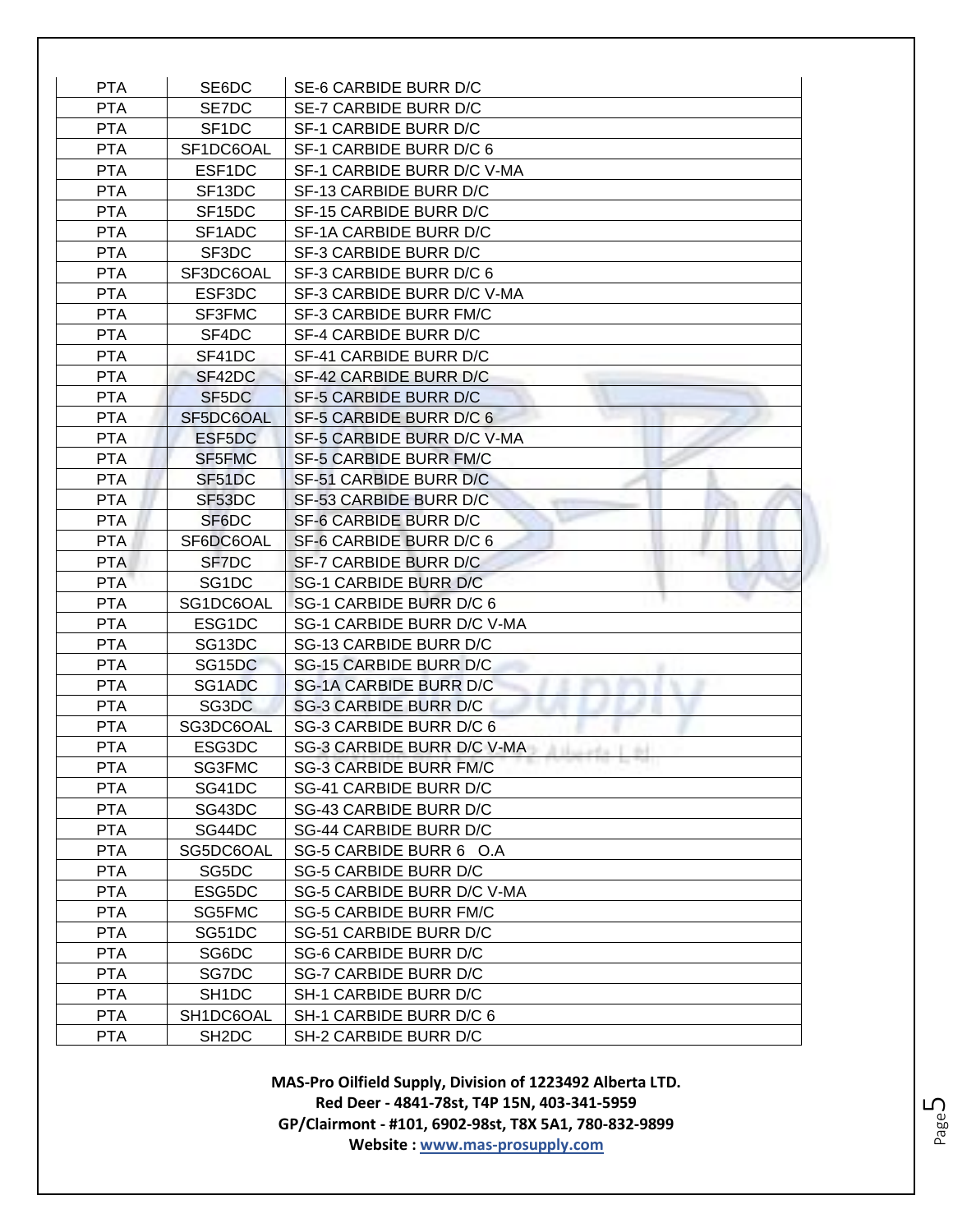| <b>PTA</b> | SE6DC               | SE-6 CARBIDE BURR D/C                           |
|------------|---------------------|-------------------------------------------------|
| <b>PTA</b> | SE7DC               | SE-7 CARBIDE BURR D/C                           |
| <b>PTA</b> | SF <sub>1</sub> DC  | SF-1 CARBIDE BURR D/C                           |
| <b>PTA</b> | SF1DC6OAL           | SF-1 CARBIDE BURR D/C 6                         |
| <b>PTA</b> | ESF1DC              | SF-1 CARBIDE BURR D/C V-MA                      |
| <b>PTA</b> | SF13DC              | SF-13 CARBIDE BURR D/C                          |
| <b>PTA</b> | SF15DC              | SF-15 CARBIDE BURR D/C                          |
| <b>PTA</b> | SF1ADC              | SF-1A CARBIDE BURR D/C                          |
| <b>PTA</b> | SF3DC               | SF-3 CARBIDE BURR D/C                           |
| <b>PTA</b> | SF3DC6OAL           | SF-3 CARBIDE BURR D/C 6                         |
| <b>PTA</b> | ESF3DC              | SF-3 CARBIDE BURR D/C V-MA                      |
| <b>PTA</b> | SF3FMC              | SF-3 CARBIDE BURR FM/C                          |
| <b>PTA</b> | SF4DC               | SF-4 CARBIDE BURR D/C                           |
| <b>PTA</b> | SF41DC              | SF-41 CARBIDE BURR D/C                          |
| <b>PTA</b> | SF42DC              | SF-42 CARBIDE BURR D/C                          |
| <b>PTA</b> | SF5DC               | SF-5 CARBIDE BURR D/C                           |
| <b>PTA</b> | SF5DC6OAL           | SF-5 CARBIDE BURR D/C 6                         |
| <b>PTA</b> | ESF5DC              | SF-5 CARBIDE BURR D/C V-MA                      |
| <b>PTA</b> | SF5FMC              | SF-5 CARBIDE BURR FM/C                          |
| <b>PTA</b> | SF51DC              | SF-51 CARBIDE BURR D/C                          |
| <b>PTA</b> | SF53DC              | SF-53 CARBIDE BURR D/C                          |
| <b>PTA</b> | SF6DC               | SF-6 CARBIDE BURR D/C                           |
| <b>PTA</b> | SF6DC6OAL           | SF-6 CARBIDE BURR D/C 6                         |
| <b>PTA</b> | SF7DC               | SF-7 CARBIDE BURR D/C                           |
| <b>PTA</b> | SG <sub>1</sub> DC  | SG-1 CARBIDE BURR D/C                           |
| <b>PTA</b> | SG1DC6OAL           | SG-1 CARBIDE BURR D/C 6                         |
| <b>PTA</b> | ESG1DC              | SG-1 CARBIDE BURR D/C V-MA                      |
| <b>PTA</b> | SG13DC              | SG-13 CARBIDE BURR D/C                          |
| <b>PTA</b> | SG <sub>15</sub> DC | SG-15 CARBIDE BURR D/C                          |
| <b>PTA</b> | SG1ADC              | <b>SG-1A CARBIDE BURR D/C</b>                   |
| <b>PTA</b> | SG3DC               | <b>SG-3 CARBIDE BURR D/C</b>                    |
| <b>PTA</b> | SG3DC6OAL           | SG-3 CARBIDE BURR D/C 6                         |
| <b>PTA</b> | ESG3DC              | SG-3 CARBIDE BURR D/C V-MA<br>d Hongstein I die |
| <b>PTA</b> | SG3FMC              | <b>SG-3 CARBIDE BURR FM/C</b>                   |
| <b>PTA</b> | SG41DC              | SG-41 CARBIDE BURR D/C                          |
| <b>PTA</b> | SG43DC              | SG-43 CARBIDE BURR D/C                          |
| <b>PTA</b> | SG44DC              | SG-44 CARBIDE BURR D/C                          |
| <b>PTA</b> | SG5DC6OAL           | SG-5 CARBIDE BURR 6 O.A                         |
| <b>PTA</b> | SG5DC               | <b>SG-5 CARBIDE BURR D/C</b>                    |
| <b>PTA</b> | ESG5DC              | SG-5 CARBIDE BURR D/C V-MA                      |
| <b>PTA</b> | SG5FMC              | <b>SG-5 CARBIDE BURR FM/C</b>                   |
| <b>PTA</b> | SG51DC              | SG-51 CARBIDE BURR D/C                          |
| PTA        | SG6DC               | SG-6 CARBIDE BURR D/C                           |
| <b>PTA</b> | SG7DC               | SG-7 CARBIDE BURR D/C                           |
| <b>PTA</b> | SH <sub>1</sub> DC  | SH-1 CARBIDE BURR D/C                           |
| <b>PTA</b> | SH1DC6OAL           | SH-1 CARBIDE BURR D/C 6                         |
| <b>PTA</b> | SH <sub>2</sub> DC  | SH-2 CARBIDE BURR D/C                           |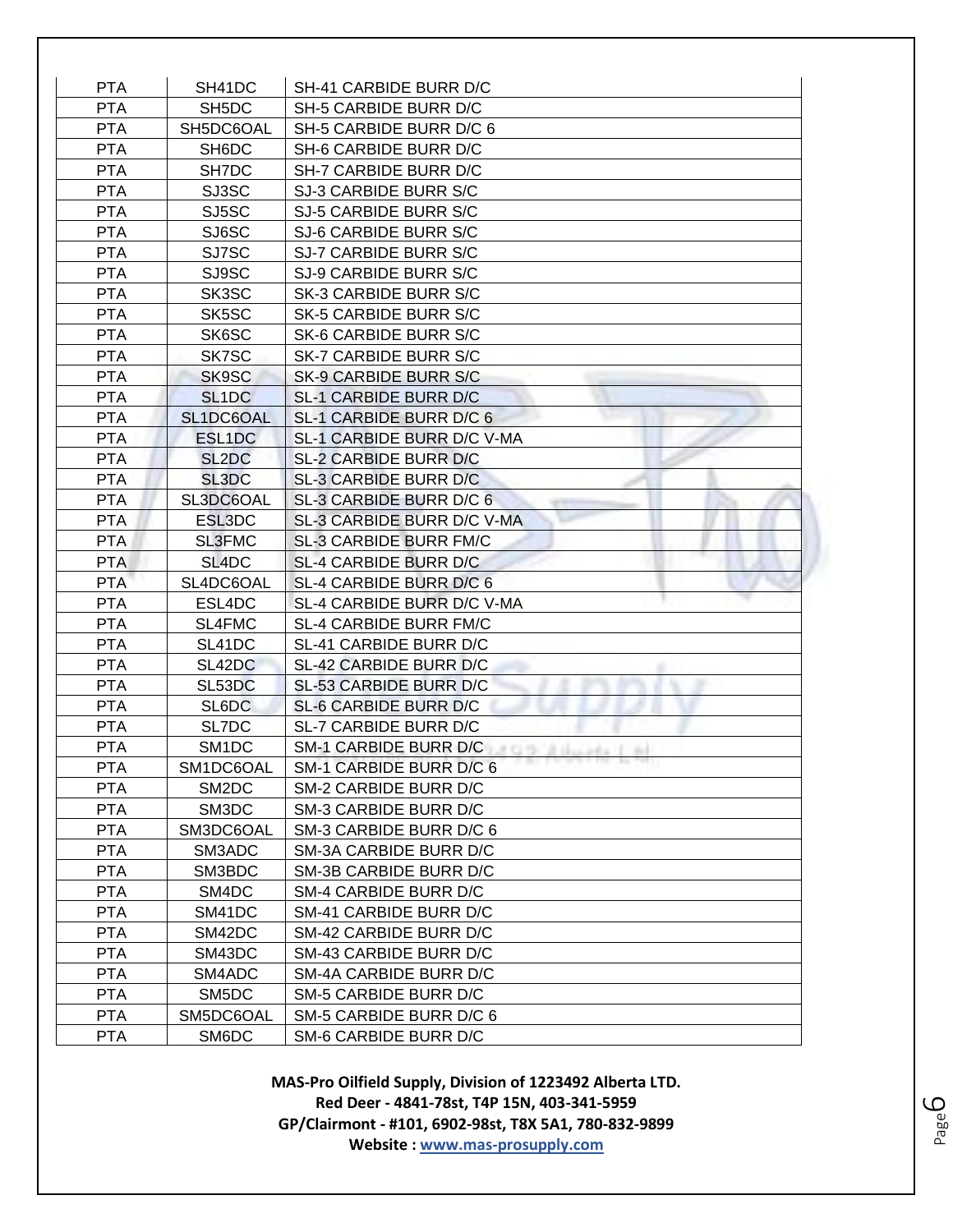| <b>PTA</b> | SH41DC                         | SH-41 CARBIDE BURR D/C                  |
|------------|--------------------------------|-----------------------------------------|
| <b>PTA</b> | SH <sub>5</sub> DC             | SH-5 CARBIDE BURR D/C                   |
| <b>PTA</b> | SH5DC6OAL                      | SH-5 CARBIDE BURR D/C 6                 |
| <b>PTA</b> | SH <sub>6</sub> D <sub>C</sub> | SH-6 CARBIDE BURR D/C                   |
| <b>PTA</b> | SH7DC                          | SH-7 CARBIDE BURR D/C                   |
| <b>PTA</b> | SJ3SC                          | SJ-3 CARBIDE BURR S/C                   |
| <b>PTA</b> | SJ5SC                          | SJ-5 CARBIDE BURR S/C                   |
| <b>PTA</b> | SJ6SC                          | SJ-6 CARBIDE BURR S/C                   |
| <b>PTA</b> | SJ7SC                          | SJ-7 CARBIDE BURR S/C                   |
| <b>PTA</b> | SJ9SC                          | SJ-9 CARBIDE BURR S/C                   |
| <b>PTA</b> | SK3SC                          | SK-3 CARBIDE BURR S/C                   |
| <b>PTA</b> | SK5SC                          | SK-5 CARBIDE BURR S/C                   |
| <b>PTA</b> | SK6SC                          | SK-6 CARBIDE BURR S/C                   |
| <b>PTA</b> | SK7SC                          | SK-7 CARBIDE BURR S/C                   |
| <b>PTA</b> | SK9SC                          | SK-9 CARBIDE BURR S/C                   |
| <b>PTA</b> | SL <sub>1</sub> DC             | SL-1 CARBIDE BURR D/C                   |
| <b>PTA</b> | SL1DC6OAL                      | SL-1 CARBIDE BURR D/C 6                 |
| <b>PTA</b> | ESL1DC                         | SL-1 CARBIDE BURR D/C V-MA              |
| <b>PTA</b> | SL <sub>2</sub> D <sub>C</sub> | SL-2 CARBIDE BURR D/C                   |
| <b>PTA</b> | SL3DC                          | SL-3 CARBIDE BURR D/C                   |
| <b>PTA</b> | SL3DC6OAL                      | SL-3 CARBIDE BURR D/C 6                 |
| <b>PTA</b> | ESL3DC                         | SL-3 CARBIDE BURR D/C V-MA              |
| <b>PTA</b> | <b>SL3FMC</b>                  | <b>SL-3 CARBIDE BURR FM/C</b>           |
| <b>PTA</b> | SL <sub>4</sub> DC             | <b>SL-4 CARBIDE BURR D/C</b>            |
| <b>PTA</b> | SL4DC6OAL                      | SL-4 CARBIDE BURR D/C 6                 |
| <b>PTA</b> | ESL4DC                         | SL-4 CARBIDE BURR D/C V-MA              |
| <b>PTA</b> | SL4FMC                         | <b>SL-4 CARBIDE BURR FM/C</b>           |
| <b>PTA</b> | SL41DC                         | SL-41 CARBIDE BURR D/C                  |
| <b>PTA</b> | SL42DC                         | SL-42 CARBIDE BURR D/C                  |
| <b>PTA</b> | SL53DC                         | SL-53 CARBIDE BURR D/C                  |
| <b>PTA</b> | SL6DC                          | SL-6 CARBIDE BURR D/C                   |
| <b>PTA</b> | SL7DC                          | SL-7 CARBIDE BURR D/C                   |
| <b>PTA</b> | SM <sub>1</sub> DC             | SM-1 CARBIDE BURR D/C <b>CARBIOLOGY</b> |
| <b>PTA</b> | SM1DC6OAL                      | SM-1 CARBIDE BURR D/C 6                 |
| <b>PTA</b> | SM <sub>2</sub> D <sub>C</sub> | SM-2 CARBIDE BURR D/C                   |
| <b>PTA</b> | SM3DC                          | SM-3 CARBIDE BURR D/C                   |
| <b>PTA</b> | SM3DC6OAL                      | SM-3 CARBIDE BURR D/C 6                 |
| <b>PTA</b> | SM3ADC                         | SM-3A CARBIDE BURR D/C                  |
| <b>PTA</b> | SM3BDC                         | SM-3B CARBIDE BURR D/C                  |
| <b>PTA</b> | SM4DC                          | SM-4 CARBIDE BURR D/C                   |
| <b>PTA</b> | SM41DC                         | SM-41 CARBIDE BURR D/C                  |
| <b>PTA</b> | SM42DC                         | SM-42 CARBIDE BURR D/C                  |
| <b>PTA</b> | SM43DC                         | SM-43 CARBIDE BURR D/C                  |
| <b>PTA</b> | SM4ADC                         | SM-4A CARBIDE BURR D/C                  |
| <b>PTA</b> | SM5DC                          | SM-5 CARBIDE BURR D/C                   |
| <b>PTA</b> | SM5DC6OAL                      | SM-5 CARBIDE BURR D/C 6                 |
| <b>PTA</b> | SM6DC                          | SM-6 CARBIDE BURR D/C                   |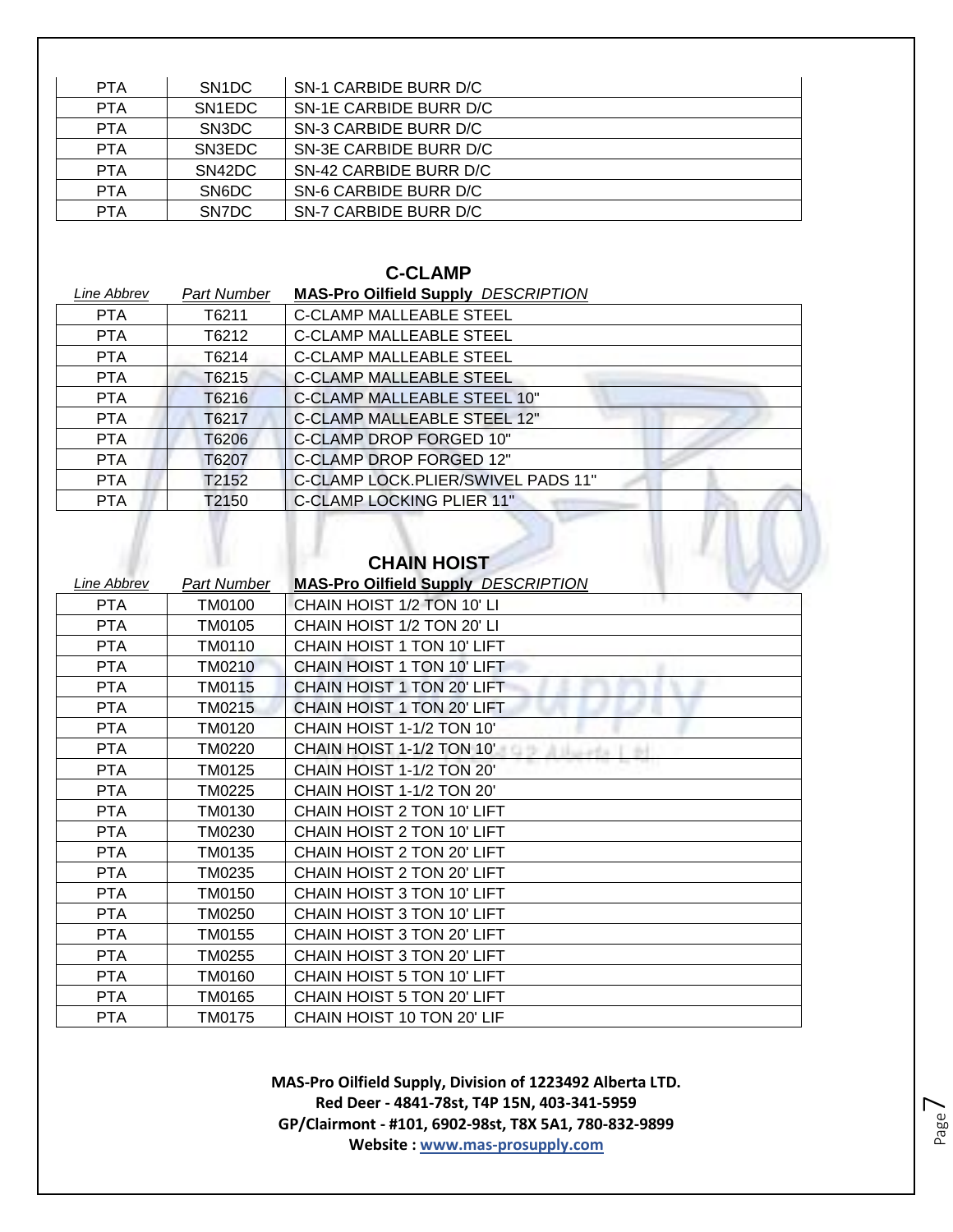| <b>PTA</b> | SN <sub>1</sub> DC  | SN-1 CARBIDE BURR D/C  |
|------------|---------------------|------------------------|
| <b>PTA</b> | SN <sub>1</sub> EDC | SN-1E CARBIDE BURR D/C |
| <b>PTA</b> | SN3DC               | SN-3 CARBIDE BURR D/C  |
| <b>PTA</b> | SN3EDC              | SN-3E CARBIDE BURR D/C |
| <b>PTA</b> | SN42DC              | SN-42 CARBIDE BURR D/C |
| <b>PTA</b> | SN6DC               | SN-6 CARBIDE BURR D/C  |
| <b>PTA</b> | SN7DC               | SN-7 CARBIDE BURR D/C  |

#### **C-CLAMP**

| Line Abbrev | Part Number | <b>MAS-Pro Oilfield Supply DESCRIPTION</b> |
|-------------|-------------|--------------------------------------------|
| <b>PTA</b>  | T6211       | <b>C-CLAMP MALLEABLE STEEL</b>             |
| <b>PTA</b>  | T6212       | <b>C-CLAMP MALLEABLE STEEL</b>             |
| <b>PTA</b>  | T6214       | <b>C-CLAMP MALLEABLE STEEL</b>             |
| <b>PTA</b>  | T6215       | <b>C-CLAMP MALLEABLE STEEL</b>             |
| <b>PTA</b>  | T6216       | <b>C-CLAMP MALLEABLE STEEL 10"</b>         |
| <b>PTA</b>  | T6217       | <b>C-CLAMP MALLEABLE STEEL 12"</b>         |
| <b>PTA</b>  | T6206       | C-CLAMP DROP FORGED 10"                    |
| <b>PTA</b>  | T6207       | C-CLAMP DROP FORGED 12"                    |
| <b>PTA</b>  | T2152       | C-CLAMP LOCK.PLIER/SWIVEL PADS 11"         |
| <b>PTA</b>  | T2150       | C-CLAMP LOCKING PLIER 11"                  |

| Line Abbrev | <b>Part Number</b> | <b>MAS-Pro Oilfield Supply DESCRIPTION</b> |
|-------------|--------------------|--------------------------------------------|
| <b>PTA</b>  | TM0100             | CHAIN HOIST 1/2 TON 10' LI                 |
| <b>PTA</b>  | TM0105             | CHAIN HOIST 1/2 TON 20' LI                 |
| <b>PTA</b>  | TM0110             | CHAIN HOIST 1 TON 10' LIFT                 |
| <b>PTA</b>  | <b>TM0210</b>      | CHAIN HOIST 1 TON 10' LIFT                 |
| <b>PTA</b>  | TM0115             | CHAIN HOIST 1 TON 20' LIFT                 |
| <b>PTA</b>  | TM0215             | CHAIN HOIST 1 TON 20' LIFT                 |
| <b>PTA</b>  | <b>TM0120</b>      | CHAIN HOIST 1-1/2 TON 10'                  |
| <b>PTA</b>  | TM0220             | CHAIN HOIST 1-1/2 TON 10'<br>A Hollada     |
| <b>PTA</b>  | TM0125             | CHAIN HOIST 1-1/2 TON 20'                  |
| <b>PTA</b>  | TM0225             | CHAIN HOIST 1-1/2 TON 20'                  |
| <b>PTA</b>  | TM0130             | CHAIN HOIST 2 TON 10' LIFT                 |
| <b>PTA</b>  | TM0230             | CHAIN HOIST 2 TON 10' LIFT                 |
| <b>PTA</b>  | TM0135             | CHAIN HOIST 2 TON 20' LIFT                 |
| <b>PTA</b>  | TM0235             | CHAIN HOIST 2 TON 20' LIFT                 |
| <b>PTA</b>  | TM0150             | CHAIN HOIST 3 TON 10' LIFT                 |
| <b>PTA</b>  | TM0250             | CHAIN HOIST 3 TON 10' LIFT                 |
| <b>PTA</b>  | TM0155             | CHAIN HOIST 3 TON 20' LIFT                 |
| <b>PTA</b>  | TM0255             | CHAIN HOIST 3 TON 20' LIFT                 |
| <b>PTA</b>  | TM0160             | CHAIN HOIST 5 TON 10' LIFT                 |
| <b>PTA</b>  | TM0165             | CHAIN HOIST 5 TON 20' LIFT                 |
| <b>PTA</b>  | TM0175             | CHAIN HOIST 10 TON 20' LIF                 |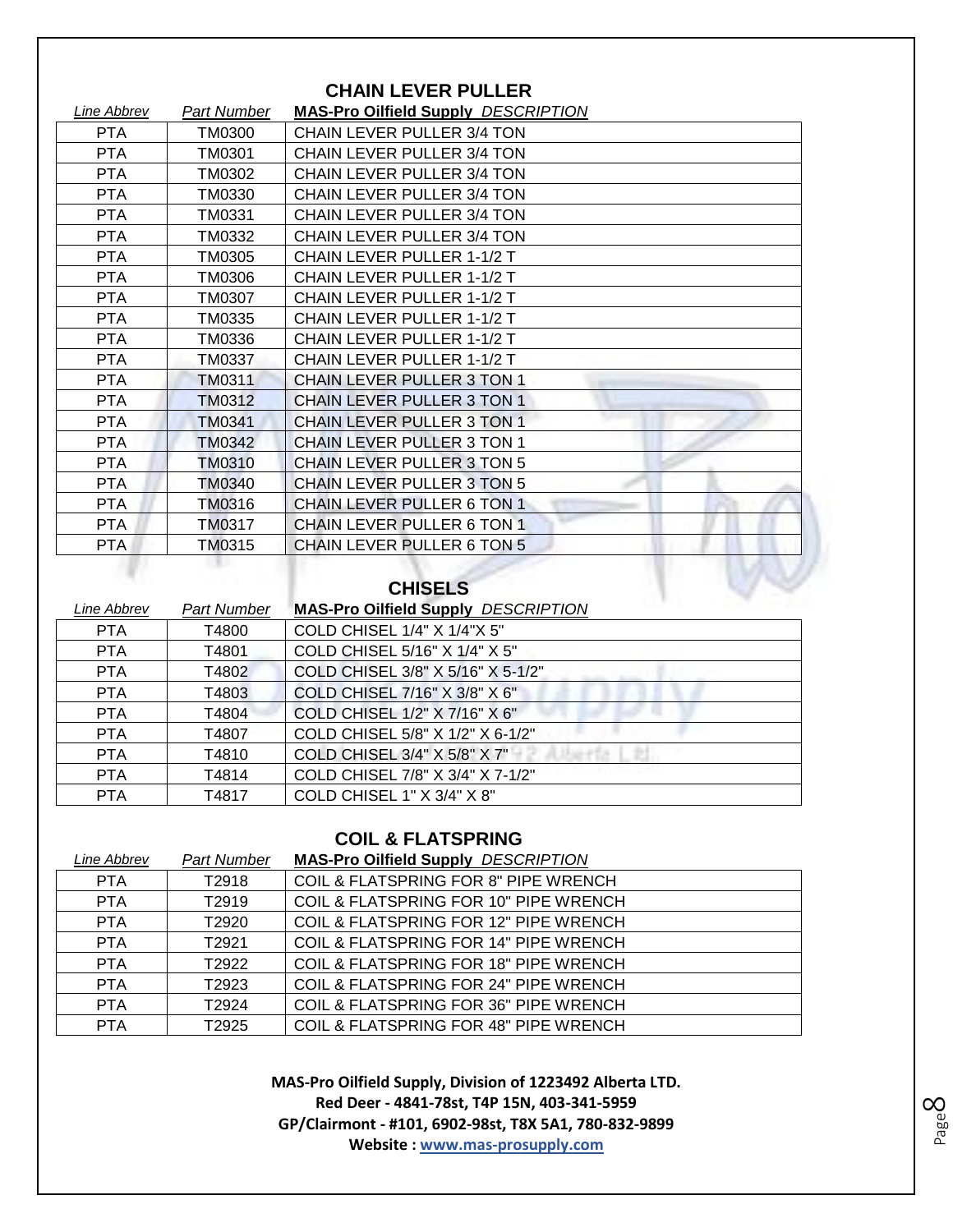| <b>CHAIN LEVER PULLER</b> |                    |                                            |
|---------------------------|--------------------|--------------------------------------------|
| Line Abbrev               | <b>Part Number</b> | <b>MAS-Pro Oilfield Supply DESCRIPTION</b> |
| <b>PTA</b>                | TM0300             | CHAIN LEVER PULLER 3/4 TON                 |
| <b>PTA</b>                | TM0301             | CHAIN LEVER PULLER 3/4 TON                 |
| <b>PTA</b>                | TM0302             | CHAIN LEVER PULLER 3/4 TON                 |
| <b>PTA</b>                | TM0330             | CHAIN LEVER PULLER 3/4 TON                 |
| <b>PTA</b>                | TM0331             | CHAIN LEVER PULLER 3/4 TON                 |
| <b>PTA</b>                | TM0332             | CHAIN LEVER PULLER 3/4 TON                 |
| <b>PTA</b>                | TM0305             | CHAIN LEVER PULLER 1-1/2 T                 |
| <b>PTA</b>                | TM0306             | CHAIN LEVER PULLER 1-1/2 T                 |
| <b>PTA</b>                | <b>TM0307</b>      | <b>CHAIN LEVER PULLER 1-1/2 T</b>          |
| PTA                       | TM0335             | CHAIN LEVER PULLER 1-1/2 T                 |
| <b>PTA</b>                | TM0336             | CHAIN LEVER PULLER 1-1/2 T                 |
| <b>PTA</b>                | TM0337             | CHAIN LEVER PULLER 1-1/2 T                 |
| <b>PTA</b>                | TM0311             | <b>CHAIN LEVER PULLER 3 TON 1</b>          |
| <b>PTA</b>                | <b>TM0312</b>      | <b>CHAIN LEVER PULLER 3 TON 1</b>          |
| <b>PTA</b>                | <b>TM0341</b>      | <b>CHAIN LEVER PULLER 3 TON 1</b>          |
| <b>PTA</b>                | TM0342             | <b>CHAIN LEVER PULLER 3 TON 1</b>          |
| <b>PTA</b>                | TM0310             | <b>CHAIN LEVER PULLER 3 TON 5</b>          |
| <b>PTA</b>                | TM0340             | <b>CHAIN LEVER PULLER 3 TON 5</b>          |
| <b>PTA</b>                | TM0316             | CHAIN LEVER PULLER 6 TON 1                 |
| <b>PTA</b>                | TM0317             | <b>CHAIN LEVER PULLER 6 TON 1</b>          |
| PTA                       | TM0315             | CHAIN LEVER PULLER 6 TON 5                 |
|                           |                    |                                            |

# **CHISELS**

| Line Abbrev | Part Number | <b>MAS-Pro Oilfield Supply DESCRIPTION</b> |
|-------------|-------------|--------------------------------------------|
| <b>PTA</b>  | T4800       | COLD CHISEL 1/4" X 1/4"X 5"                |
| <b>PTA</b>  | T4801       | COLD CHISEL 5/16" X 1/4" X 5"              |
| <b>PTA</b>  | T4802       | COLD CHISEL 3/8" X 5/16" X 5-1/2"          |
| <b>PTA</b>  | T4803       | COLD CHISEL 7/16" X 3/8" X 6"              |
| <b>PTA</b>  | T4804       | COLD CHISEL 1/2" X 7/16" X 6"              |
| <b>PTA</b>  | T4807       | COLD CHISEL 5/8" X 1/2" X 6-1/2"           |
| <b>PTA</b>  | T4810       | COLD CHISEL 3/4" X 5/8" X 7"               |
| <b>PTA</b>  | T4814       | COLD CHISEL 7/8" X 3/4" X 7-1/2"           |
| <b>PTA</b>  | T4817       | COLD CHISEL 1" X 3/4" X 8"                 |

#### **COIL & FLATSPRING**

| Line Abbrev | <b>Part Number</b> | <b>MAS-Pro Oilfield Supply DESCRIPTION</b> |
|-------------|--------------------|--------------------------------------------|
| <b>PTA</b>  | T2918              | COIL & FLATSPRING FOR 8" PIPE WRENCH       |
| <b>PTA</b>  | T <sub>2919</sub>  | COIL & FLATSPRING FOR 10" PIPE WRENCH      |
| <b>PTA</b>  | T2920              | COIL & FLATSPRING FOR 12" PIPE WRENCH      |
| <b>PTA</b>  | T <sub>2921</sub>  | COIL & FLATSPRING FOR 14" PIPE WRENCH      |
| <b>PTA</b>  | T <sub>2922</sub>  | COIL & FLATSPRING FOR 18" PIPE WRENCH      |
| <b>PTA</b>  | T2923              | COIL & FLATSPRING FOR 24" PIPE WRENCH      |
| <b>PTA</b>  | T <sub>2924</sub>  | COIL & FLATSPRING FOR 36" PIPE WRENCH      |
| <b>PTA</b>  | T <sub>2925</sub>  | COIL & FLATSPRING FOR 48" PIPE WRENCH      |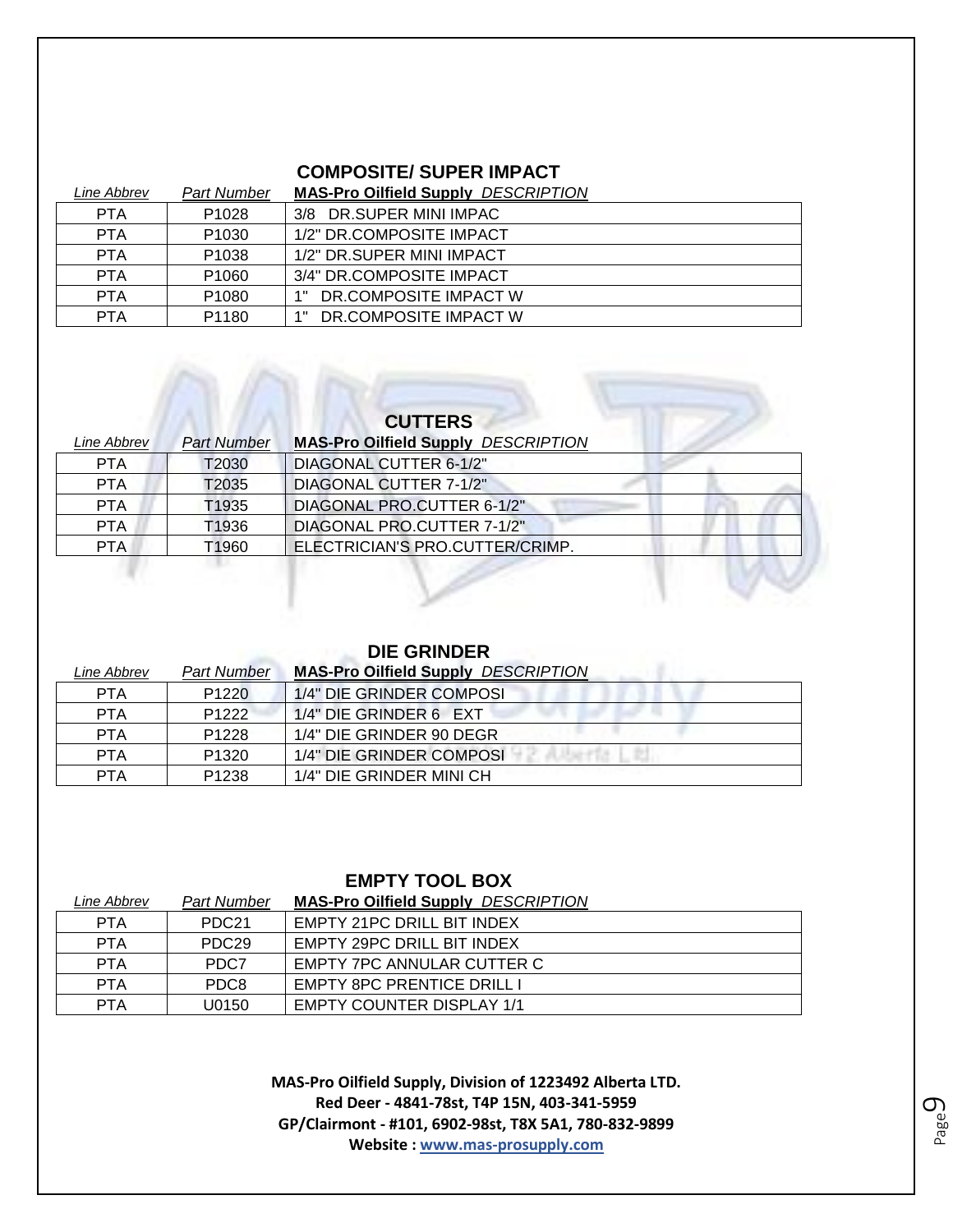#### **COMPOSITE/ SUPER IMPACT**

| Line Abbrev | Part Number       | <b>MAS-Pro Oilfield Supply DESCRIPTION</b> |
|-------------|-------------------|--------------------------------------------|
| <b>PTA</b>  | P <sub>1028</sub> | 3/8 DR.SUPER MINI IMPAC                    |
| <b>PTA</b>  | P <sub>1030</sub> | 1/2" DR.COMPOSITE IMPACT                   |
| <b>PTA</b>  | P <sub>1038</sub> | 1/2" DR.SUPER MINI IMPACT                  |
| <b>PTA</b>  | P <sub>1060</sub> | 3/4" DR.COMPOSITE IMPACT                   |
| <b>PTA</b>  | P <sub>1080</sub> | DR.COMPOSITE IMPACT W<br>1 "               |
| <b>PTA</b>  | P <sub>1180</sub> | DR.COMPOSITE IMPACT W<br>4 H               |

# **CUTTERS**

| <i><b>Line Abbrev</b></i> | <b>Part Number</b> | <b>MAS-Pro Oilfield Supply DESCRIPTION</b> |
|---------------------------|--------------------|--------------------------------------------|
| <b>PTA</b>                | T2030              | <b>DIAGONAL CUTTER 6-1/2"</b>              |
| <b>PTA</b>                | T2035              | <b>DIAGONAL CUTTER 7-1/2"</b>              |
| <b>PTA</b>                | T1935              | DIAGONAL PRO.CUTTER 6-1/2"                 |
| <b>PTA</b>                | T <sub>1936</sub>  | DIAGONAL PRO.CUTTER 7-1/2"                 |
| PTA.                      | T1960              | ELECTRICIAN'S PRO.CUTTER/CRIMP.            |
|                           |                    |                                            |

#### **DIE GRINDER**

| Line Abbrev | <b>Part Number</b> | <b>MAS-Pro Oilfield Supply DESCRIPTION</b> |
|-------------|--------------------|--------------------------------------------|
| <b>PTA</b>  | P <sub>1220</sub>  | 1/4" DIE GRINDER COMPOSI                   |
| <b>PTA</b>  | P <sub>1222</sub>  | 1/4" DIE GRINDER 6 EXT                     |
| <b>PTA</b>  | P <sub>1228</sub>  | 1/4" DIE GRINDER 90 DEGR                   |
| <b>PTA</b>  | P <sub>1320</sub>  | 1/4" DIE GRINDER COMPOSI                   |
| <b>PTA</b>  | P <sub>1238</sub>  | 1/4" DIE GRINDER MINI CH                   |

#### **EMPTY TOOL BOX**

| Line Abbrev | Part Number       | <b>MAS-Pro Oilfield Supply DESCRIPTION</b> |
|-------------|-------------------|--------------------------------------------|
| <b>PTA</b>  | PDC <sub>21</sub> | EMPTY 21PC DRILL BIT INDEX                 |
| <b>PTA</b>  | PDC <sub>29</sub> | EMPTY 29PC DRILL BIT INDEX                 |
| <b>PTA</b>  | PDC7              | EMPTY 7PC ANNULAR CUTTER C                 |
| <b>PTA</b>  | PDC8              | EMPTY 8PC PRENTICE DRILL I                 |
| <b>PTA</b>  | U0150             | <b>EMPTY COUNTER DISPLAY 1/1</b>           |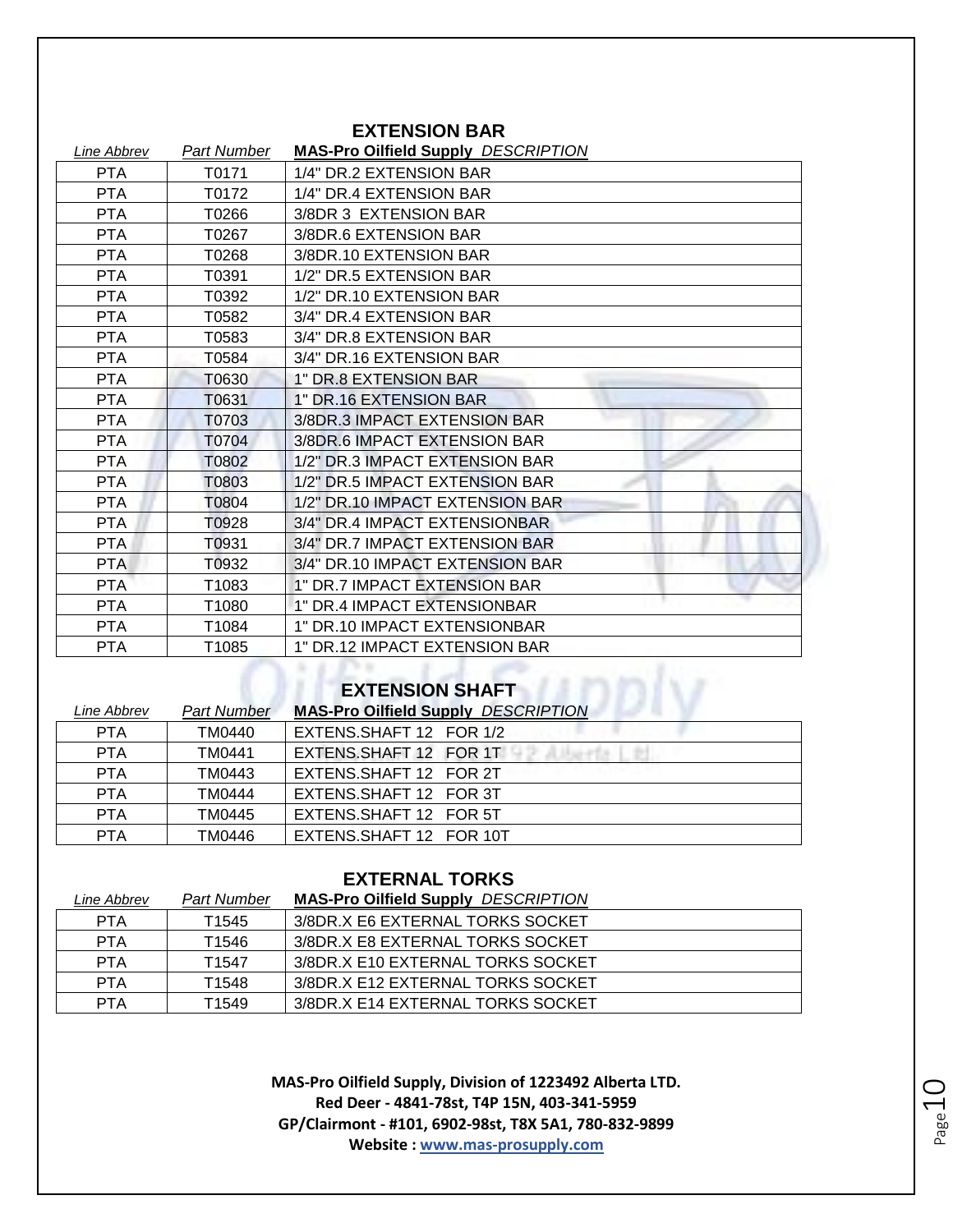|             |             | елтеною тран                               |
|-------------|-------------|--------------------------------------------|
| Line Abbrev | Part Number | <b>MAS-Pro Oilfield Supply DESCRIPTION</b> |
| <b>PTA</b>  | T0171       | 1/4" DR.2 EXTENSION BAR                    |
| <b>PTA</b>  | T0172       | 1/4" DR.4 EXTENSION BAR                    |
| <b>PTA</b>  | T0266       | 3/8DR 3 EXTENSION BAR                      |
| <b>PTA</b>  | T0267       | 3/8DR.6 EXTENSION BAR                      |
| <b>PTA</b>  | T0268       | 3/8DR.10 EXTENSION BAR                     |
| <b>PTA</b>  | T0391       | 1/2" DR.5 EXTENSION BAR                    |
| <b>PTA</b>  | T0392       | 1/2" DR.10 EXTENSION BAR                   |
| <b>PTA</b>  | T0582       | 3/4" DR.4 EXTENSION BAR                    |
| <b>PTA</b>  | T0583       | 3/4" DR.8 EXTENSION BAR                    |
| <b>PTA</b>  | T0584       | 3/4" DR.16 EXTENSION BAR                   |
| <b>PTA</b>  | T0630       | 1" DR.8 EXTENSION BAR                      |
| <b>PTA</b>  | T0631       | 1" DR.16 EXTENSION BAR                     |
| <b>PTA</b>  | T0703       | 3/8DR.3 IMPACT EXTENSION BAR               |
| <b>PTA</b>  | T0704       | 3/8DR.6 IMPACT EXTENSION BAR               |
| <b>PTA</b>  | T0802       | 1/2" DR.3 IMPACT EXTENSION BAR             |
| <b>PTA</b>  | T0803       | 1/2" DR.5 IMPACT EXTENSION BAR             |
| <b>PTA</b>  | T0804       | 1/2" DR.10 IMPACT EXTENSION BAR            |
| <b>PTA</b>  | T0928       | 3/4" DR.4 IMPACT EXTENSIONBAR              |
| <b>PTA</b>  | T0931       | 3/4" DR.7 IMPACT EXTENSION BAR             |
| <b>PTA</b>  | T0932       | 3/4" DR.10 IMPACT EXTENSION BAR            |
| <b>PTA</b>  | T1083       | 1" DR.7 IMPACT EXTENSION BAR               |
| <b>PTA</b>  | T1080       | 1" DR.4 IMPACT EXTENSIONBAR                |
| <b>PTA</b>  | T1084       | 1" DR.10 IMPACT EXTENSIONBAR               |
| <b>PTA</b>  | T1085       | 1" DR.12 IMPACT EXTENSION BAR              |
|             |             |                                            |

#### **EXTENSION BAR**

#### **EXTENSION SHAFT**

| Line Abbrev | <b>Part Number</b> | <b>MAS-Pro Oilfield Supply DESCRIPTION</b> |
|-------------|--------------------|--------------------------------------------|
| <b>PTA</b>  | TM0440             | EXTENS.SHAFT 12 FOR 1/2                    |
| <b>PTA</b>  | TM0441             | EXTENS SHAFT 12 FOR 1T                     |
| <b>PTA</b>  | TM0443             | EXTENS SHAFT 12 FOR 2T                     |
| <b>PTA</b>  | TM0444             | EXTENS.SHAFT 12 FOR 3T                     |
| <b>PTA</b>  | TM0445             | EXTENS SHAFT 12 FOR 5T                     |
| <b>PTA</b>  | TM0446             | EXTENS SHAFT 12 FOR 10T                    |

# **EXTERNAL TORKS**

| Line Abbrev | Part Number       | <b>MAS-Pro Oilfield Supply DESCRIPTION</b> |
|-------------|-------------------|--------------------------------------------|
| <b>PTA</b>  | T1545             | 3/8DR.X E6 EXTERNAL TORKS SOCKET           |
| <b>PTA</b>  | T1546             | 3/8DR.X E8 EXTERNAL TORKS SOCKET           |
| <b>PTA</b>  | T <sub>1547</sub> | 3/8DR.X E10 EXTERNAL TORKS SOCKET          |
| <b>PTA</b>  | T1548             | 3/8DR X E12 EXTERNAL TORKS SOCKET          |
| <b>PTA</b>  | T1549             | 3/8DR.X E14 EXTERNAL TORKS SOCKET          |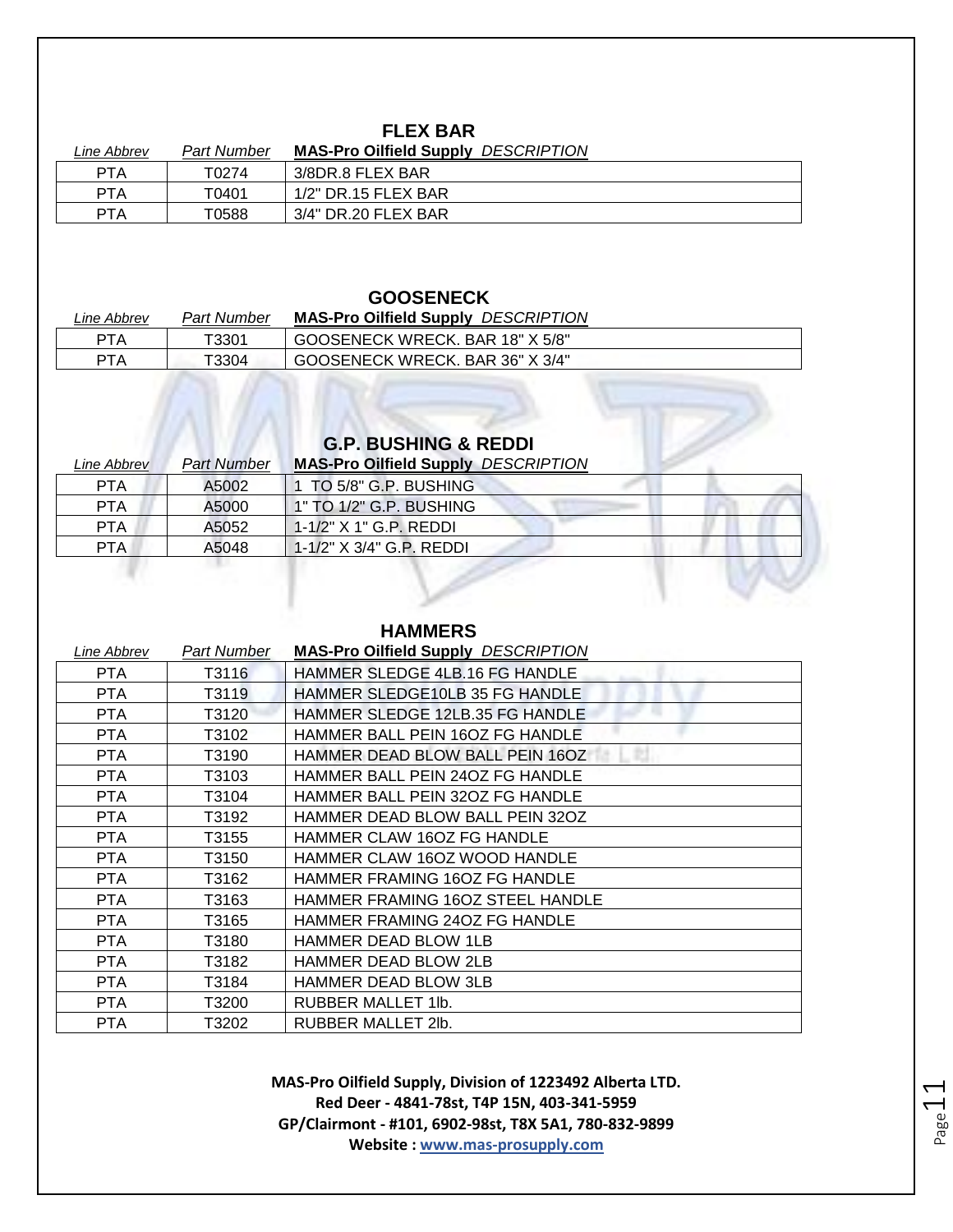## **FLEX BAR**

| Line Abbrev | Part Number | <b>MAS-Pro Oilfield Supply</b><br>DESCRIPTION |
|-------------|-------------|-----------------------------------------------|
| <b>PTA</b>  | T0274       | 3/8DR.8 FLEX BAR                              |
| <b>PTA</b>  | T0401       | 1/2" DR.15 FLEX BAR                           |
| PTA         | T0588       | 3/4" DR.20 FLEX BAR                           |

#### **GOOSENECK**

| Line Abbrev | <b>Part Number</b> | <b>MAS-Pro Oilfield Supply DESCRIPTION</b> |
|-------------|--------------------|--------------------------------------------|
| <b>PTA</b>  | T3301              | GOOSENECK WRECK. BAR 18" X 5/8"            |
| <b>PTA</b>  | T3304              | GOOSENECK WRECK. BAR 36" X 3/4"            |

## **G.P. BUSHING & REDDI**

| Line Abbrev | <b>Part Number</b> | <b>MAS-Pro Oilfield Supply DESCRIPTION</b> |
|-------------|--------------------|--------------------------------------------|
| <b>PTA</b>  | A5002              | TO 5/8" G.P. BUSHING                       |
| <b>PTA</b>  | A5000              | 1" TO 1/2" G.P. BUSHING                    |
| <b>PTA</b>  | A5052              | 1-1/2" X 1" G.P. REDDI                     |
| PTA.        | A5048              | $1-1/2$ " $X$ 3/4" G.P. REDDI              |
|             |                    |                                            |

#### **HAMMERS**

| Line Abbrev | Part Number | <b>MAS-Pro Oilfield Supply DESCRIPTION</b> |
|-------------|-------------|--------------------------------------------|
| PTA.        | T3116       | HAMMER SLEDGE 4LB.16 FG HANDLE             |
| <b>PTA</b>  | T3119       | HAMMER SLEDGE10LB 35 FG HANDLE             |
| <b>PTA</b>  | T3120       | HAMMER SLEDGE 12LB.35 FG HANDLE            |
| PTA         | T3102       | HAMMER BALL PEIN 16OZ FG HANDLE            |
| <b>PTA</b>  | T3190       | HAMMER DEAD BLOW BALL PEIN 16OZ            |
| <b>PTA</b>  | T3103       | HAMMER BALL PEIN 24OZ FG HANDLE            |
| <b>PTA</b>  | T3104       | HAMMER BALL PEIN 320Z FG HANDLE            |
| PTA         | T3192       | HAMMER DEAD BLOW BALL PEIN 320Z            |
| PTA         | T3155       | HAMMER CLAW 16OZ FG HANDLE                 |
| PTA         | T3150       | HAMMER CLAW 16OZ WOOD HANDLE               |
| PTA.        | T3162       | HAMMER FRAMING 16OZ FG HANDLE              |
| PTA.        | T3163       | HAMMER FRAMING 16OZ STEEL HANDLE           |
| PTA.        | T3165       | HAMMER FRAMING 240Z FG HANDLE              |
| PTA         | T3180       | HAMMER DEAD BLOW 1LB                       |
| PTA.        | T3182       | <b>HAMMER DEAD BLOW 2LB</b>                |
| <b>PTA</b>  | T3184       | HAMMER DEAD BLOW 3LB                       |
| PTA.        | T3200       | RUBBER MALLET 1lb.                         |
| <b>PTA</b>  | T3202       | RUBBER MALLET 2lb.                         |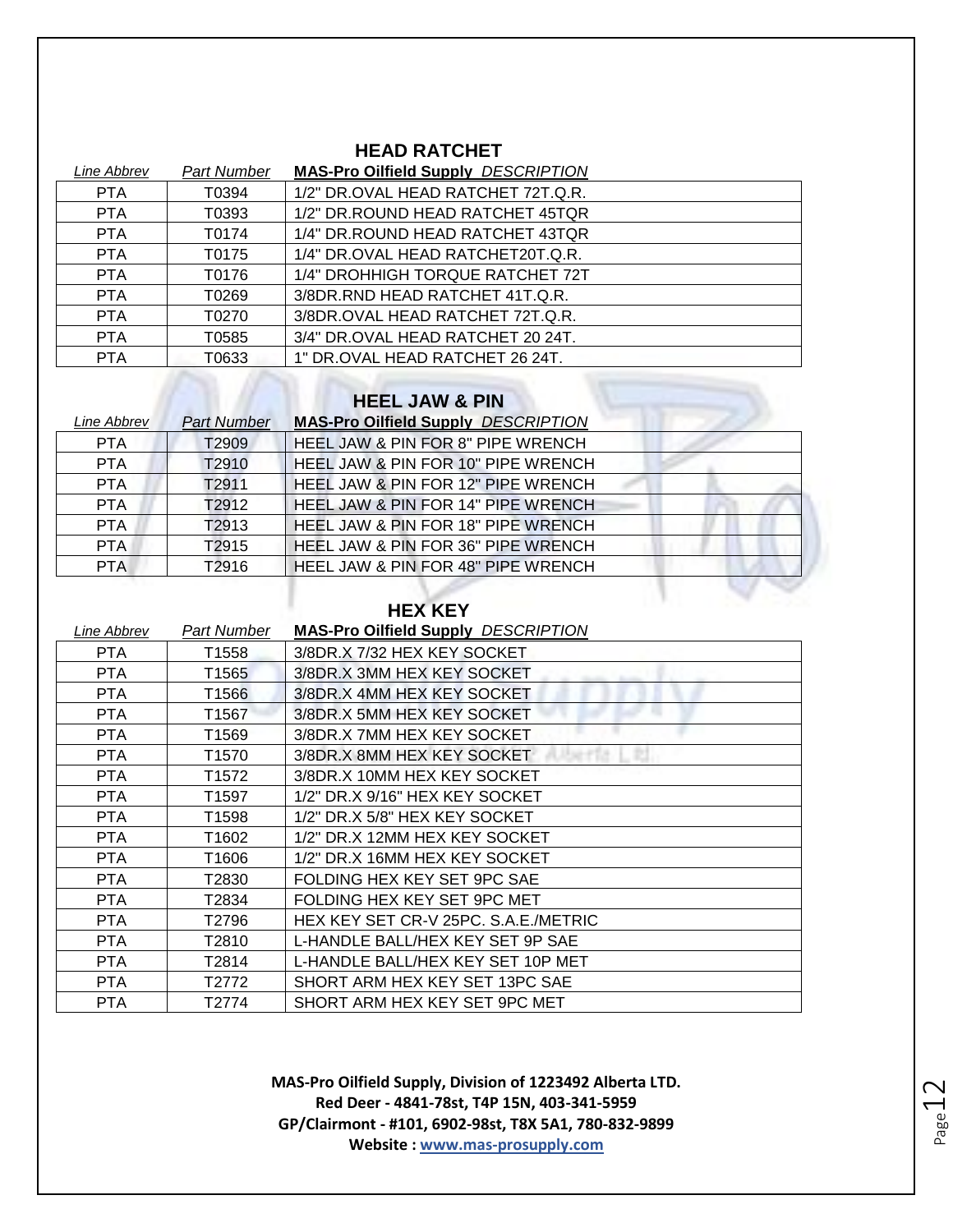#### **HEAD RATCHET**

| Line Abbrev | <b>Part Number</b> | <b>MAS-Pro Oilfield Supply DESCRIPTION</b> |
|-------------|--------------------|--------------------------------------------|
| <b>PTA</b>  | T0394              | 1/2" DR.OVAL HEAD RATCHET 72T.Q.R.         |
| <b>PTA</b>  | T0393              | 1/2" DR. ROUND HEAD RATCHET 45TOR          |
| <b>PTA</b>  | T0174              | 1/4" DR. ROUND HEAD RATCHET 43TQR          |
| <b>PTA</b>  | T0175              | 1/4" DR.OVAL HEAD RATCHET20T.Q.R.          |
| <b>PTA</b>  | T0176              | 1/4" DROHHIGH TORQUE RATCHET 72T           |
| <b>PTA</b>  | T0269              | 3/8DR.RND HEAD RATCHET 41T.Q.R.            |
| <b>PTA</b>  | T0270              | 3/8DR.OVAL HEAD RATCHET 72T.Q.R.           |
| <b>PTA</b>  | T0585              | 3/4" DR.OVAL HEAD RATCHET 20 24T.          |
| <b>PTA</b>  | T0633              | 1" DR.OVAL HEAD RATCHET 26 24T.            |

#### **HEEL JAW & PIN**

| Line Abbrev | <b>Part Number</b> | <b>MAS-Pro Oilfield Supply DESCRIPTION</b> |
|-------------|--------------------|--------------------------------------------|
| <b>PTA</b>  | T <sub>2909</sub>  | HEEL JAW & PIN FOR 8" PIPE WRENCH          |
| <b>PTA</b>  | T2910              | HEEL JAW & PIN FOR 10" PIPE WRENCH         |
| <b>PTA</b>  | T2911              | HEEL JAW & PIN FOR 12" PIPE WRENCH         |
| <b>PTA</b>  | T2912              | HEEL JAW & PIN FOR 14" PIPE WRENCH         |
| <b>PTA</b>  | T <sub>2913</sub>  | HEEL JAW & PIN FOR 18" PIPE WRENCH         |
| <b>PTA</b>  | T <sub>2915</sub>  | HEEL JAW & PIN FOR 36" PIPE WRENCH         |
| <b>PTA</b>  | T2916              | HEEL JAW & PIN FOR 48" PIPE WRENCH         |

#### **HEX KEY**

| Line Abbrev | Part Number       | <b>MAS-Pro Oilfield Supply DESCRIPTION</b> |
|-------------|-------------------|--------------------------------------------|
| PTA         | T1558             | 3/8DR.X 7/32 HEX KEY SOCKET                |
| <b>PTA</b>  | T1565             | 3/8DR.X 3MM HEX KEY SOCKET                 |
| <b>PTA</b>  | T1566             | 3/8DR.X 4MM HEX KEY SOCKET                 |
| <b>PTA</b>  | T1567             | 3/8DR.X 5MM HEX KEY SOCKET                 |
| <b>PTA</b>  | T1569             | 3/8DR.X 7MM HEX KEY SOCKET                 |
| <b>PTA</b>  | T1570             | 3/8DR.X 8MM HEX KEY SOCKET                 |
| PTA.        | T1572             | 3/8DR.X 10MM HEX KEY SOCKET                |
| PTA         | T <sub>1597</sub> | 1/2" DR.X 9/16" HEX KEY SOCKET             |
| PTA         | T1598             | 1/2" DR.X 5/8" HEX KEY SOCKET              |
| PTA.        | T1602             | 1/2" DR.X 12MM HEX KEY SOCKET              |
| PTA.        | T1606             | 1/2" DR.X 16MM HEX KEY SOCKET              |
| PTA.        | T2830             | FOLDING HEX KEY SET 9PC SAE                |
| PTA.        | T2834             | FOLDING HEX KEY SET 9PC MET                |
| <b>PTA</b>  | T2796             | HEX KEY SET CR-V 25PC. S.A.E./METRIC       |
| PTA         | T2810             | L-HANDLE BALL/HEX KEY SET 9P SAE           |
| PTA.        | T2814             | L-HANDLE BALL/HEX KEY SET 10P MET          |
| PTA         | T2772             | SHORT ARM HEX KEY SET 13PC SAE             |
| <b>PTA</b>  | T2774             | SHORT ARM HEX KEY SET 9PC MET              |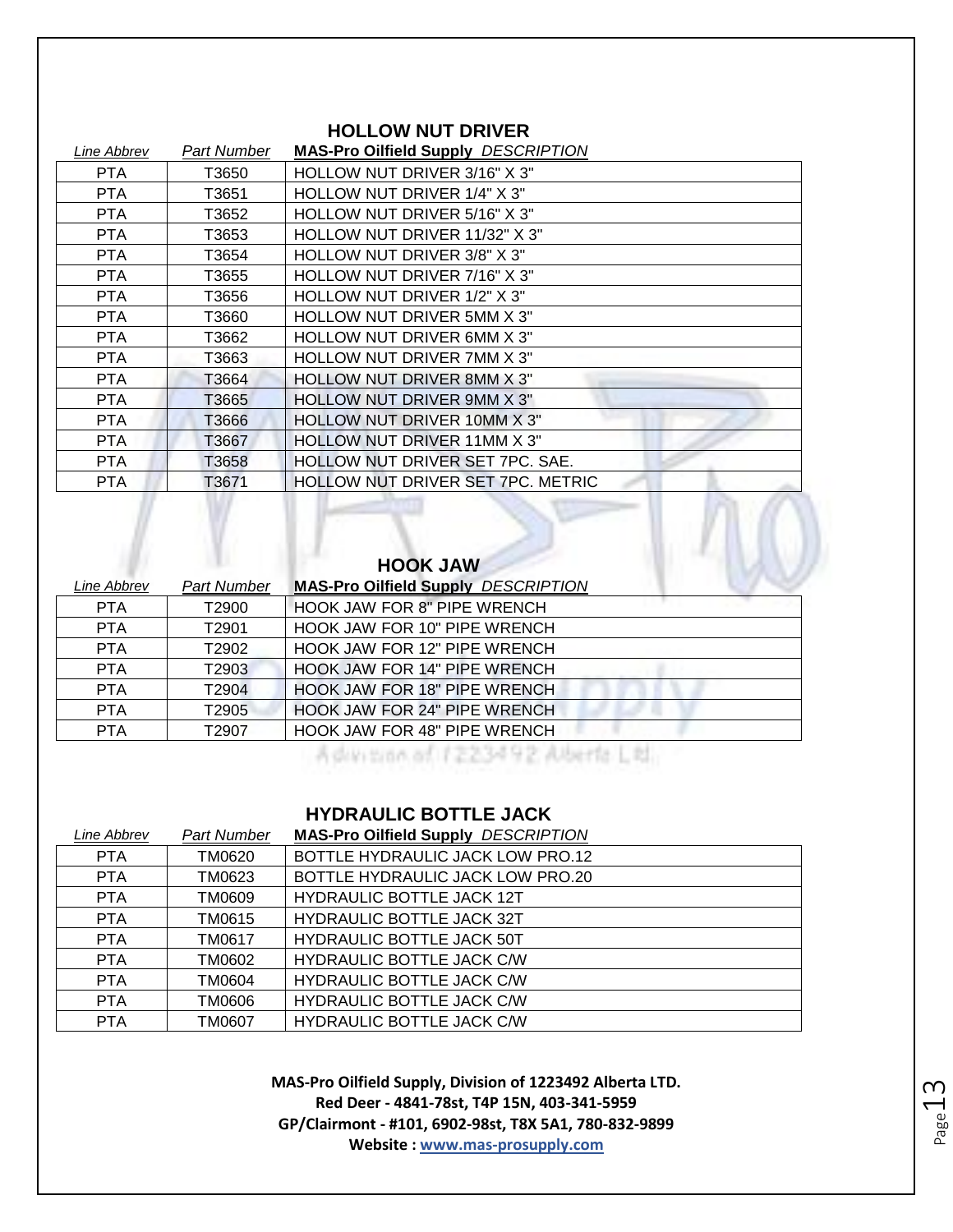#### **HOLLOW NUT DRIVER**

| Line Abbrev | Part Number | <b>MAS-Pro Oilfield Supply DESCRIPTION</b> |
|-------------|-------------|--------------------------------------------|
| PTA         | T3650       | HOLLOW NUT DRIVER 3/16" X 3"               |
| PTA         | T3651       | HOLLOW NUT DRIVER 1/4" X 3"                |
| <b>PTA</b>  | T3652       | HOLLOW NUT DRIVER 5/16" X 3"               |
| PTA.        | T3653       | HOLLOW NUT DRIVER 11/32" X 3"              |
| PTA         | T3654       | HOLLOW NUT DRIVER 3/8" X 3"                |
| <b>PTA</b>  | T3655       | HOLLOW NUT DRIVER 7/16" X 3"               |
| PTA         | T3656       | HOLLOW NUT DRIVER 1/2" X 3"                |
| PTA         | T3660       | HOLLOW NUT DRIVER 5MM X 3"                 |
| PTA         | T3662       | <b>HOLLOW NUT DRIVER 6MM X 3"</b>          |
| <b>PTA</b>  | T3663       | <b>HOLLOW NUT DRIVER 7MM X 3"</b>          |
| <b>PTA</b>  | T3664       | <b>HOLLOW NUT DRIVER 8MM X 3"</b>          |
| PTA.        | T3665       | <b>HOLLOW NUT DRIVER 9MM X 3"</b>          |
| PTA.        | T3666       | <b>HOLLOW NUT DRIVER 10MM X 3"</b>         |
| <b>PTA</b>  | T3667       | <b>HOLLOW NUT DRIVER 11MM X 3"</b>         |
| <b>PTA</b>  | T3658       | HOLLOW NUT DRIVER SET 7PC. SAE.            |
| <b>PTA</b>  | T3671       | <b>HOLLOW NUT DRIVER SET 7PC. METRIC</b>   |

#### **HOOK JAW**

| Line Abbrev | <b>Part Number</b> | <b>MAS-Pro Oilfield Supply DESCRIPTION</b> |
|-------------|--------------------|--------------------------------------------|
| <b>PTA</b>  | T2900              | <b>HOOK JAW FOR 8" PIPE WRENCH</b>         |
| <b>PTA</b>  | T2901              | HOOK JAW FOR 10" PIPE WRENCH               |
| <b>PTA</b>  | T2902              | <b>HOOK JAW FOR 12" PIPE WRENCH</b>        |
| <b>PTA</b>  | T2903              | <b>HOOK JAW FOR 14" PIPE WRENCH</b>        |
| <b>PTA</b>  | T2904              | <b>HOOK JAW FOR 18" PIPE WRENCH</b>        |
| <b>PTA</b>  | T2905              | <b>HOOK JAW FOR 24" PIPE WRENCH</b>        |
| <b>PTA</b>  | T2907              | HOOK JAW FOR 48" PIPE WRENCH               |

A division of 1223492 Alberta Ltd.

 $\Box$   $\Box$   $\Box$ 

#### **HYDRAULIC BOTTLE JACK**

| Line Abbrev | Part Number | <b>MAS-Pro Oilfield Supply DESCRIPTION</b> |
|-------------|-------------|--------------------------------------------|
| <b>PTA</b>  | TM0620      | BOTTLE HYDRAULIC JACK LOW PRO.12           |
| <b>PTA</b>  | TM0623      | BOTTLE HYDRAULIC JACK LOW PRO.20           |
| <b>PTA</b>  | TM0609      | <b>HYDRAULIC BOTTLE JACK 12T</b>           |
| <b>PTA</b>  | TM0615      | <b>HYDRAULIC BOTTLE JACK 32T</b>           |
| <b>PTA</b>  | TM0617      | <b>HYDRAULIC BOTTLE JACK 50T</b>           |
| <b>PTA</b>  | TM0602      | <b>HYDRAULIC BOTTLE JACK C/W</b>           |
| <b>PTA</b>  | TM0604      | <b>HYDRAULIC BOTTLE JACK C/W</b>           |
| <b>PTA</b>  | 6060MT      | <b>HYDRAULIC BOTTLE JACK C/W</b>           |
| <b>PTA</b>  | TM0607      | HYDRAULIC BOTTLE JACK C/W                  |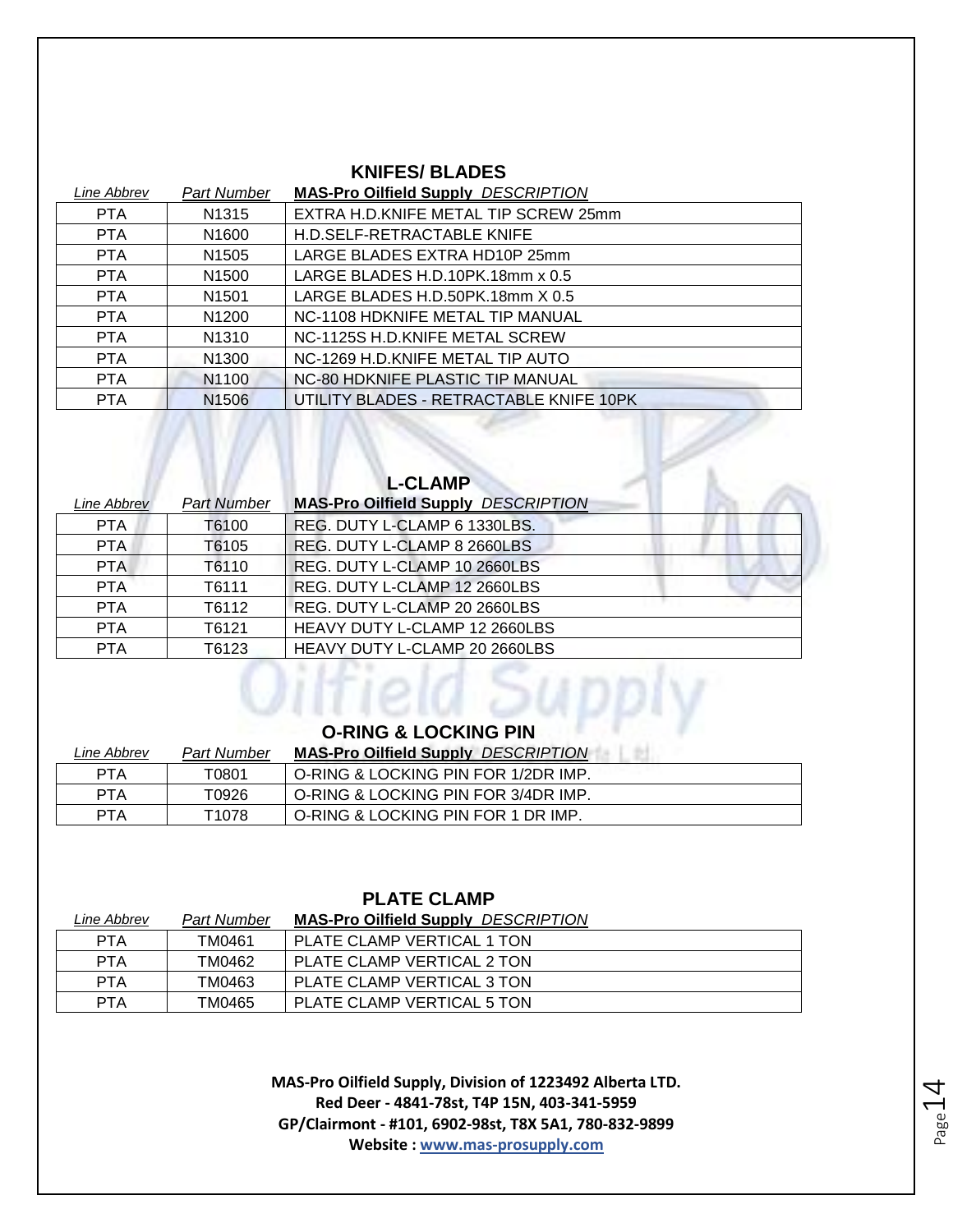#### **KNIFES/ BLADES**

| Line Abbrev | Part Number       | <b>MAS-Pro Oilfield Supply DESCRIPTION</b> |
|-------------|-------------------|--------------------------------------------|
| <b>PTA</b>  | N <sub>1315</sub> | EXTRA H.D.KNIFE METAL TIP SCREW 25mm       |
| <b>PTA</b>  | N <sub>1600</sub> | H.D.SELF-RETRACTABLE KNIFE                 |
| <b>PTA</b>  | N <sub>1505</sub> | LARGE BLADES EXTRA HD10P 25mm              |
| <b>PTA</b>  | N <sub>1500</sub> | LARGE BLADES H.D.10PK.18mm x 0.5           |
| <b>PTA</b>  | N <sub>1501</sub> | LARGE BLADES H.D.50PK.18mm X 0.5           |
| <b>PTA</b>  | N1200             | NC-1108 HDKNIFE METAL TIP MANUAL           |
| <b>PTA</b>  | N1310             | NC-1125S H.D.KNIFE METAL SCREW             |
| <b>PTA</b>  | N <sub>1300</sub> | NC-1269 H.D.KNIFE METAL TIP AUTO           |
| <b>PTA</b>  | N1100             | NC-80 HDKNIFE PLASTIC TIP MANUAL           |
| <b>PTA</b>  | N <sub>1506</sub> | UTILITY BLADES - RETRACTABLE KNIFE 10PK    |

| <b>L-CLAMP</b>            |                    |                                            |  |
|---------------------------|--------------------|--------------------------------------------|--|
| <i><b>Line Abbrev</b></i> | <b>Part Number</b> | <b>MAS-Pro Oilfield Supply DESCRIPTION</b> |  |
| <b>PTA</b>                | T6100              | REG. DUTY L-CLAMP 6 1330LBS.               |  |
| <b>PTA</b>                | T6105              | REG. DUTY L-CLAMP 8 2660LBS                |  |
| <b>PTA</b>                | T6110              | REG. DUTY L-CLAMP 10 2660LBS               |  |
| <b>PTA</b>                | T6111              | REG. DUTY L-CLAMP 12 2660LBS               |  |
| <b>PTA</b>                | T6112              | REG. DUTY L-CLAMP 20 2660LBS               |  |
| <b>PTA</b>                | T6121              | <b>HEAVY DUTY L-CLAMP 12 2660LBS</b>       |  |
| <b>PTA</b>                | T6123              | <b>HEAVY DUTY L-CLAMP 20 2660LBS</b>       |  |

 $MN$ 

#### **O-RING & LOCKING PIN**

| Line Abbrev | Part Number | <b>MAS-Pro Oilfield Supply DESCRIPTION</b> |
|-------------|-------------|--------------------------------------------|
| <b>PTA</b>  | T0801       | O-RING & LOCKING PIN FOR 1/2DR IMP.        |
| <b>PTA</b>  | T0926       | O-RING & LOCKING PIN FOR 3/4DR IMP.        |
| PTA         | T1078       | O-RING & LOCKING PIN FOR 1 DR IMP.         |

#### **PLATE CLAMP**

| Line Abbrev | <b>Part Number</b> | <b>MAS-Pro Oilfield Supply DESCRIPTION</b> |
|-------------|--------------------|--------------------------------------------|
| <b>PTA</b>  | TM0461             | PLATE CLAMP VERTICAL 1 TON                 |
| <b>PTA</b>  | TM0462             | PLATE CLAMP VERTICAL 2 TON                 |
| <b>PTA</b>  | TM0463             | PLATE CLAMP VERTICAL 3 TON                 |
| PTA         | TM0465             | PLATE CLAMP VERTICAL 5 TON                 |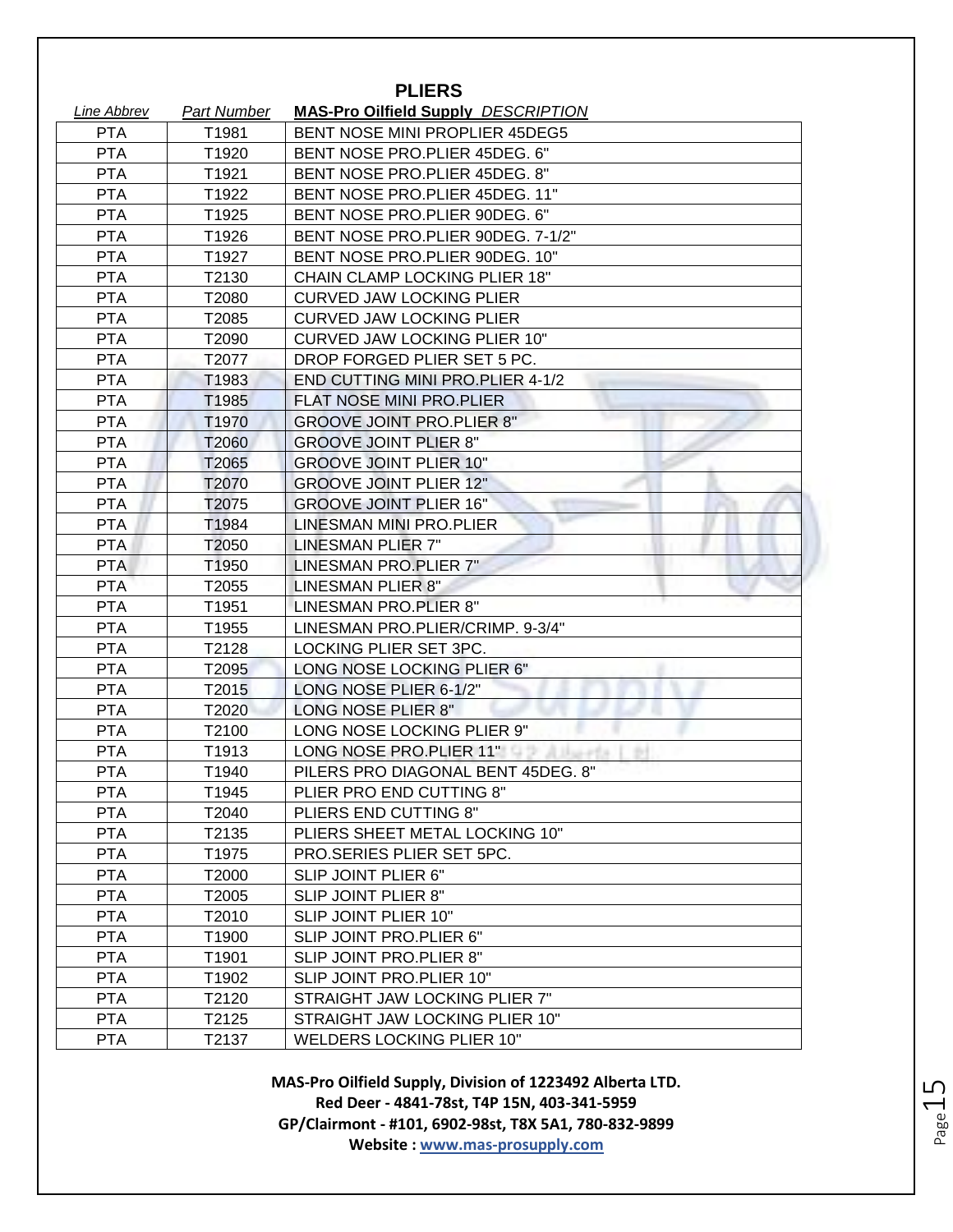| <b>PLIERS</b>      |             |                                            |
|--------------------|-------------|--------------------------------------------|
| <u>Line Abbrev</u> | Part Number | <b>MAS-Pro Oilfield Supply DESCRIPTION</b> |
| <b>PTA</b>         | T1981       | <b>BENT NOSE MINI PROPLIER 45DEG5</b>      |
| <b>PTA</b>         | T1920       | BENT NOSE PRO.PLIER 45DEG. 6"              |
| <b>PTA</b>         | T1921       | BENT NOSE PRO.PLIER 45DEG. 8"              |
| <b>PTA</b>         | T1922       | BENT NOSE PRO.PLIER 45DEG. 11"             |
| <b>PTA</b>         | T1925       | BENT NOSE PRO.PLIER 90DEG. 6"              |
| <b>PTA</b>         | T1926       | BENT NOSE PRO.PLIER 90DEG. 7-1/2"          |
| <b>PTA</b>         | T1927       | BENT NOSE PRO.PLIER 90DEG. 10"             |
| <b>PTA</b>         | T2130       | <b>CHAIN CLAMP LOCKING PLIER 18"</b>       |
| <b>PTA</b>         | T2080       | <b>CURVED JAW LOCKING PLIER</b>            |
| <b>PTA</b>         | T2085       | <b>CURVED JAW LOCKING PLIER</b>            |
| <b>PTA</b>         | T2090       | <b>CURVED JAW LOCKING PLIER 10"</b>        |
| <b>PTA</b>         | T2077       | DROP FORGED PLIER SET 5 PC.                |
| <b>PTA</b>         | T1983       | END CUTTING MINI PRO. PLIER 4-1/2          |
| <b>PTA</b>         | T1985       | <b>FLAT NOSE MINI PRO.PLIER</b>            |
| <b>PTA</b>         | T1970       | <b>GROOVE JOINT PRO.PLIER 8"</b>           |
| <b>PTA</b>         | T2060       | <b>GROOVE JOINT PLIER 8"</b>               |
| <b>PTA</b>         | T2065       | <b>GROOVE JOINT PLIER 10"</b>              |
| <b>PTA</b>         | T2070       | <b>GROOVE JOINT PLIER 12"</b>              |
| <b>PTA</b>         | T2075       | <b>GROOVE JOINT PLIER 16"</b>              |
| <b>PTA</b>         | T1984       | LINESMAN MINI PRO.PLIER                    |
| <b>PTA</b>         | T2050       | LINESMAN PLIER 7"                          |
| <b>PTA</b>         | T1950       | LINESMAN PRO.PLIER 7"                      |
| <b>PTA</b>         | T2055       | <b>LINESMAN PLIER 8"</b>                   |
| <b>PTA</b>         | T1951       | LINESMAN PRO.PLIER 8"                      |
| <b>PTA</b>         | T1955       | LINESMAN PRO.PLIER/CRIMP. 9-3/4"           |
| <b>PTA</b>         | T2128       | LOCKING PLIER SET 3PC.                     |
| <b>PTA</b>         | T2095       | LONG NOSE LOCKING PLIER 6"                 |
| <b>PTA</b>         | T2015       | LONG NOSE PLIER 6-1/2"                     |
| <b>PTA</b>         | T2020       | LONG NOSE PLIER 8"                         |
| <b>PTA</b>         | T2100       | LONG NOSE LOCKING PLIER 9"                 |
| <b>PTA</b>         | T1913       | LONG NOSE PRO. PLIER 11"                   |
| <b>PTA</b>         | T1940       | PILERS PRO DIAGONAL BENT 45DEG. 8"         |
| <b>PTA</b>         | T1945       | PLIER PRO END CUTTING 8"                   |
| <b>PTA</b>         | T2040       | PLIERS END CUTTING 8"                      |
| <b>PTA</b>         | T2135       | PLIERS SHEET METAL LOCKING 10"             |
| <b>PTA</b>         | T1975       | PRO.SERIES PLIER SET 5PC.                  |
| <b>PTA</b>         | T2000       | SLIP JOINT PLIER 6"                        |
| <b>PTA</b>         | T2005       | SLIP JOINT PLIER 8"                        |
| <b>PTA</b>         | T2010       | SLIP JOINT PLIER 10"                       |
| <b>PTA</b>         | T1900       | SLIP JOINT PRO.PLIER 6"                    |
| <b>PTA</b>         | T1901       | SLIP JOINT PRO.PLIER 8"                    |
| <b>PTA</b>         | T1902       | SLIP JOINT PRO.PLIER 10"                   |
| <b>PTA</b>         | T2120       | STRAIGHT JAW LOCKING PLIER 7"              |
| <b>PTA</b>         | T2125       | STRAIGHT JAW LOCKING PLIER 10"             |
| <b>PTA</b>         | T2137       | <b>WELDERS LOCKING PLIER 10"</b>           |

Page15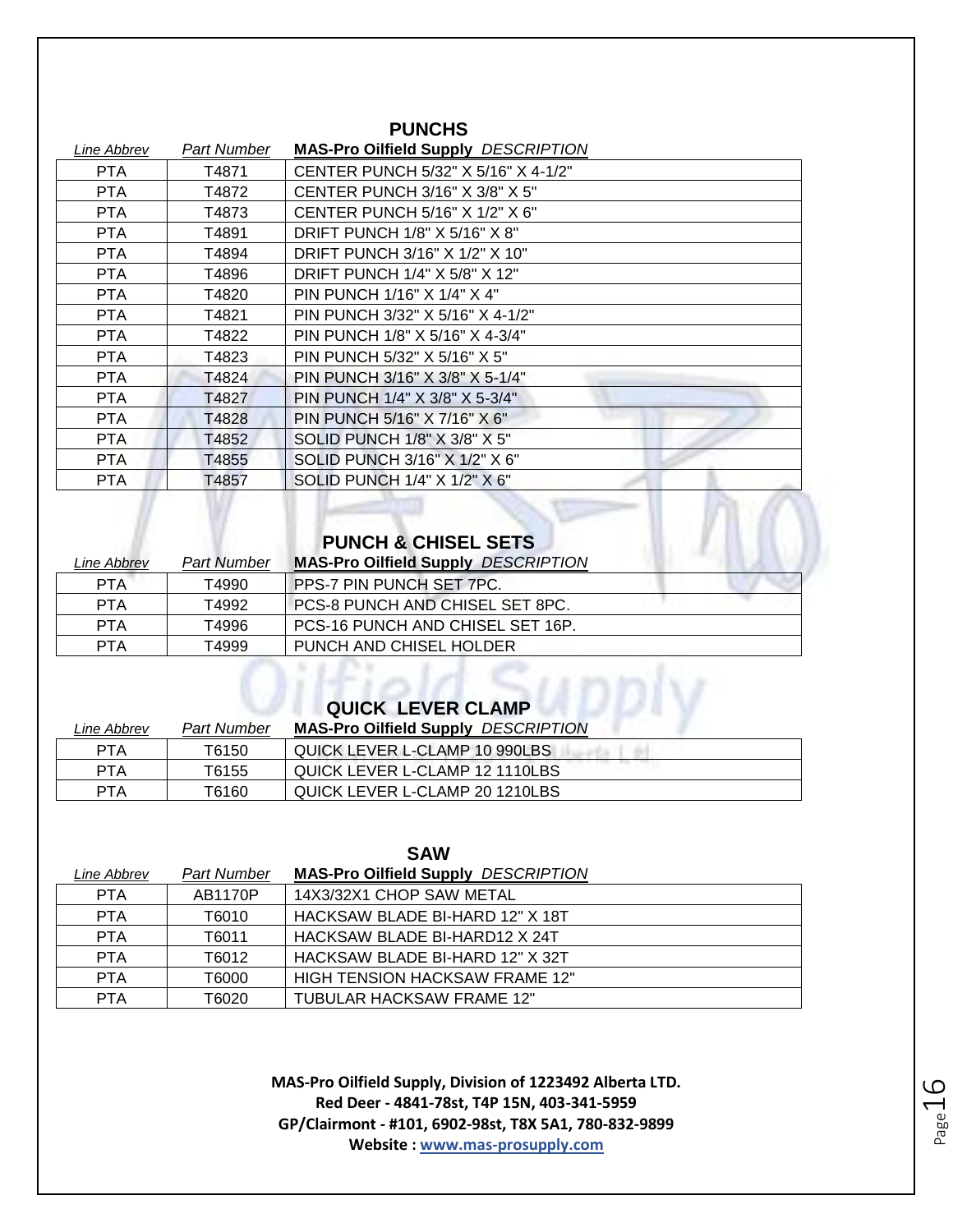| טו וטאוט    |             |                                            |
|-------------|-------------|--------------------------------------------|
| Line Abbrev | Part Number | <b>MAS-Pro Oilfield Supply DESCRIPTION</b> |
| PTA         | T4871       | CENTER PUNCH 5/32" X 5/16" X 4-1/2"        |
| PTA         | T4872       | <b>CENTER PUNCH 3/16" X 3/8" X 5"</b>      |
| <b>PTA</b>  | T4873       | CENTER PUNCH 5/16" X 1/2" X 6"             |
| PTA         | T4891       | DRIFT PUNCH 1/8" X 5/16" X 8"              |
| <b>PTA</b>  | T4894       | DRIFT PUNCH 3/16" X 1/2" X 10"             |
| PTA.        | T4896       | DRIFT PUNCH 1/4" X 5/8" X 12"              |
| PTA.        | T4820       | PIN PUNCH 1/16" X 1/4" X 4"                |
| PTA         | T4821       | PIN PUNCH 3/32" X 5/16" X 4-1/2"           |
| PTA         | T4822       | PIN PUNCH 1/8" X 5/16" X 4-3/4"            |
| <b>PTA</b>  | T4823       | PIN PUNCH 5/32" X 5/16" X 5"               |
| PTA.        | T4824       | PIN PUNCH 3/16" X 3/8" X 5-1/4"            |
| PTA.        | T4827       | PIN PUNCH 1/4" X 3/8" X 5-3/4"             |
| <b>PTA</b>  | T4828       | PIN PUNCH 5/16" X 7/16" X 6"               |
| PTA.        | T4852       | SOLID PUNCH 1/8" X 3/8" X 5"               |
| <b>PTA</b>  | T4855       | SOLID PUNCH 3/16" X 1/2" X 6"              |
| PTA         | T4857       | SOLID PUNCH 1/4" X 1/2" X 6"               |
|             |             |                                            |

**PUNCHS** 

#### **PUNCH & CHISEL SETS**

| Line Abbrev | <b>Part Number</b> | <b>MAS-Pro Oilfield Supply DESCRIPTION</b> |  |
|-------------|--------------------|--------------------------------------------|--|
| <b>PTA</b>  | T4990              | PPS-7 PIN PUNCH SET 7PC.                   |  |
| <b>PTA</b>  | T4992              | PCS-8 PUNCH AND CHISEL SET 8PC.            |  |
| <b>PTA</b>  | T4996              | PCS-16 PUNCH AND CHISEL SET 16P.           |  |
| PTA         | T4999              | PUNCH AND CHISEL HOLDER                    |  |

# QUICK LEVER CLAMP

| Line Abbrev | <b>Part Number</b> | <b>MAS-Pro Oilfield Supply DESCRIPTION</b> |
|-------------|--------------------|--------------------------------------------|
| <b>PTA</b>  | T6150              | QUICK LEVER L-CLAMP 10 990LBS              |
| <b>PTA</b>  | T6155              | QUICK LEVER L-CLAMP 12 1110LBS             |
| PTA         | T6160              | QUICK LEVER L-CLAMP 20 1210LBS             |

**SAW**

| Line Abbrev | <b>Part Number</b> | <b>MAS-Pro Oilfield Supply DESCRIPTION</b> |
|-------------|--------------------|--------------------------------------------|
| <b>PTA</b>  | AB1170P            | 14X3/32X1 CHOP SAW METAL                   |
| <b>PTA</b>  | T6010              | HACKSAW BLADE BI-HARD 12" X 18T            |
| <b>PTA</b>  | T6011              | HACKSAW BLADE BI-HARD12 X 24T              |
| <b>PTA</b>  | T6012              | HACKSAW BLADE BI-HARD 12" X 32T            |
| <b>PTA</b>  | T6000              | HIGH TENSION HACKSAW FRAME 12"             |
| <b>PTA</b>  | T6020              | TUBULAR HACKSAW FRAME 12"                  |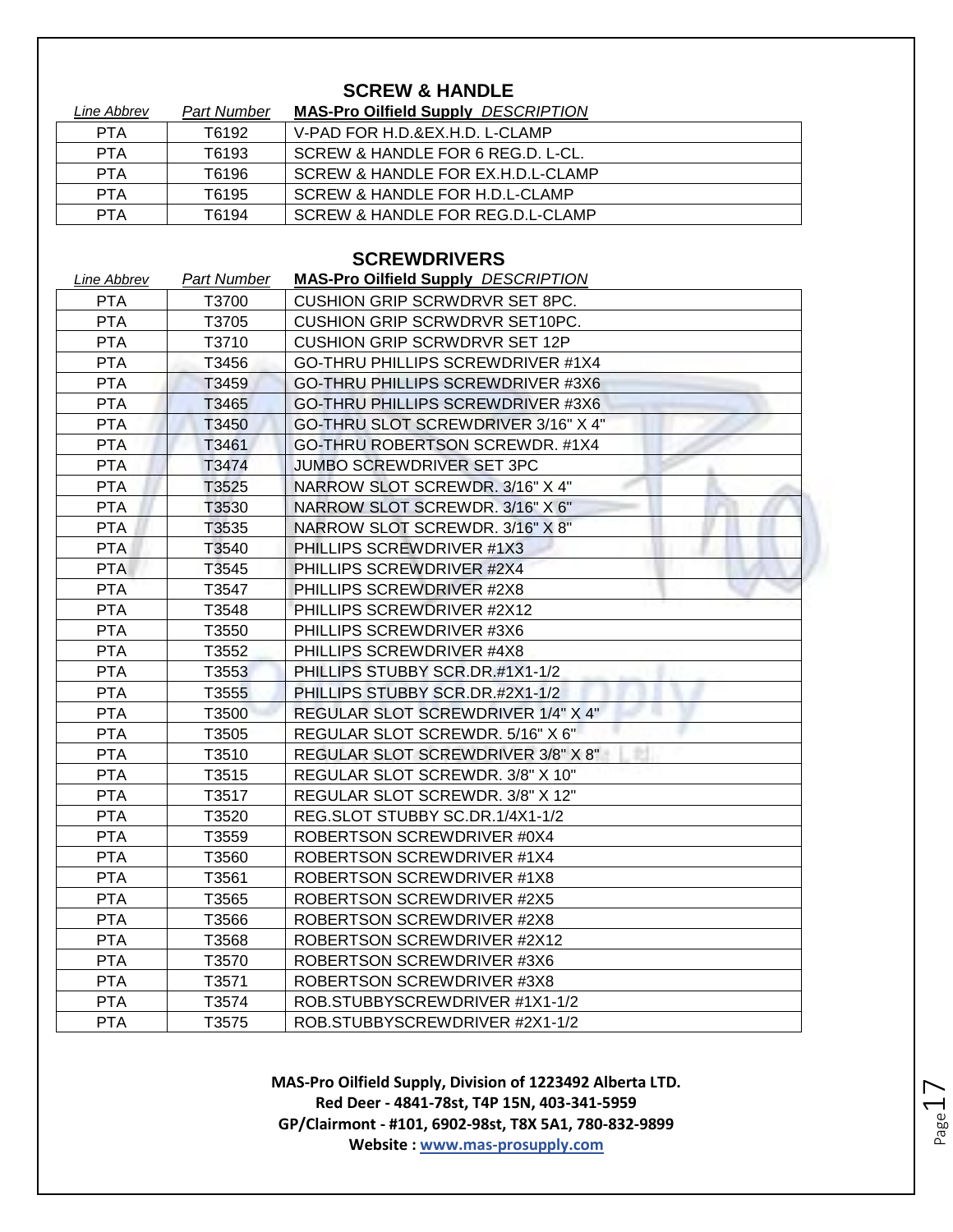### **SCREW & HANDLE**

| Line Abbrev | Part Number | <b>MAS-Pro Oilfield Supply DESCRIPTION</b> |
|-------------|-------------|--------------------------------------------|
| <b>PTA</b>  | T6192       | V-PAD FOR H.D.&EX.H.D. L-CLAMP             |
| <b>PTA</b>  | T6193       | SCREW & HANDLE FOR 6 REG.D. L-CL.          |
| <b>PTA</b>  | T6196       | SCREW & HANDLE FOR EX.H.D.L-CLAMP          |
| <b>PTA</b>  | T6195       | SCREW & HANDLE FOR H.D.L-CLAMP             |
| PTA         | T6194       | SCREW & HANDLE FOR REG.D.L-CLAMP           |

#### **SCREWDRIVERS**

| Line Abbrev | <b>Part Number</b> | <b>MAS-Pro Oilfield Supply DESCRIPTION</b> |
|-------------|--------------------|--------------------------------------------|
| <b>PTA</b>  | T3700              | <b>CUSHION GRIP SCRWDRVR SET 8PC.</b>      |
| <b>PTA</b>  | T3705              | <b>CUSHION GRIP SCRWDRVR SET10PC.</b>      |
| <b>PTA</b>  | T3710              | <b>CUSHION GRIP SCRWDRVR SET 12P</b>       |
| <b>PTA</b>  | T3456              | GO-THRU PHILLIPS SCREWDRIVER #1X4          |
| <b>PTA</b>  | T3459              | GO-THRU PHILLIPS SCREWDRIVER #3X6          |
| <b>PTA</b>  | T3465              | GO-THRU PHILLIPS SCREWDRIVER #3X6          |
| <b>PTA</b>  | T3450              | GO-THRU SLOT SCREWDRIVER 3/16" X 4"        |
| <b>PTA</b>  | T3461              | GO-THRU ROBERTSON SCREWDR. #1X4            |
| <b>PTA</b>  | T3474              | JUMBO SCREWDRIVER SET 3PC                  |
| <b>PTA</b>  | T3525              | NARROW SLOT SCREWDR. 3/16" X 4"            |
| <b>PTA</b>  | T3530              | NARROW SLOT SCREWDR. 3/16" X 6"            |
| <b>PTA</b>  | T3535              | NARROW SLOT SCREWDR. 3/16" X 8"            |
| <b>PTA</b>  | T3540              | PHILLIPS SCREWDRIVER #1X3                  |
| <b>PTA</b>  | T3545              | PHILLIPS SCREWDRIVER #2X4                  |
| <b>PTA</b>  | T3547              | PHILLIPS SCREWDRIVER #2X8                  |
| <b>PTA</b>  | T3548              | PHILLIPS SCREWDRIVER #2X12                 |
| <b>PTA</b>  | T3550              | PHILLIPS SCREWDRIVER #3X6                  |
| <b>PTA</b>  | T3552              | PHILLIPS SCREWDRIVER #4X8                  |
| <b>PTA</b>  | T3553              | PHILLIPS STUBBY SCR.DR.#1X1-1/2            |
| <b>PTA</b>  | T3555              | PHILLIPS STUBBY SCR.DR.#2X1-1/2            |
| <b>PTA</b>  | T3500              | REGULAR SLOT SCREWDRIVER 1/4" X 4"         |
| <b>PTA</b>  | T3505              | REGULAR SLOT SCREWDR. 5/16" X 6"           |
| <b>PTA</b>  | T3510              | REGULAR SLOT SCREWDRIVER 3/8" X 8"         |
| <b>PTA</b>  | T3515              | REGULAR SLOT SCREWDR. 3/8" X 10"           |
| <b>PTA</b>  | T3517              | REGULAR SLOT SCREWDR. 3/8" X 12"           |
| <b>PTA</b>  | T3520              | REG.SLOT STUBBY SC.DR.1/4X1-1/2            |
| <b>PTA</b>  | T3559              | ROBERTSON SCREWDRIVER #0X4                 |
| <b>PTA</b>  | T3560              | ROBERTSON SCREWDRIVER #1X4                 |
| <b>PTA</b>  | T3561              | <b>ROBERTSON SCREWDRIVER #1X8</b>          |
| <b>PTA</b>  | T3565              | ROBERTSON SCREWDRIVER #2X5                 |
| <b>PTA</b>  | T3566              | ROBERTSON SCREWDRIVER #2X8                 |
| <b>PTA</b>  | T3568              | ROBERTSON SCREWDRIVER #2X12                |
| <b>PTA</b>  | T3570              | ROBERTSON SCREWDRIVER #3X6                 |
| <b>PTA</b>  | T3571              | ROBERTSON SCREWDRIVER #3X8                 |
| <b>PTA</b>  | T3574              | ROB.STUBBYSCREWDRIVER #1X1-1/2             |
| <b>PTA</b>  | T3575              | ROB.STUBBYSCREWDRIVER #2X1-1/2             |

**MAS-Pro Oilfield Supply, Division of 1223492 Alberta LTD. Red Deer - 4841-78st, T4P 15N, 403-341-5959 GP/Clairmont - #101, 6902-98st, T8X 5A1, 780-832-9899 Website : www.mas-prosupply.com**

Page17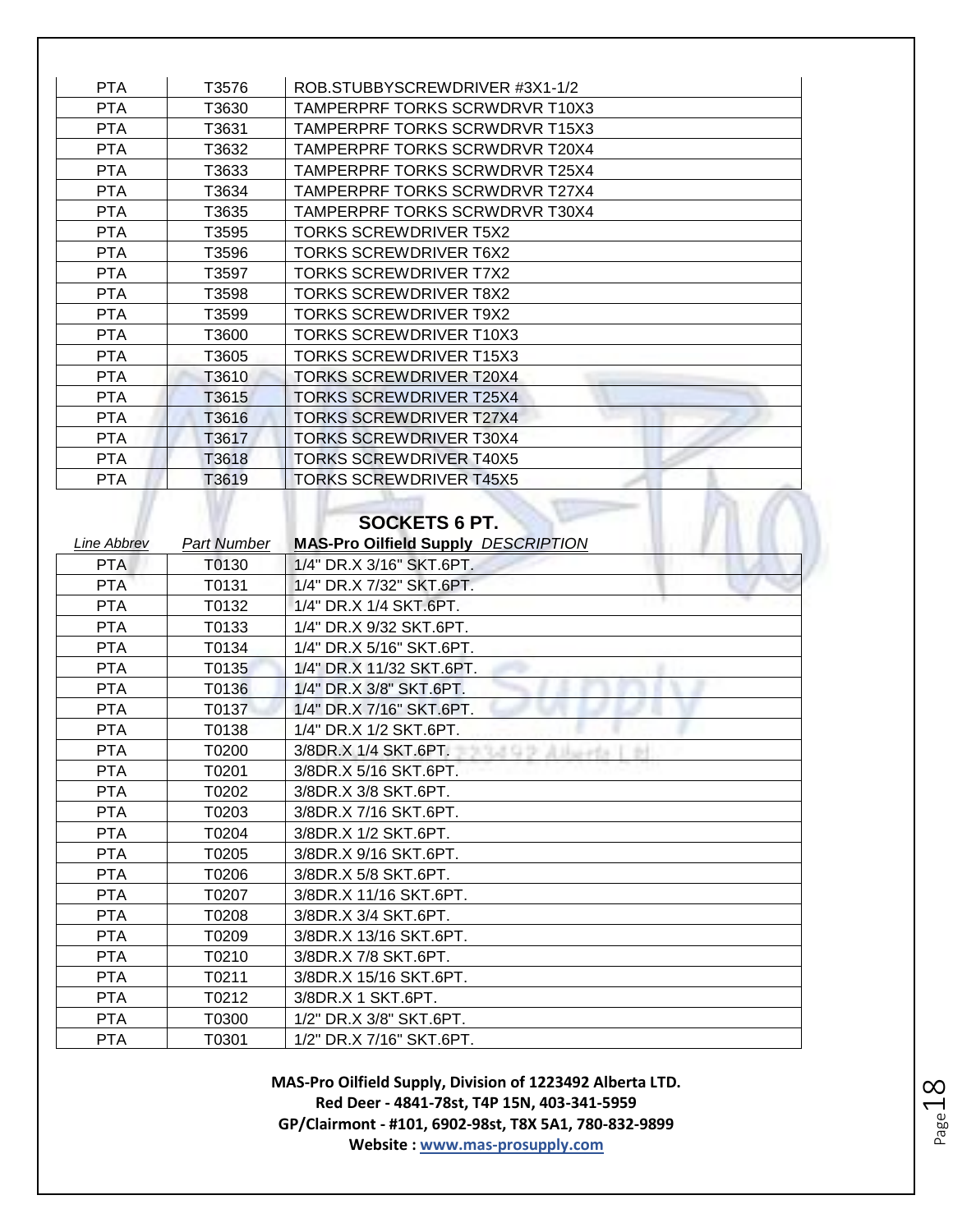| <b>PTA</b> | T3576 | ROB.STUBBYSCREWDRIVER #3X1-1/2        |
|------------|-------|---------------------------------------|
| <b>PTA</b> | T3630 | <b>TAMPERPRF TORKS SCRWDRVR T10X3</b> |
| <b>PTA</b> | T3631 | <b>TAMPERPRF TORKS SCRWDRVR T15X3</b> |
| <b>PTA</b> | T3632 | <b>TAMPERPRF TORKS SCRWDRVR T20X4</b> |
| <b>PTA</b> | T3633 | <b>TAMPERPRF TORKS SCRWDRVR T25X4</b> |
| <b>PTA</b> | T3634 | <b>TAMPERPRF TORKS SCRWDRVR T27X4</b> |
| <b>PTA</b> | T3635 | <b>TAMPERPRF TORKS SCRWDRVR T30X4</b> |
| <b>PTA</b> | T3595 | <b>TORKS SCREWDRIVER T5X2</b>         |
| <b>PTA</b> | T3596 | <b>TORKS SCREWDRIVER T6X2</b>         |
| <b>PTA</b> | T3597 | <b>TORKS SCREWDRIVER T7X2</b>         |
| <b>PTA</b> | T3598 | <b>TORKS SCREWDRIVER T8X2</b>         |
| <b>PTA</b> | T3599 | <b>TORKS SCREWDRIVER T9X2</b>         |
| <b>PTA</b> | T3600 | <b>TORKS SCREWDRIVER T10X3</b>        |
| <b>PTA</b> | T3605 | <b>TORKS SCREWDRIVER T15X3</b>        |
| <b>PTA</b> | T3610 | <b>TORKS SCREWDRIVER T20X4</b>        |
| <b>PTA</b> | T3615 | <b>TORKS SCREWDRIVER T25X4</b>        |
| <b>PTA</b> | T3616 | <b>TORKS SCREWDRIVER T27X4</b>        |
| <b>PTA</b> | T3617 | <b>TORKS SCREWDRIVER T30X4</b>        |
| <b>PTA</b> | T3618 | <b>TORKS SCREWDRIVER T40X5</b>        |
| <b>PTA</b> | T3619 | <b>TORKS SCREWDRIVER T45X5</b>        |

#### **SOCKETS 6 PT.**

| Line Abbrev | <b>Part Number</b> | <b>MAS-Pro Oilfield Supply DESCRIPTION</b> |
|-------------|--------------------|--------------------------------------------|
| <b>PTA</b>  | T0130              | 1/4" DR.X 3/16" SKT.6PT.                   |
| <b>PTA</b>  | T0131              | 1/4" DR.X 7/32" SKT.6PT.                   |
| <b>PTA</b>  | T0132              | 1/4" DR.X 1/4 SKT.6PT.                     |
| <b>PTA</b>  | T0133              | 1/4" DR.X 9/32 SKT.6PT.                    |
| <b>PTA</b>  | T0134              | 1/4" DR.X 5/16" SKT.6PT.                   |
| <b>PTA</b>  | T0135              | 1/4" DR.X 11/32 SKT.6PT.                   |
| <b>PTA</b>  | T0136              | 1/4" DR.X 3/8" SKT.6PT.                    |
| <b>PTA</b>  | T0137              | 1/4" DR.X 7/16" SKT.6PT.                   |
| <b>PTA</b>  | T0138              | 1/4" DR.X 1/2 SKT.6PT.                     |
| <b>PTA</b>  | T0200              | 3/8DR.X 1/4 SKT.6PT.<br>えロラ                |
| <b>PTA</b>  | T0201              | 3/8DR.X 5/16 SKT.6PT.                      |
| <b>PTA</b>  | T0202              | 3/8DR.X 3/8 SKT.6PT.                       |
| <b>PTA</b>  | T0203              | 3/8DR.X 7/16 SKT.6PT.                      |
| <b>PTA</b>  | T0204              | 3/8DR.X 1/2 SKT.6PT.                       |
| <b>PTA</b>  | T0205              | 3/8DR.X 9/16 SKT.6PT.                      |
| <b>PTA</b>  | T0206              | 3/8DR.X 5/8 SKT.6PT.                       |
| <b>PTA</b>  | T0207              | 3/8DR.X 11/16 SKT.6PT.                     |
| <b>PTA</b>  | T0208              | 3/8DR.X 3/4 SKT.6PT.                       |
| <b>PTA</b>  | T0209              | 3/8DR.X 13/16 SKT.6PT.                     |
| <b>PTA</b>  | T0210              | 3/8DR.X 7/8 SKT.6PT.                       |
| <b>PTA</b>  | T0211              | 3/8DR.X 15/16 SKT.6PT.                     |
| <b>PTA</b>  | T0212              | 3/8DR.X 1 SKT.6PT.                         |
| <b>PTA</b>  | T0300              | 1/2" DR.X 3/8" SKT.6PT.                    |
| <b>PTA</b>  | T0301              | 1/2" DR.X 7/16" SKT.6PT.                   |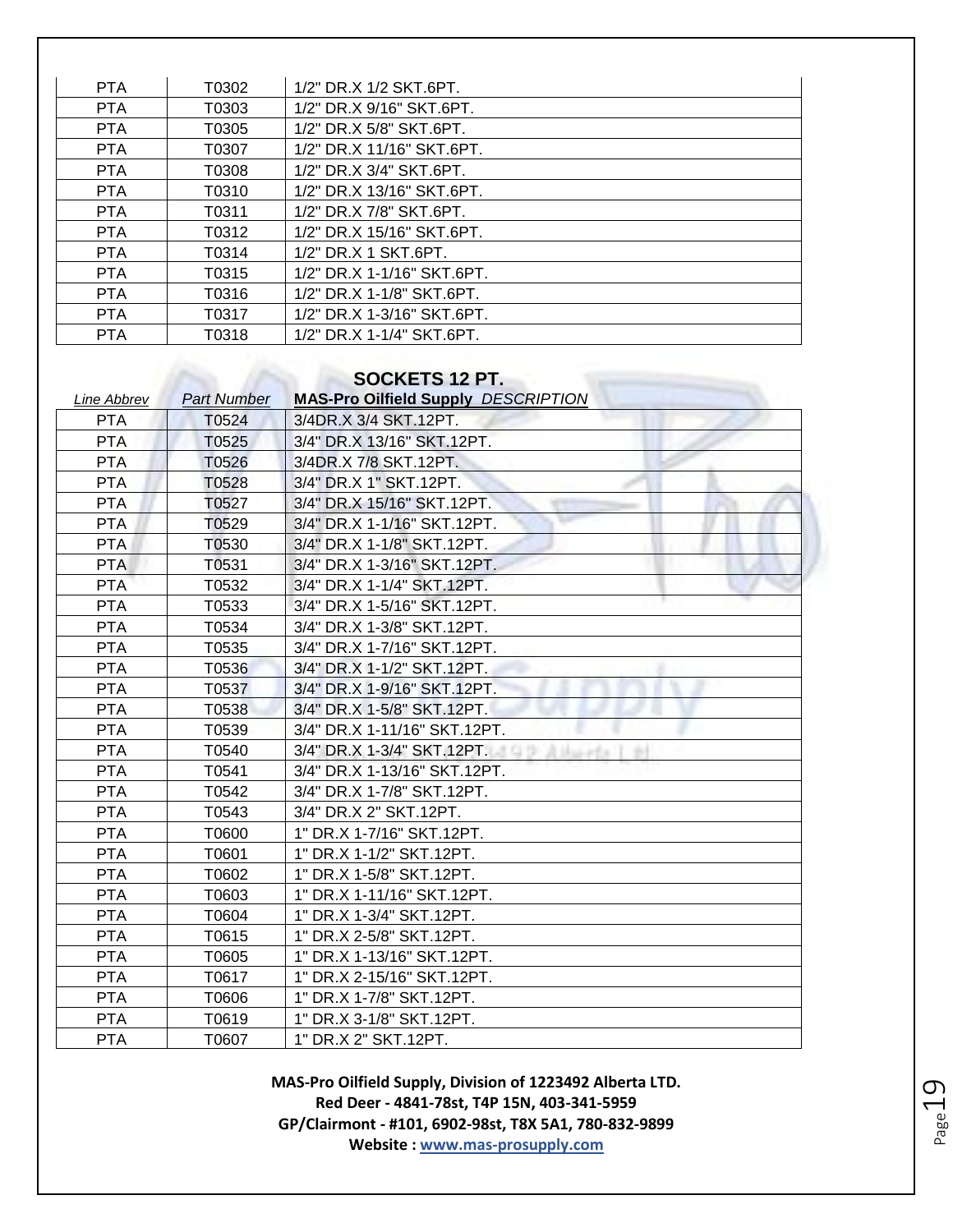| <b>PTA</b> | T0302 | 1/2" DR.X 1/2 SKT.6PT.     |
|------------|-------|----------------------------|
| <b>PTA</b> | T0303 | 1/2" DR.X 9/16" SKT.6PT.   |
| <b>PTA</b> | T0305 | 1/2" DR.X 5/8" SKT.6PT.    |
| <b>PTA</b> | T0307 | 1/2" DR.X 11/16" SKT.6PT.  |
| <b>PTA</b> | T0308 | 1/2" DR.X 3/4" SKT.6PT.    |
| <b>PTA</b> | T0310 | 1/2" DR.X 13/16" SKT.6PT.  |
| <b>PTA</b> | T0311 | 1/2" DR.X 7/8" SKT.6PT.    |
| <b>PTA</b> | T0312 | 1/2" DR.X 15/16" SKT.6PT.  |
| <b>PTA</b> | T0314 | 1/2" DR.X 1 SKT.6PT.       |
| <b>PTA</b> | T0315 | 1/2" DR.X 1-1/16" SKT.6PT. |
| <b>PTA</b> | T0316 | 1/2" DR.X 1-1/8" SKT.6PT.  |
| <b>PTA</b> | T0317 | 1/2" DR.X 1-3/16" SKT.6PT. |
| <b>PTA</b> | T0318 | 1/2" DR.X 1-1/4" SKT.6PT.  |

# **SOCKETS 12 PT.**

| <b>Line Abbrev</b> | <b>Part Number</b> | UUUNLIU ILI I.<br><b>MAS-Pro Oilfield Supply DESCRIPTION</b> |
|--------------------|--------------------|--------------------------------------------------------------|
| <b>PTA</b>         | T0524              | 3/4DR.X 3/4 SKT.12PT.                                        |
| <b>PTA</b>         | T0525              | 3/4" DR.X 13/16" SKT.12PT.                                   |
| <b>PTA</b>         | T0526              | 3/4DR.X 7/8 SKT.12PT.                                        |
| <b>PTA</b>         | T0528              | 3/4" DR.X 1" SKT.12PT.                                       |
| <b>PTA</b>         | T0527              | 3/4" DR.X 15/16" SKT.12PT.                                   |
| <b>PTA</b>         | T0529              | 3/4" DR.X 1-1/16" SKT.12PT.                                  |
| <b>PTA</b>         | T0530              | 3/4" DR.X 1-1/8" SKT.12PT.                                   |
| <b>PTA</b>         | T0531              | 3/4" DR.X 1-3/16" SKT.12PT.                                  |
| <b>PTA</b>         | T0532              | 3/4" DR.X 1-1/4" SKT.12PT.                                   |
| <b>PTA</b>         | T0533              | 3/4" DR.X 1-5/16" SKT.12PT.                                  |
| <b>PTA</b>         | T0534              | 3/4" DR.X 1-3/8" SKT.12PT.                                   |
| <b>PTA</b>         | T0535              | 3/4" DR.X 1-7/16" SKT.12PT.                                  |
| <b>PTA</b>         | T0536              | 3/4" DR.X 1-1/2" SKT.12PT.                                   |
| <b>PTA</b>         | T0537              | 3/4" DR.X 1-9/16" SKT.12PT.                                  |
| <b>PTA</b>         | T0538              | 3/4" DR.X 1-5/8" SKT.12PT.                                   |
| <b>PTA</b>         | T0539              | 3/4" DR.X 1-11/16" SKT.12PT.                                 |
| <b>PTA</b>         | T0540              | 3/4" DR.X 1-3/4" SKT.12PT.                                   |
| <b>PTA</b>         | T0541              | 3/4" DR.X 1-13/16" SKT.12PT.                                 |
| <b>PTA</b>         | T0542              | 3/4" DR.X 1-7/8" SKT.12PT.                                   |
| <b>PTA</b>         | T0543              | 3/4" DR.X 2" SKT.12PT.                                       |
| <b>PTA</b>         | T0600              | 1" DR.X 1-7/16" SKT.12PT.                                    |
| <b>PTA</b>         | T0601              | 1" DR.X 1-1/2" SKT.12PT.                                     |
| <b>PTA</b>         | T0602              | 1" DR.X 1-5/8" SKT.12PT.                                     |
| <b>PTA</b>         | T0603              | 1" DR.X 1-11/16" SKT.12PT.                                   |
| <b>PTA</b>         | T0604              | 1" DR.X 1-3/4" SKT.12PT.                                     |
| <b>PTA</b>         | T0615              | 1" DR.X 2-5/8" SKT.12PT.                                     |
| <b>PTA</b>         | T0605              | 1" DR.X 1-13/16" SKT.12PT.                                   |
| <b>PTA</b>         | T0617              | 1" DR.X 2-15/16" SKT.12PT.                                   |
| <b>PTA</b>         | T0606              | 1" DR.X 1-7/8" SKT.12PT.                                     |
| <b>PTA</b>         | T0619              | 1" DR.X 3-1/8" SKT.12PT.                                     |
| <b>PTA</b>         | T0607              | 1" DR.X 2" SKT.12PT.                                         |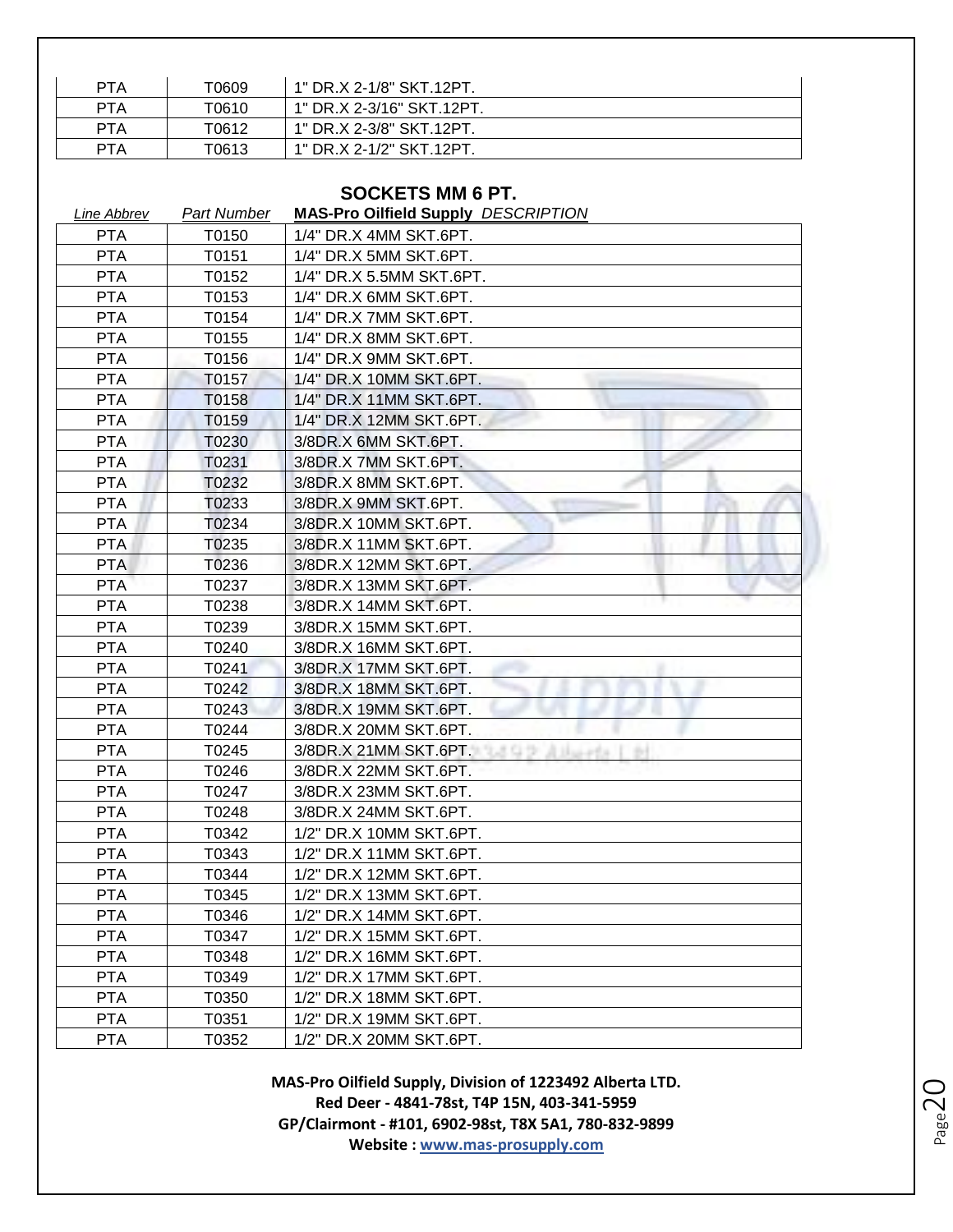| <b>PTA</b> | T0609 | 1" DR.X 2-1/8" SKT.12PT.  |
|------------|-------|---------------------------|
| <b>PTA</b> | T0610 | 1" DR.X 2-3/16" SKT.12PT. |
| <b>PTA</b> | T0612 | 1" DR.X 2-3/8" SKT.12PT.  |
| PTA        | T0613 | 1" DR.X 2-1/2" SKT.12PT   |

### **SOCKETS MM 6 PT.**

| <b>Line Abbrev</b> | <b>Part Number</b> | <b>MAS-Pro Oilfield Supply DESCRIPTION</b> |
|--------------------|--------------------|--------------------------------------------|
| <b>PTA</b>         | T0150              | 1/4" DR.X 4MM SKT.6PT.                     |
| <b>PTA</b>         | T0151              | 1/4" DR.X 5MM SKT.6PT.                     |
| <b>PTA</b>         | T0152              | 1/4" DR.X 5.5MM SKT.6PT.                   |
| <b>PTA</b>         | T0153              | 1/4" DR.X 6MM SKT.6PT.                     |
| <b>PTA</b>         | T0154              | 1/4" DR.X 7MM SKT.6PT.                     |
| <b>PTA</b>         | T0155              | 1/4" DR.X 8MM SKT.6PT.                     |
| <b>PTA</b>         | T0156              | 1/4" DR.X 9MM SKT.6PT.                     |
| <b>PTA</b>         | T0157              | 1/4" DR.X 10MM SKT.6PT.                    |
| <b>PTA</b>         | T0158              | 1/4" DR.X 11MM SKT.6PT.                    |
| <b>PTA</b>         | T0159              | 1/4" DR.X 12MM SKT.6PT.                    |
| <b>PTA</b>         | T0230              | 3/8DR.X 6MM SKT.6PT.                       |
| <b>PTA</b>         | T0231              | 3/8DR.X 7MM SKT.6PT.                       |
| <b>PTA</b>         | T0232              | 3/8DR.X 8MM SKT.6PT.                       |
| <b>PTA</b>         | T0233              | 3/8DR.X 9MM SKT.6PT.                       |
| <b>PTA</b>         | T0234              | 3/8DR.X 10MM SKT.6PT.                      |
| <b>PTA</b>         | T0235              | 3/8DR.X 11MM SKT.6PT.                      |
| <b>PTA</b>         | T0236              | 3/8DR.X 12MM SKT.6PT.                      |
| <b>PTA</b>         | T0237              | 3/8DR.X 13MM SKT.6PT.                      |
| <b>PTA</b>         | T0238              | 3/8DR.X 14MM SKT.6PT.                      |
| <b>PTA</b>         | T0239              | 3/8DR.X 15MM SKT.6PT.                      |
| <b>PTA</b>         | T0240              | 3/8DR.X 16MM SKT.6PT.                      |
| <b>PTA</b>         | T0241              | 3/8DR.X 17MM SKT.6PT.                      |
| <b>PTA</b>         | T0242              | 3/8DR.X 18MM SKT.6PT.                      |
| <b>PTA</b>         | T0243              | 3/8DR.X 19MM SKT.6PT.                      |
| <b>PTA</b>         | T0244              | 3/8DR.X 20MM SKT.6PT.                      |
| <b>PTA</b>         | T0245              | 3/8DR.X 21MM SKT.6PT.<br>조디가<br>$+1$       |
| <b>PTA</b>         | T0246              | 3/8DR.X 22MM SKT.6PT.                      |
| <b>PTA</b>         | T0247              | 3/8DR.X 23MM SKT.6PT.                      |
| <b>PTA</b>         | T0248              | 3/8DR.X 24MM SKT.6PT.                      |
| <b>PTA</b>         | T0342              | 1/2" DR.X 10MM SKT.6PT.                    |
| <b>PTA</b>         | T0343              | 1/2" DR.X 11MM SKT.6PT.                    |
| <b>PTA</b>         | T0344              | 1/2" DR.X 12MM SKT.6PT.                    |
| <b>PTA</b>         | T0345              | 1/2" DR.X 13MM SKT.6PT.                    |
| <b>PTA</b>         | T0346              | 1/2" DR.X 14MM SKT.6PT.                    |
| <b>PTA</b>         | T0347              | 1/2" DR.X 15MM SKT.6PT.                    |
| <b>PTA</b>         | T0348              | 1/2" DR.X 16MM SKT.6PT.                    |
| <b>PTA</b>         | T0349              | 1/2" DR.X 17MM SKT.6PT.                    |
| <b>PTA</b>         | T0350              | 1/2" DR.X 18MM SKT.6PT.                    |
| <b>PTA</b>         | T0351              | 1/2" DR.X 19MM SKT.6PT.                    |
| <b>PTA</b>         | T0352              | 1/2" DR.X 20MM SKT.6PT.                    |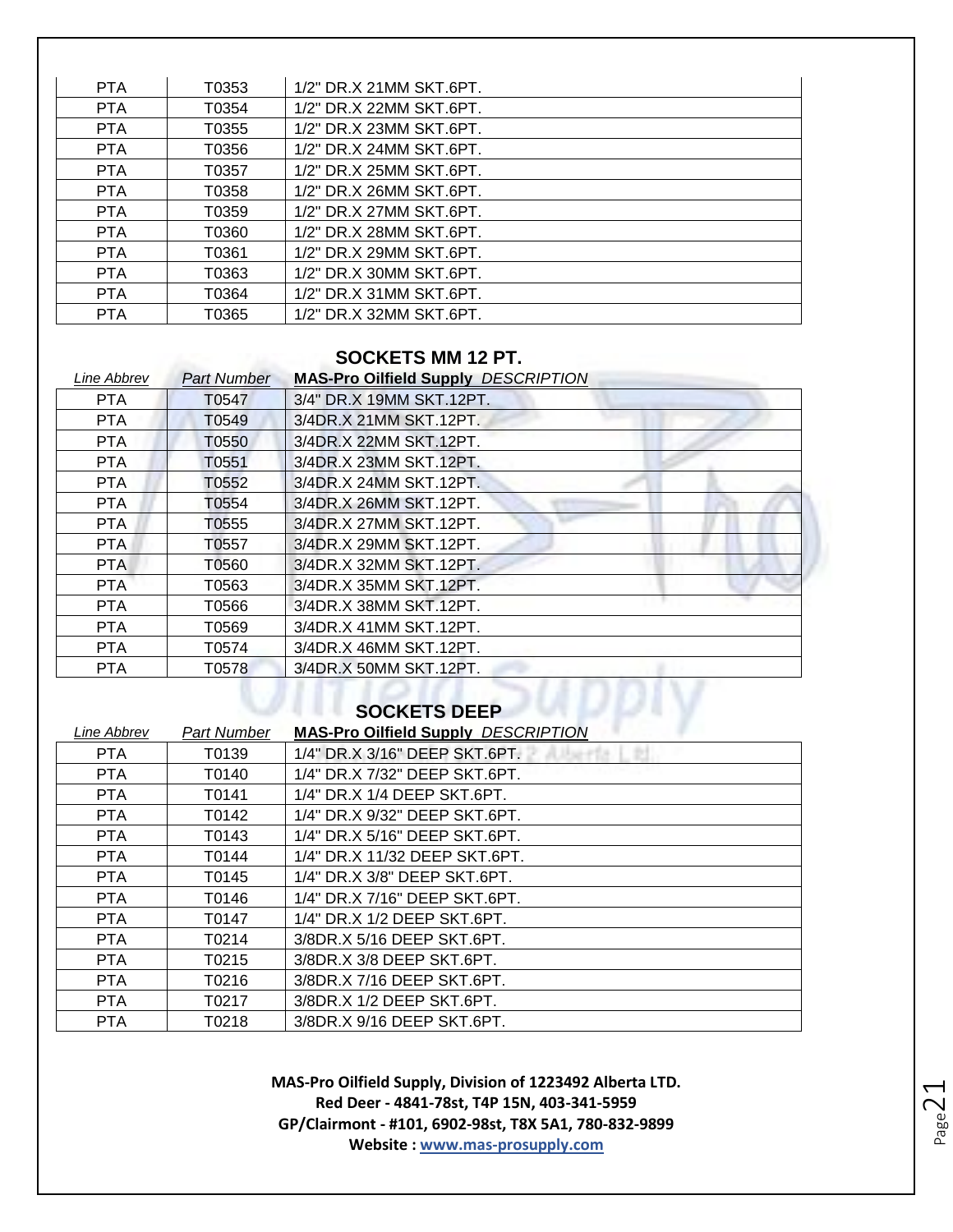| <b>PTA</b> | T0353 | 1/2" DR.X 21MM SKT.6PT. |
|------------|-------|-------------------------|
| <b>PTA</b> | T0354 | 1/2" DR.X 22MM SKT.6PT. |
| <b>PTA</b> | T0355 | 1/2" DR.X 23MM SKT.6PT. |
| <b>PTA</b> | T0356 | 1/2" DR.X 24MM SKT.6PT. |
| PTA        | T0357 | 1/2" DR.X 25MM SKT.6PT. |
| <b>PTA</b> | T0358 | 1/2" DR.X 26MM SKT.6PT. |
| <b>PTA</b> | T0359 | 1/2" DR.X 27MM SKT.6PT. |
| <b>PTA</b> | T0360 | 1/2" DR.X 28MM SKT.6PT. |
| <b>PTA</b> | T0361 | 1/2" DR.X 29MM SKT.6PT. |
| <b>PTA</b> | T0363 | 1/2" DR.X 30MM SKT.6PT. |
| <b>PTA</b> | T0364 | 1/2" DR.X 31MM SKT.6PT. |
| <b>PTA</b> | T0365 | 1/2" DR.X 32MM SKT.6PT. |

#### **SOCKETS MM 12 PT.**

| Line Abbrev | <b>Part Number</b> | <b>MAS-Pro Oilfield Supply DESCRIPTION</b> |
|-------------|--------------------|--------------------------------------------|
| <b>PTA</b>  | T0547              | 3/4" DR.X 19MM SKT.12PT.                   |
| <b>PTA</b>  | T0549              | 3/4DR.X 21MM SKT.12PT.                     |
| <b>PTA</b>  | T0550              | 3/4DR.X 22MM SKT.12PT.                     |
| <b>PTA</b>  | T0551              | 3/4DR.X 23MM SKT.12PT.                     |
| <b>PTA</b>  | T0552              | 3/4DR.X 24MM SKT.12PT.                     |
| <b>PTA</b>  | T0554              | 3/4DR.X 26MM SKT.12PT.                     |
| <b>PTA</b>  | T0555              | 3/4DR.X 27MM SKT.12PT.                     |
| PTA.        | T0557              | 3/4DR.X 29MM SKT.12PT.                     |
| <b>PTA</b>  | T0560              | 3/4DR.X 32MM SKT.12PT.                     |
| <b>PTA</b>  | T0563              | 3/4DR.X 35MM SKT.12PT.                     |
| <b>PTA</b>  | T0566              | 3/4DR.X 38MM SKT.12PT.                     |
| <b>PTA</b>  | T0569              | 3/4DR.X 41MM SKT.12PT.                     |
| <b>PTA</b>  | T0574              | 3/4DR.X 46MM SKT.12PT.                     |
| <b>PTA</b>  | T0578              | 3/4DR.X 50MM SKT.12PT.                     |

#### **SOCKETS DEEP**

| 1/4" DR.X 3/16" DEEP SKT.6PT.<br><b>PTA</b><br>T0139<br>1/4" DR.X 7/32" DEEP SKT.6PT.<br><b>PTA</b><br>T0140<br><b>PTA</b><br>T0141<br>1/4" DR.X 1/4 DEEP SKT.6PT.<br>1/4" DR.X 9/32" DEEP SKT.6PT.<br><b>PTA</b><br>T0142<br><b>PTA</b><br>T0143<br>1/4" DR.X 5/16" DEEP SKT.6PT.<br>1/4" DR.X 11/32 DEEP SKT.6PT.<br><b>PTA</b><br>T0144<br><b>PTA</b><br>T0145<br>1/4" DR.X 3/8" DEEP SKT.6PT.<br>1/4" DR.X 7/16" DEEP SKT.6PT.<br><b>PTA</b><br>T0146<br><b>PTA</b><br>T0147<br>1/4" DR.X 1/2 DEEP SKT.6PT.<br>3/8DR.X 5/16 DEEP SKT.6PT.<br><b>PTA</b><br>T0214<br>T0215<br>3/8DR.X 3/8 DEEP SKT.6PT.<br><b>PTA</b><br>3/8DR.X 7/16 DEEP SKT.6PT.<br><b>PTA</b><br>T0216<br>3/8DR.X 1/2 DEEP SKT.6PT.<br><b>PTA</b><br>T0217<br>3/8DR.X 9/16 DEEP SKT.6PT.<br><b>PTA</b><br>T0218 | Line Abbrev | Part Number | <b>MAS-Pro Oilfield Supply DESCRIPTION</b> |
|----------------------------------------------------------------------------------------------------------------------------------------------------------------------------------------------------------------------------------------------------------------------------------------------------------------------------------------------------------------------------------------------------------------------------------------------------------------------------------------------------------------------------------------------------------------------------------------------------------------------------------------------------------------------------------------------------------------------------------------------------------------------------------------|-------------|-------------|--------------------------------------------|
|                                                                                                                                                                                                                                                                                                                                                                                                                                                                                                                                                                                                                                                                                                                                                                                        |             |             |                                            |
|                                                                                                                                                                                                                                                                                                                                                                                                                                                                                                                                                                                                                                                                                                                                                                                        |             |             |                                            |
|                                                                                                                                                                                                                                                                                                                                                                                                                                                                                                                                                                                                                                                                                                                                                                                        |             |             |                                            |
|                                                                                                                                                                                                                                                                                                                                                                                                                                                                                                                                                                                                                                                                                                                                                                                        |             |             |                                            |
|                                                                                                                                                                                                                                                                                                                                                                                                                                                                                                                                                                                                                                                                                                                                                                                        |             |             |                                            |
|                                                                                                                                                                                                                                                                                                                                                                                                                                                                                                                                                                                                                                                                                                                                                                                        |             |             |                                            |
|                                                                                                                                                                                                                                                                                                                                                                                                                                                                                                                                                                                                                                                                                                                                                                                        |             |             |                                            |
|                                                                                                                                                                                                                                                                                                                                                                                                                                                                                                                                                                                                                                                                                                                                                                                        |             |             |                                            |
|                                                                                                                                                                                                                                                                                                                                                                                                                                                                                                                                                                                                                                                                                                                                                                                        |             |             |                                            |
|                                                                                                                                                                                                                                                                                                                                                                                                                                                                                                                                                                                                                                                                                                                                                                                        |             |             |                                            |
|                                                                                                                                                                                                                                                                                                                                                                                                                                                                                                                                                                                                                                                                                                                                                                                        |             |             |                                            |
|                                                                                                                                                                                                                                                                                                                                                                                                                                                                                                                                                                                                                                                                                                                                                                                        |             |             |                                            |
|                                                                                                                                                                                                                                                                                                                                                                                                                                                                                                                                                                                                                                                                                                                                                                                        |             |             |                                            |
|                                                                                                                                                                                                                                                                                                                                                                                                                                                                                                                                                                                                                                                                                                                                                                                        |             |             |                                            |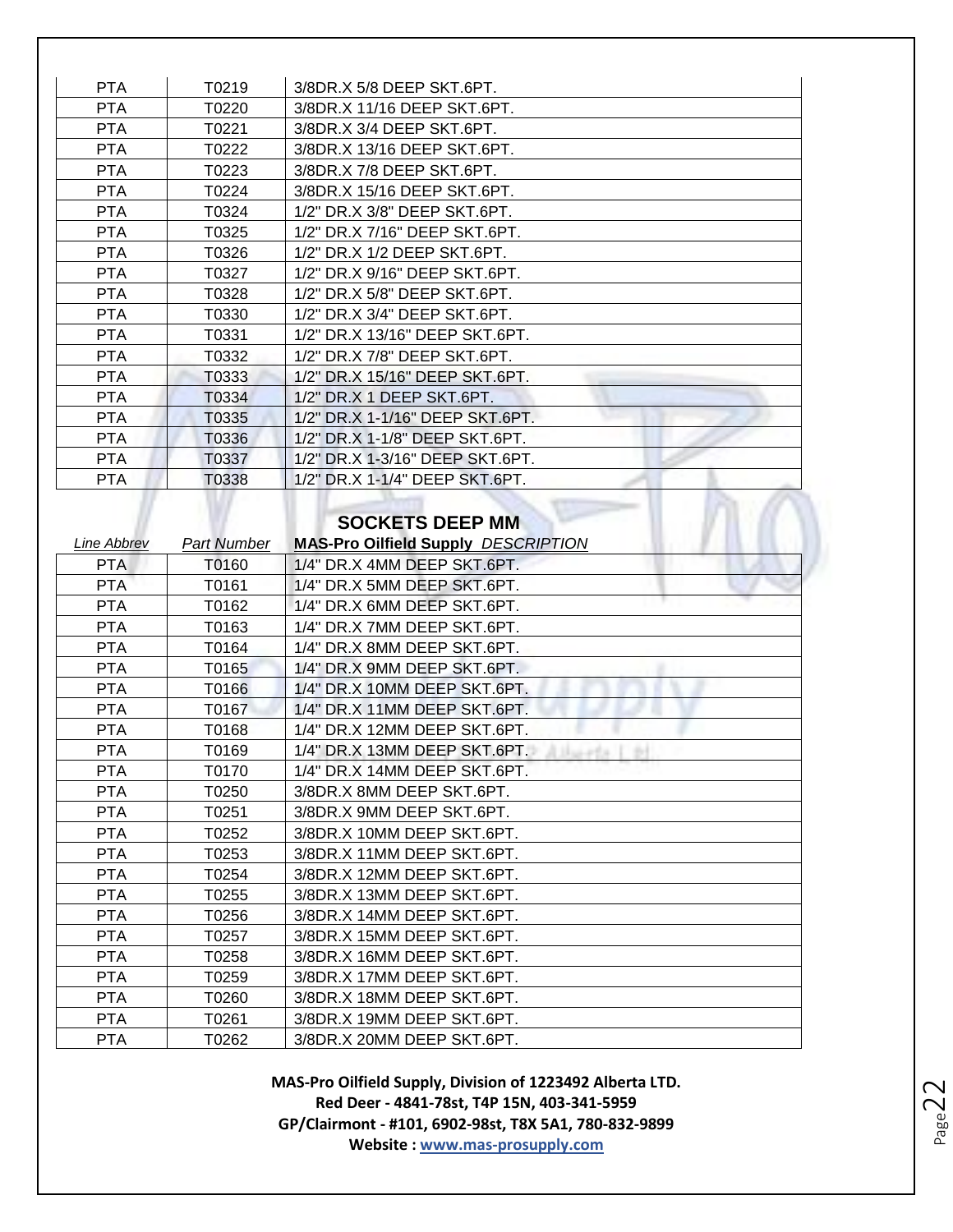| <b>PTA</b> | T0219 | 3/8DR.X 5/8 DEEP SKT.6PT.       |
|------------|-------|---------------------------------|
| <b>PTA</b> | T0220 | 3/8DR.X 11/16 DEEP SKT.6PT.     |
| <b>PTA</b> | T0221 | 3/8DR.X 3/4 DEEP SKT.6PT.       |
| <b>PTA</b> | T0222 | 3/8DR.X 13/16 DEEP SKT.6PT.     |
| <b>PTA</b> | T0223 | 3/8DR.X 7/8 DEEP SKT.6PT.       |
| <b>PTA</b> | T0224 | 3/8DR.X 15/16 DEEP SKT.6PT.     |
| <b>PTA</b> | T0324 | 1/2" DR.X 3/8" DEEP SKT.6PT.    |
| <b>PTA</b> | T0325 | 1/2" DR.X 7/16" DEEP SKT.6PT.   |
| <b>PTA</b> | T0326 | 1/2" DR.X 1/2 DEEP SKT.6PT.     |
| <b>PTA</b> | T0327 | 1/2" DR.X 9/16" DEEP SKT.6PT.   |
| <b>PTA</b> | T0328 | 1/2" DR.X 5/8" DEEP SKT.6PT.    |
| <b>PTA</b> | T0330 | 1/2" DR.X 3/4" DEEP SKT.6PT.    |
| <b>PTA</b> | T0331 | 1/2" DR.X 13/16" DEEP SKT.6PT.  |
| <b>PTA</b> | T0332 | 1/2" DR.X 7/8" DEEP SKT.6PT.    |
| <b>PTA</b> | T0333 | 1/2" DR.X 15/16" DEEP SKT.6PT.  |
| <b>PTA</b> | T0334 | 1/2" DR.X 1 DEEP SKT.6PT.       |
| <b>PTA</b> | T0335 | 1/2" DR.X 1-1/16" DEEP SKT.6PT. |
| <b>PTA</b> | T0336 | 1/2" DR.X 1-1/8" DEEP SKT.6PT.  |
| <b>PTA</b> | T0337 | 1/2" DR.X 1-3/16" DEEP SKT.6PT. |
| <b>PTA</b> | T0338 | 1/2" DR.X 1-1/4" DEEP SKT.6PT.  |
|            |       |                                 |

#### **SOCKETS DEEP MM**

| Line Abbrev | <b>Part Number</b> | <b>MAS-Pro Oilfield Supply DESCRIPTION</b> |
|-------------|--------------------|--------------------------------------------|
| <b>PTA</b>  | T0160              | 1/4" DR.X 4MM DEEP SKT.6PT.                |
| <b>PTA</b>  | T0161              | 1/4" DR.X 5MM DEEP SKT.6PT.                |
| <b>PTA</b>  | T0162              | 1/4" DR.X 6MM DEEP SKT.6PT.                |
| <b>PTA</b>  | T0163              | 1/4" DR.X 7MM DEEP SKT.6PT.                |
| <b>PTA</b>  | T0164              | 1/4" DR.X 8MM DEEP SKT.6PT.                |
| <b>PTA</b>  | T0165              | 1/4" DR.X 9MM DEEP SKT.6PT.                |
| <b>PTA</b>  | T0166              | 1/4" DR.X 10MM DEEP SKT.6PT.               |
| <b>PTA</b>  | T0167              | 1/4" DR.X 11MM DEEP SKT.6PT.               |
| <b>PTA</b>  | T0168              | 1/4" DR.X 12MM DEEP SKT.6PT.               |
| <b>PTA</b>  | T0169              | 1/4" DR.X 13MM DEEP SKT.6PT.<br>Dall-PEA   |
| <b>PTA</b>  | T0170              | 1/4" DR.X 14MM DEEP SKT.6PT.               |
| <b>PTA</b>  | T0250              | 3/8DR.X 8MM DEEP SKT.6PT.                  |
| <b>PTA</b>  | T0251              | 3/8DR.X 9MM DEEP SKT.6PT.                  |
| <b>PTA</b>  | T0252              | 3/8DR.X 10MM DEEP SKT.6PT.                 |
| <b>PTA</b>  | T0253              | 3/8DR.X 11MM DEEP SKT.6PT.                 |
| <b>PTA</b>  | T0254              | 3/8DR.X 12MM DEEP SKT.6PT.                 |
| <b>PTA</b>  | T0255              | 3/8DR.X 13MM DEEP SKT.6PT.                 |
| <b>PTA</b>  | T0256              | 3/8DR.X 14MM DEEP SKT.6PT.                 |
| <b>PTA</b>  | T0257              | 3/8DR.X 15MM DEEP SKT.6PT.                 |
| <b>PTA</b>  | T0258              | 3/8DR.X 16MM DEEP SKT.6PT.                 |
| <b>PTA</b>  | T0259              | 3/8DR.X 17MM DEEP SKT.6PT.                 |
| <b>PTA</b>  | T0260              | 3/8DR.X 18MM DEEP SKT.6PT.                 |
| <b>PTA</b>  | T0261              | 3/8DR.X 19MM DEEP SKT.6PT.                 |
| <b>PTA</b>  | T0262              | 3/8DR.X 20MM DEEP SKT.6PT.                 |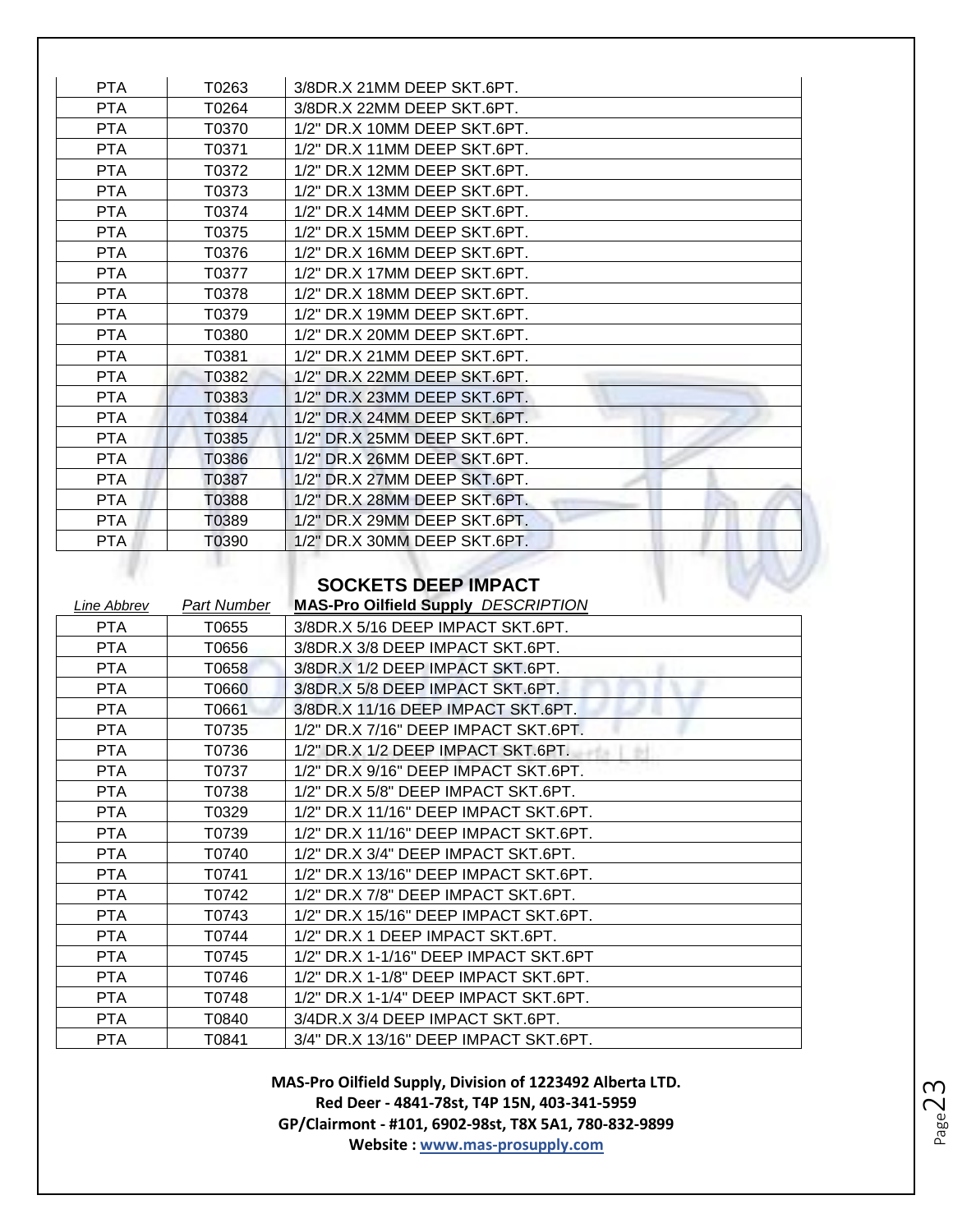| <b>PTA</b> | T0263 | 3/8DR.X 21MM DEEP SKT.6PT.   |
|------------|-------|------------------------------|
| <b>PTA</b> | T0264 | 3/8DR.X 22MM DEEP SKT.6PT.   |
| <b>PTA</b> | T0370 | 1/2" DR.X 10MM DEEP SKT.6PT. |
| <b>PTA</b> | T0371 | 1/2" DR.X 11MM DEEP SKT.6PT. |
| <b>PTA</b> | T0372 | 1/2" DR.X 12MM DEEP SKT.6PT. |
| <b>PTA</b> | T0373 | 1/2" DR.X 13MM DEEP SKT.6PT. |
| <b>PTA</b> | T0374 | 1/2" DR.X 14MM DEEP SKT.6PT. |
| <b>PTA</b> | T0375 | 1/2" DR.X 15MM DEEP SKT.6PT. |
| <b>PTA</b> | T0376 | 1/2" DR.X 16MM DEEP SKT.6PT. |
| <b>PTA</b> | T0377 | 1/2" DR.X 17MM DEEP SKT.6PT. |
| <b>PTA</b> | T0378 | 1/2" DR.X 18MM DEEP SKT.6PT. |
| <b>PTA</b> | T0379 | 1/2" DR.X 19MM DEEP SKT.6PT. |
| <b>PTA</b> | T0380 | 1/2" DR.X 20MM DEEP SKT.6PT. |
| <b>PTA</b> | T0381 | 1/2" DR.X 21MM DEEP SKT.6PT. |
| <b>PTA</b> | T0382 | 1/2" DR.X 22MM DEEP SKT.6PT. |
| <b>PTA</b> | T0383 | 1/2" DR.X 23MM DEEP SKT.6PT. |
| <b>PTA</b> | T0384 | 1/2" DR.X 24MM DEEP SKT.6PT. |
| <b>PTA</b> | T0385 | 1/2" DR.X 25MM DEEP SKT.6PT. |
| <b>PTA</b> | T0386 | 1/2" DR.X 26MM DEEP SKT.6PT. |
| <b>PTA</b> | T0387 | 1/2" DR.X 27MM DEEP SKT.6PT. |
| <b>PTA</b> | T0388 | 1/2" DR.X 28MM DEEP SKT.6PT. |
| <b>PTA</b> | T0389 | 1/2" DR.X 29MM DEEP SKT.6PT. |
| <b>PTA</b> | T0390 | 1/2" DR.X 30MM DEEP SKT.6PT. |

# **SOCKETS DEEP IMPACT**

| Line Abbrev | Part Number | <b>MAS-Pro Oilfield Supply DESCRIPTION</b>      |
|-------------|-------------|-------------------------------------------------|
| PTA         | T0655       | 3/8DR.X 5/16 DEEP IMPACT SKT.6PT.               |
| PTA         | T0656       | 3/8DR.X 3/8 DEEP IMPACT SKT.6PT.                |
| <b>PTA</b>  | T0658       | 3/8DR.X 1/2 DEEP IMPACT SKT.6PT.                |
| PTA         | T0660       | 3/8DR.X 5/8 DEEP IMPACT SKT.6PT.                |
| PTA         | T0661       | 3/8DR.X 11/16 DEEP IMPACT SKT.6PT.              |
| <b>PTA</b>  | T0735       | 1/2" DR.X 7/16" DEEP IMPACT SKT.6PT.            |
| PTA         | T0736       | 1/2" DR.X 1/2 DEEP IMPACT SKT.6PT.<br>$-10 - 1$ |
| <b>PTA</b>  | T0737       | 1/2" DR.X 9/16" DEEP IMPACT SKT.6PT.            |
| <b>PTA</b>  | T0738       | 1/2" DR.X 5/8" DEEP IMPACT SKT.6PT.             |
| <b>PTA</b>  | T0329       | 1/2" DR.X 11/16" DEEP IMPACT SKT.6PT.           |
| PTA         | T0739       | 1/2" DR.X 11/16" DEEP IMPACT SKT.6PT.           |
| <b>PTA</b>  | T0740       | 1/2" DR.X 3/4" DEEP IMPACT SKT.6PT.             |
| PTA         | T0741       | 1/2" DR.X 13/16" DEEP IMPACT SKT.6PT.           |
| PTA         | T0742       | 1/2" DR.X 7/8" DEEP IMPACT SKT.6PT.             |
| <b>PTA</b>  | T0743       | 1/2" DR.X 15/16" DEEP IMPACT SKT.6PT.           |
| PTA         | T0744       | 1/2" DR.X 1 DEEP IMPACT SKT.6PT.                |
| PTA         | T0745       | 1/2" DR.X 1-1/16" DEEP IMPACT SKT.6PT           |
| PTA         | T0746       | 1/2" DR.X 1-1/8" DEEP IMPACT SKT.6PT.           |
| <b>PTA</b>  | T0748       | 1/2" DR.X 1-1/4" DEEP IMPACT SKT.6PT.           |
| PTA         | T0840       | 3/4DR.X 3/4 DEEP IMPACT SKT.6PT.                |
| <b>PTA</b>  | T0841       | 3/4" DR.X 13/16" DEEP IMPACT SKT.6PT.           |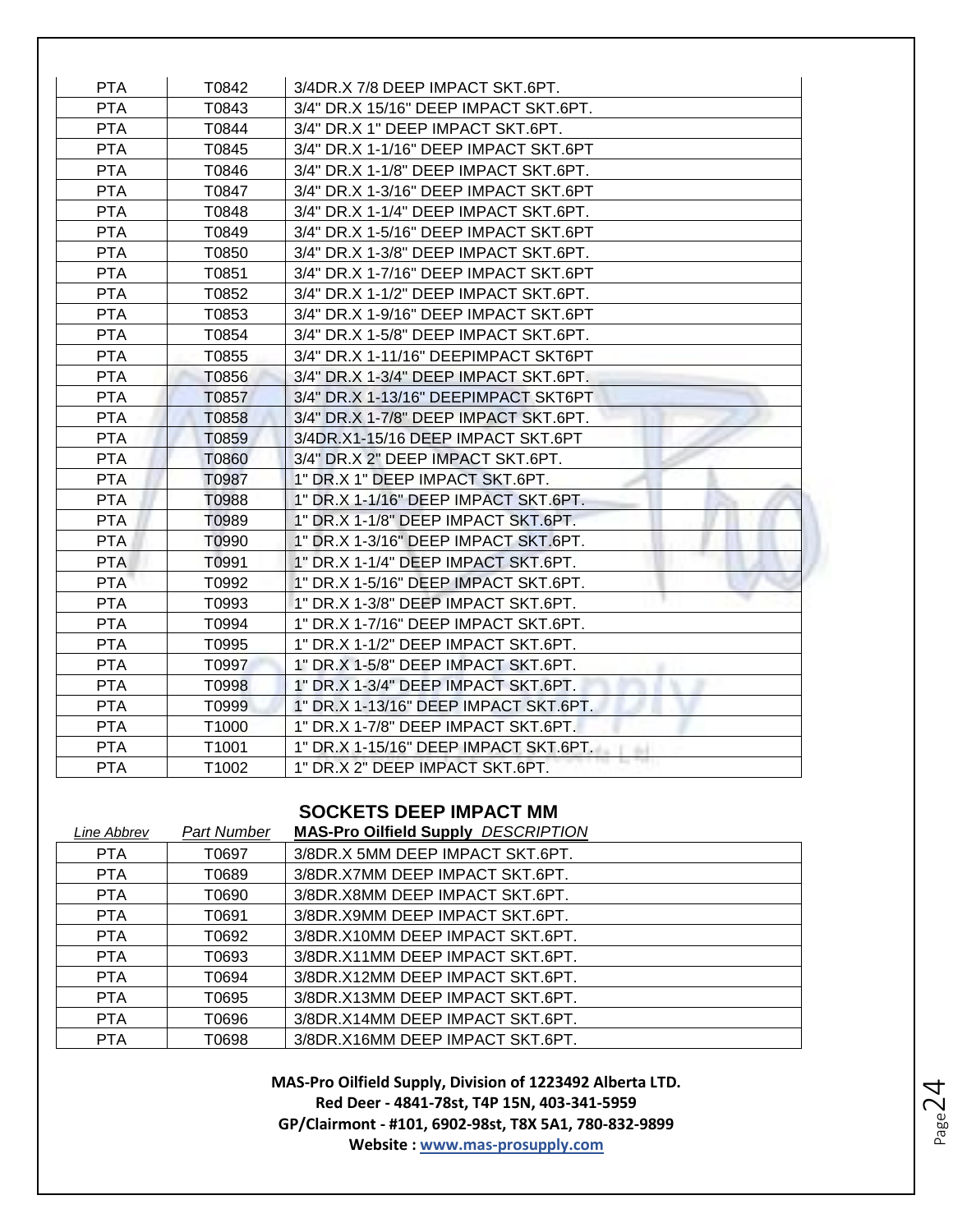| <b>PTA</b> | T0842             | 3/4DR.X 7/8 DEEP IMPACT SKT.6PT.      |
|------------|-------------------|---------------------------------------|
| <b>PTA</b> | T0843             | 3/4" DR.X 15/16" DEEP IMPACT SKT.6PT. |
| <b>PTA</b> | T0844             | 3/4" DR.X 1" DEEP IMPACT SKT.6PT.     |
| <b>PTA</b> | T0845             | 3/4" DR.X 1-1/16" DEEP IMPACT SKT.6PT |
| <b>PTA</b> | T0846             | 3/4" DR.X 1-1/8" DEEP IMPACT SKT.6PT. |
| <b>PTA</b> | T0847             | 3/4" DR.X 1-3/16" DEEP IMPACT SKT.6PT |
| <b>PTA</b> | T0848             | 3/4" DR.X 1-1/4" DEEP IMPACT SKT.6PT. |
| <b>PTA</b> | T0849             | 3/4" DR.X 1-5/16" DEEP IMPACT SKT.6PT |
| <b>PTA</b> | T0850             | 3/4" DR.X 1-3/8" DEEP IMPACT SKT.6PT. |
| <b>PTA</b> | T0851             | 3/4" DR.X 1-7/16" DEEP IMPACT SKT.6PT |
| <b>PTA</b> | T0852             | 3/4" DR.X 1-1/2" DEEP IMPACT SKT.6PT. |
| <b>PTA</b> | T0853             | 3/4" DR.X 1-9/16" DEEP IMPACT SKT.6PT |
| <b>PTA</b> | T0854             | 3/4" DR.X 1-5/8" DEEP IMPACT SKT.6PT. |
| <b>PTA</b> | T0855             | 3/4" DR.X 1-11/16" DEEPIMPACT SKT6PT  |
| <b>PTA</b> | T0856             | 3/4" DR.X 1-3/4" DEEP IMPACT SKT.6PT. |
| <b>PTA</b> | T0857             | 3/4" DR.X 1-13/16" DEEPIMPACT SKT6PT  |
| <b>PTA</b> | T0858             | 3/4" DR.X 1-7/8" DEEP IMPACT SKT.6PT. |
| <b>PTA</b> | T0859             | 3/4DR.X1-15/16 DEEP IMPACT SKT.6PT    |
| <b>PTA</b> | T0860             | 3/4" DR.X 2" DEEP IMPACT SKT.6PT.     |
| <b>PTA</b> | T0987             | 1" DR.X 1" DEEP IMPACT SKT.6PT.       |
| <b>PTA</b> | T0988             | 1" DR.X 1-1/16" DEEP IMPACT SKT.6PT.  |
| <b>PTA</b> | T0989             | 1" DR.X 1-1/8" DEEP IMPACT SKT.6PT.   |
| <b>PTA</b> | T0990             | 1" DR.X 1-3/16" DEEP IMPACT SKT.6PT.  |
| <b>PTA</b> | T0991             | 1" DR.X 1-1/4" DEEP IMPACT SKT.6PT.   |
| <b>PTA</b> | T0992             | 1" DR.X 1-5/16" DEEP IMPACT SKT.6PT.  |
| <b>PTA</b> | T0993             | 1" DR.X 1-3/8" DEEP IMPACT SKT.6PT.   |
| <b>PTA</b> | T0994             | 1" DR.X 1-7/16" DEEP IMPACT SKT.6PT.  |
| <b>PTA</b> | T0995             | 1" DR.X 1-1/2" DEEP IMPACT SKT.6PT.   |
| <b>PTA</b> | T0997             | 1" DR.X 1-5/8" DEEP IMPACT SKT.6PT.   |
| <b>PTA</b> | T0998             | 1" DR.X 1-3/4" DEEP IMPACT SKT.6PT.   |
| <b>PTA</b> | T0999             | 1" DR.X 1-13/16" DEEP IMPACT SKT.6PT. |
| <b>PTA</b> | T1000             | 1" DR.X 1-7/8" DEEP IMPACT SKT.6PT.   |
| <b>PTA</b> | T <sub>1001</sub> | 1" DR.X 1-15/16" DEEP IMPACT SKT.6PT. |
| <b>PTA</b> | T1002             | 1" DR.X 2" DEEP IMPACT SKT.6PT.       |

# **SOCKETS DEEP IMPACT MM**

| Line Abbrev | Part Number | <b>MAS-Pro Oilfield Supply DESCRIPTION</b> |
|-------------|-------------|--------------------------------------------|
| <b>PTA</b>  | T0697       | 3/8DR.X 5MM DEEP IMPACT SKT.6PT.           |
| <b>PTA</b>  | T0689       | 3/8DR.X7MM DEEP IMPACT SKT.6PT.            |
| <b>PTA</b>  | T0690       | 3/8DR.X8MM DEEP IMPACT SKT.6PT.            |
| <b>PTA</b>  | T0691       | 3/8DR. X9MM DEEP IMPACT SKT.6PT.           |
| <b>PTA</b>  | T0692       | 3/8DR.X10MM DEEP IMPACT SKT.6PT.           |
| <b>PTA</b>  | T0693       | 3/8DR.X11MM DEEP IMPACT SKT.6PT.           |
| <b>PTA</b>  | T0694       | 3/8DR.X12MM DEEP IMPACT SKT.6PT.           |
| <b>PTA</b>  | T0695       | 3/8DR.X13MM DEEP IMPACT SKT.6PT.           |
| <b>PTA</b>  | 70696       | 3/8DR.X14MM DEEP IMPACT SKT.6PT.           |
| <b>PTA</b>  | T0698       | 3/8DR.X16MM DEEP IMPACT SKT.6PT.           |

 $P_{\text{age}}24$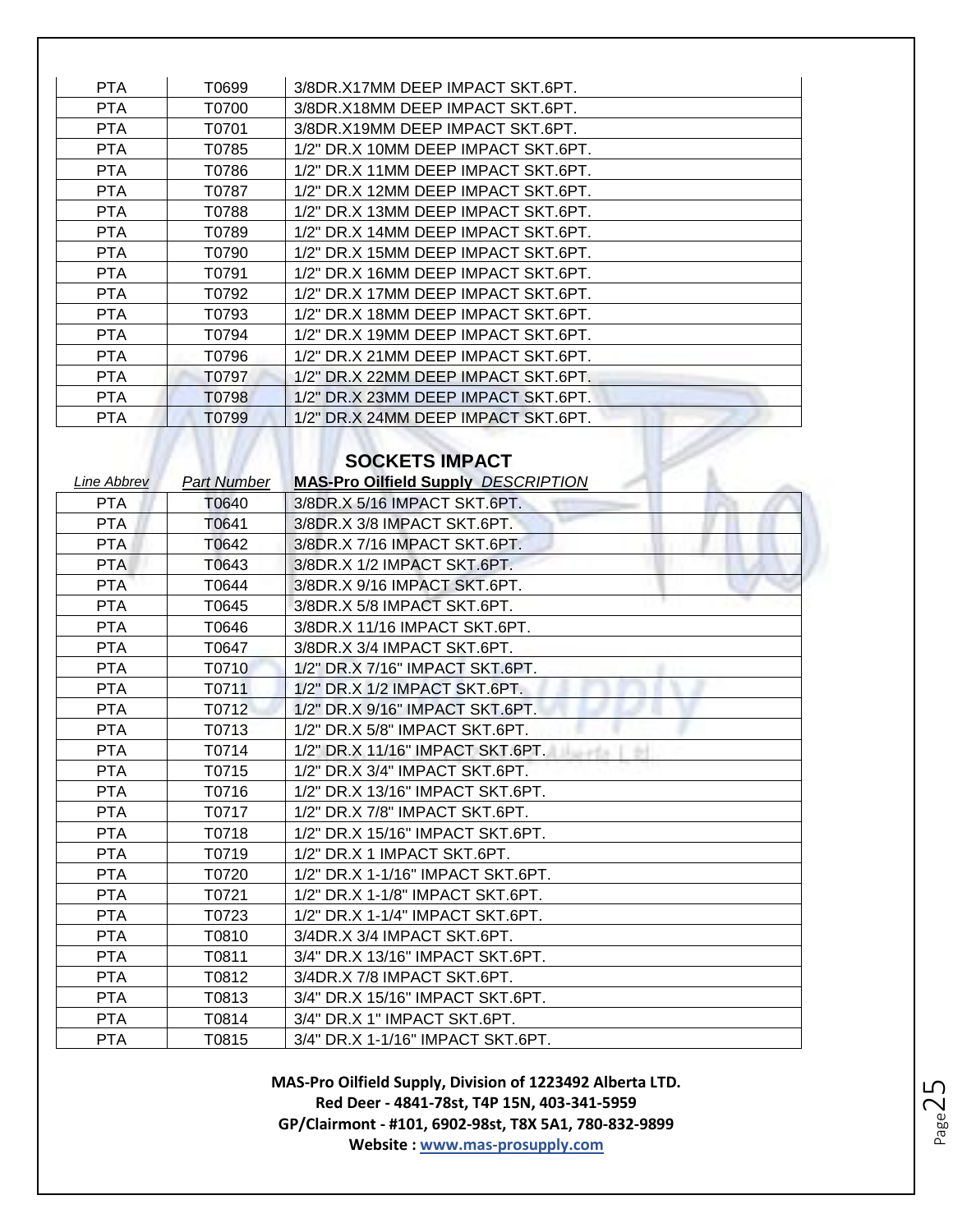| PTA.       | T0699 | 3/8DR. X17MM DEEP IMPACT SKT.6PT.   |
|------------|-------|-------------------------------------|
| <b>PTA</b> | T0700 | 3/8DR. X18MM DEEP IMPACT SKT.6PT.   |
| <b>PTA</b> | T0701 | 3/8DR. X19MM DEEP IMPACT SKT.6PT.   |
| PTA.       | T0785 | 1/2" DR.X 10MM DEEP IMPACT SKT.6PT. |
| <b>PTA</b> | T0786 | 1/2" DR.X 11MM DEEP IMPACT SKT.6PT. |
| <b>PTA</b> | T0787 | 1/2" DR.X 12MM DEEP IMPACT SKT.6PT. |
| PTA.       | T0788 | 1/2" DR.X 13MM DEEP IMPACT SKT.6PT. |
| <b>PTA</b> | T0789 | 1/2" DR.X 14MM DEEP IMPACT SKT.6PT. |
| PTA        | T0790 | 1/2" DR.X 15MM DEEP IMPACT SKT.6PT. |
| <b>PTA</b> | T0791 | 1/2" DR.X 16MM DEEP IMPACT SKT.6PT. |
| PTA.       | T0792 | 1/2" DR.X 17MM DEEP IMPACT SKT.6PT. |
| PTA.       | T0793 | 1/2" DR.X 18MM DEEP IMPACT SKT.6PT. |
| <b>PTA</b> | T0794 | 1/2" DR.X 19MM DEEP IMPACT SKT.6PT. |
| PTA.       | T0796 | 1/2" DR.X 21MM DEEP IMPACT SKT.6PT. |
| <b>PTA</b> | T0797 | 1/2" DR.X 22MM DEEP IMPACT SKT.6PT. |
| <b>PTA</b> | T0798 | 1/2" DR.X 23MM DEEP IMPACT SKT.6PT. |
| <b>PTA</b> | T0799 | 1/2" DR.X 24MM DEEP IMPACT SKT.6PT. |

# **SOCKETS IMPACT**

| <b>Line Abbrev</b> | <b>Part Number</b> | <b>MAS-Pro Oilfield Supply DESCRIPTION</b> |
|--------------------|--------------------|--------------------------------------------|
| <b>PTA</b>         | T0640              | 3/8DR.X 5/16 IMPACT SKT.6PT.               |
| <b>PTA</b>         | T0641              | 3/8DR.X 3/8 IMPACT SKT.6PT.                |
| <b>PTA</b>         | T0642              | 3/8DR.X 7/16 IMPACT SKT.6PT.               |
| <b>PTA</b>         | T0643              | 3/8DR.X 1/2 IMPACT SKT.6PT.                |
| <b>PTA</b>         | T0644              | 3/8DR.X 9/16 IMPACT SKT.6PT.               |
| <b>PTA</b>         | T0645              | 3/8DR.X 5/8 IMPACT SKT.6PT.                |
| <b>PTA</b>         | T0646              | 3/8DR.X 11/16 IMPACT SKT.6PT.              |
| <b>PTA</b>         | T0647              | 3/8DR.X 3/4 IMPACT SKT.6PT.                |
| <b>PTA</b>         | T0710              | 1/2" DR.X 7/16" IMPACT SKT.6PT.            |
| <b>PTA</b>         | T0711              | 1/2" DR.X 1/2 IMPACT SKT.6PT.              |
| <b>PTA</b>         | T0712              | 1/2" DR.X 9/16" IMPACT SKT.6PT.            |
| <b>PTA</b>         | T0713              | 1/2" DR.X 5/8" IMPACT SKT.6PT.             |
| <b>PTA</b>         | T0714              | 1/2" DR.X 11/16" IMPACT SKT.6PT.           |
| <b>PTA</b>         | T0715              | 1/2" DR.X 3/4" IMPACT SKT.6PT.             |
| <b>PTA</b>         | T0716              | 1/2" DR.X 13/16" IMPACT SKT.6PT.           |
| <b>PTA</b>         | T0717              | 1/2" DR.X 7/8" IMPACT SKT.6PT.             |
| <b>PTA</b>         | T0718              | 1/2" DR.X 15/16" IMPACT SKT.6PT.           |
| <b>PTA</b>         | T0719              | 1/2" DR.X 1 IMPACT SKT.6PT.                |
| <b>PTA</b>         | T0720              | 1/2" DR.X 1-1/16" IMPACT SKT.6PT.          |
| <b>PTA</b>         | T0721              | 1/2" DR.X 1-1/8" IMPACT SKT.6PT.           |
| <b>PTA</b>         | T0723              | 1/2" DR.X 1-1/4" IMPACT SKT.6PT.           |
| <b>PTA</b>         | T0810              | 3/4DR.X 3/4 IMPACT SKT.6PT.                |
| <b>PTA</b>         | T0811              | 3/4" DR.X 13/16" IMPACT SKT.6PT.           |
| <b>PTA</b>         | T0812              | 3/4DR.X 7/8 IMPACT SKT.6PT.                |
| <b>PTA</b>         | T0813              | 3/4" DR.X 15/16" IMPACT SKT.6PT.           |
| <b>PTA</b>         | T0814              | 3/4" DR.X 1" IMPACT SKT.6PT.               |
| <b>PTA</b>         | T0815              | 3/4" DR.X 1-1/16" IMPACT SKT.6PT.          |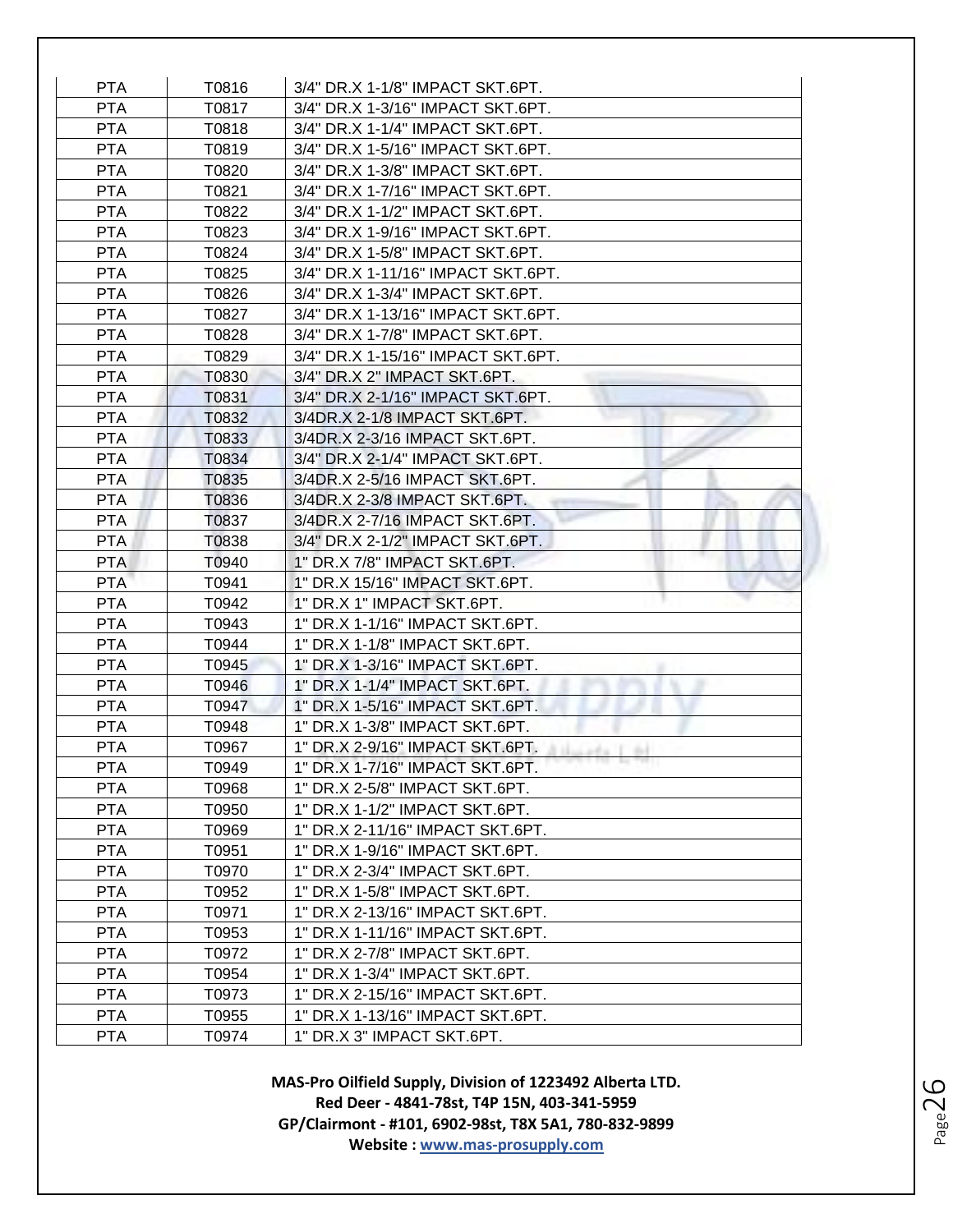| <b>PTA</b>               | T0816          | 3/4" DR.X 1-1/8" IMPACT SKT.6PT.                               |
|--------------------------|----------------|----------------------------------------------------------------|
| <b>PTA</b>               | T0817          | 3/4" DR.X 1-3/16" IMPACT SKT.6PT.                              |
| <b>PTA</b>               | T0818          | 3/4" DR.X 1-1/4" IMPACT SKT.6PT.                               |
| <b>PTA</b>               | T0819          | 3/4" DR.X 1-5/16" IMPACT SKT.6PT.                              |
| <b>PTA</b>               | T0820          | 3/4" DR.X 1-3/8" IMPACT SKT.6PT.                               |
| <b>PTA</b>               | T0821          | 3/4" DR.X 1-7/16" IMPACT SKT.6PT.                              |
| <b>PTA</b>               | T0822          | 3/4" DR.X 1-1/2" IMPACT SKT.6PT.                               |
| <b>PTA</b>               | T0823          | 3/4" DR.X 1-9/16" IMPACT SKT.6PT.                              |
| <b>PTA</b>               | T0824          | 3/4" DR.X 1-5/8" IMPACT SKT.6PT.                               |
| <b>PTA</b>               | T0825          | 3/4" DR.X 1-11/16" IMPACT SKT.6PT.                             |
| <b>PTA</b>               | T0826          | 3/4" DR.X 1-3/4" IMPACT SKT.6PT.                               |
| <b>PTA</b>               | T0827          | 3/4" DR.X 1-13/16" IMPACT SKT.6PT.                             |
| <b>PTA</b>               | T0828          | 3/4" DR.X 1-7/8" IMPACT SKT.6PT.                               |
| <b>PTA</b>               | T0829          | 3/4" DR.X 1-15/16" IMPACT SKT.6PT.                             |
| <b>PTA</b>               | T0830          | 3/4" DR.X 2" IMPACT SKT.6PT.                                   |
| <b>PTA</b>               | T0831          | 3/4" DR.X 2-1/16" IMPACT SKT.6PT.                              |
| <b>PTA</b>               | T0832          | 3/4DR.X 2-1/8 IMPACT SKT.6PT.                                  |
| <b>PTA</b>               | T0833          | 3/4DR.X 2-3/16 IMPACT SKT.6PT.                                 |
| <b>PTA</b>               | T0834          | 3/4" DR.X 2-1/4" IMPACT SKT.6PT.                               |
| <b>PTA</b>               | T0835          | 3/4DR.X 2-5/16 IMPACT SKT.6PT.                                 |
| <b>PTA</b>               | T0836          | 3/4DR.X 2-3/8 IMPACT SKT.6PT.                                  |
| <b>PTA</b>               | T0837          | 3/4DR.X 2-7/16 IMPACT SKT.6PT.                                 |
| <b>PTA</b>               | T0838          | 3/4" DR.X 2-1/2" IMPACT SKT.6PT.                               |
| <b>PTA</b><br><b>PTA</b> | T0940          | 1" DR.X 7/8" IMPACT SKT.6PT.<br>1" DR.X 15/16" IMPACT SKT.6PT. |
| <b>PTA</b>               | T0941          | 1" DR.X 1" IMPACT SKT.6PT.                                     |
| <b>PTA</b>               | T0942<br>T0943 | 1" DR.X 1-1/16" IMPACT SKT.6PT.                                |
| <b>PTA</b>               | T0944          | 1" DR.X 1-1/8" IMPACT SKT.6PT.                                 |
| <b>PTA</b>               | T0945          | 1" DR.X 1-3/16" IMPACT SKT.6PT.                                |
| <b>PTA</b>               | T0946          | 1" DR.X 1-1/4" IMPACT SKT.6PT.                                 |
| <b>PTA</b>               | T0947          | 1" DR.X 1-5/16" IMPACT SKT.6PT.                                |
| <b>PTA</b>               | T0948          | 1" DR.X 1-3/8" IMPACT SKT.6PT.                                 |
| <b>PTA</b>               | T0967          | 1" DR.X 2-9/16" IMPACT SKT.6PT.<br>single I ad                 |
| <b>PTA</b>               | T0949          | 1" DR.X 1-7/16" IMPACT SKT.6PT.                                |
| <b>PTA</b>               | T0968          | 1" DR.X 2-5/8" IMPACT SKT.6PT.                                 |
| <b>PTA</b>               | T0950          | 1" DR.X 1-1/2" IMPACT SKT.6PT.                                 |
| <b>PTA</b>               | T0969          | 1" DR.X 2-11/16" IMPACT SKT.6PT.                               |
| <b>PTA</b>               | T0951          | 1" DR.X 1-9/16" IMPACT SKT.6PT.                                |
| <b>PTA</b>               | T0970          | 1" DR.X 2-3/4" IMPACT SKT.6PT.                                 |
| <b>PTA</b>               | T0952          | 1" DR.X 1-5/8" IMPACT SKT.6PT.                                 |
| <b>PTA</b>               | T0971          | 1" DR.X 2-13/16" IMPACT SKT.6PT.                               |
| <b>PTA</b>               | T0953          | 1" DR.X 1-11/16" IMPACT SKT.6PT.                               |
| <b>PTA</b>               | T0972          | 1" DR.X 2-7/8" IMPACT SKT.6PT.                                 |
| <b>PTA</b>               | T0954          | 1" DR.X 1-3/4" IMPACT SKT.6PT.                                 |
| <b>PTA</b>               | T0973          | 1" DR.X 2-15/16" IMPACT SKT.6PT.                               |
| <b>PTA</b>               | T0955          | 1" DR.X 1-13/16" IMPACT SKT.6PT.                               |
| <b>PTA</b>               | T0974          | 1" DR.X 3" IMPACT SKT.6PT.                                     |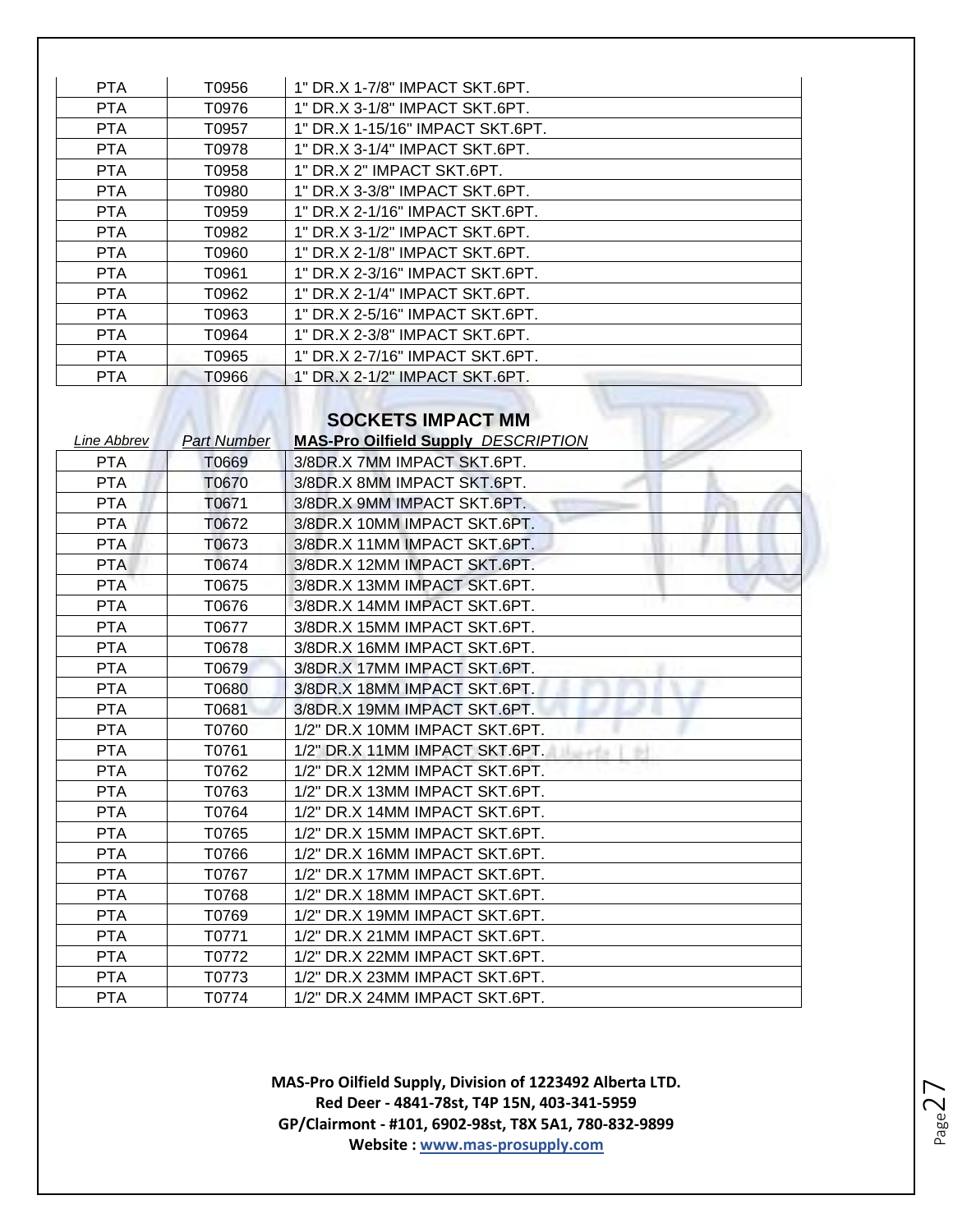| <b>PTA</b> | T0956 | 1" DR.X 1-7/8" IMPACT SKT.6PT.   |
|------------|-------|----------------------------------|
| PTA        | T0976 | 1" DR.X 3-1/8" IMPACT SKT.6PT.   |
| <b>PTA</b> | T0957 | 1" DR.X 1-15/16" IMPACT SKT.6PT. |
| <b>PTA</b> | T0978 | 1" DR.X 3-1/4" IMPACT SKT.6PT.   |
| <b>PTA</b> | T0958 | 1" DR.X 2" IMPACT SKT.6PT.       |
| PTA.       | T0980 | 1" DR.X 3-3/8" IMPACT SKT.6PT.   |
| <b>PTA</b> | T0959 | 1" DR.X 2-1/16" IMPACT SKT.6PT.  |
| <b>PTA</b> | T0982 | 1" DR.X 3-1/2" IMPACT SKT.6PT.   |
| <b>PTA</b> | T0960 | 1" DR.X 2-1/8" IMPACT SKT.6PT.   |
| PTA.       | T0961 | 1" DR.X 2-3/16" IMPACT SKT.6PT.  |
| PTA.       | T0962 | 1" DR.X 2-1/4" IMPACT SKT.6PT.   |
| <b>PTA</b> | T0963 | 1" DR.X 2-5/16" IMPACT SKT.6PT.  |
| PTA.       | T0964 | 1" DR.X 2-3/8" IMPACT SKT.6PT.   |
| <b>PTA</b> | T0965 | 1" DR.X 2-7/16" IMPACT SKT.6PT.  |
| <b>PTA</b> | 70966 | 1" DR.X 2-1/2" IMPACT SKT.6PT.   |
|            |       |                                  |
|            |       | <b>SOCKETS IMPACT MM</b>         |

#### **SOCKETS IMPACT MM**

| Line Abbrev | <b>Part Number</b> | <b>MAS-Pro Oilfield Supply DESCRIPTION</b> |
|-------------|--------------------|--------------------------------------------|
| <b>PTA</b>  | T0669              | 3/8DR.X 7MM IMPACT SKT.6PT.                |
| <b>PTA</b>  | T0670              | 3/8DR.X 8MM IMPACT SKT.6PT.                |
| <b>PTA</b>  | T0671              | 3/8DR.X 9MM IMPACT SKT.6PT.                |
| <b>PTA</b>  | T0672              | 3/8DR.X 10MM IMPACT SKT.6PT.               |
| <b>PTA</b>  | T0673              | 3/8DR.X 11MM IMPACT SKT.6PT.               |
| <b>PTA</b>  | T0674              | 3/8DR.X 12MM IMPACT SKT.6PT.               |
| <b>PTA</b>  | T0675              | 3/8DR.X 13MM IMPACT SKT.6PT.               |
| <b>PTA</b>  | T0676              | 3/8DR.X 14MM IMPACT SKT.6PT.               |
| <b>PTA</b>  | T0677              | 3/8DR.X 15MM IMPACT SKT.6PT.               |
| <b>PTA</b>  | T0678              | 3/8DR.X 16MM IMPACT SKT.6PT.               |
| <b>PTA</b>  | T0679              | 3/8DR.X 17MM IMPACT SKT.6PT.               |
| <b>PTA</b>  | T0680              | 3/8DR.X 18MM IMPACT SKT.6PT.               |
| <b>PTA</b>  | T0681              | 3/8DR.X 19MM IMPACT SKT.6PT.               |
| <b>PTA</b>  | T0760              | 1/2" DR.X 10MM IMPACT SKT.6PT.             |
| <b>PTA</b>  | T0761              | 1/2" DR.X 11MM IMPACT SKT.6PT.             |
| <b>PTA</b>  | T0762              | 1/2" DR.X 12MM IMPACT SKT.6PT.             |
| <b>PTA</b>  | T0763              | 1/2" DR.X 13MM IMPACT SKT.6PT.             |
| <b>PTA</b>  | T0764              | 1/2" DR.X 14MM IMPACT SKT.6PT.             |
| <b>PTA</b>  | T0765              | 1/2" DR.X 15MM IMPACT SKT.6PT.             |
| <b>PTA</b>  | T0766              | 1/2" DR.X 16MM IMPACT SKT.6PT.             |
| <b>PTA</b>  | T0767              | 1/2" DR.X 17MM IMPACT SKT.6PT.             |
| <b>PTA</b>  | T0768              | 1/2" DR.X 18MM IMPACT SKT.6PT.             |
| <b>PTA</b>  | T0769              | 1/2" DR.X 19MM IMPACT SKT.6PT.             |
| <b>PTA</b>  | T0771              | 1/2" DR.X 21MM IMPACT SKT.6PT.             |
| <b>PTA</b>  | T0772              | 1/2" DR.X 22MM IMPACT SKT.6PT.             |
| <b>PTA</b>  | T0773              | 1/2" DR.X 23MM IMPACT SKT.6PT.             |
| <b>PTA</b>  | T0774              | 1/2" DR.X 24MM IMPACT SKT.6PT.             |

Page27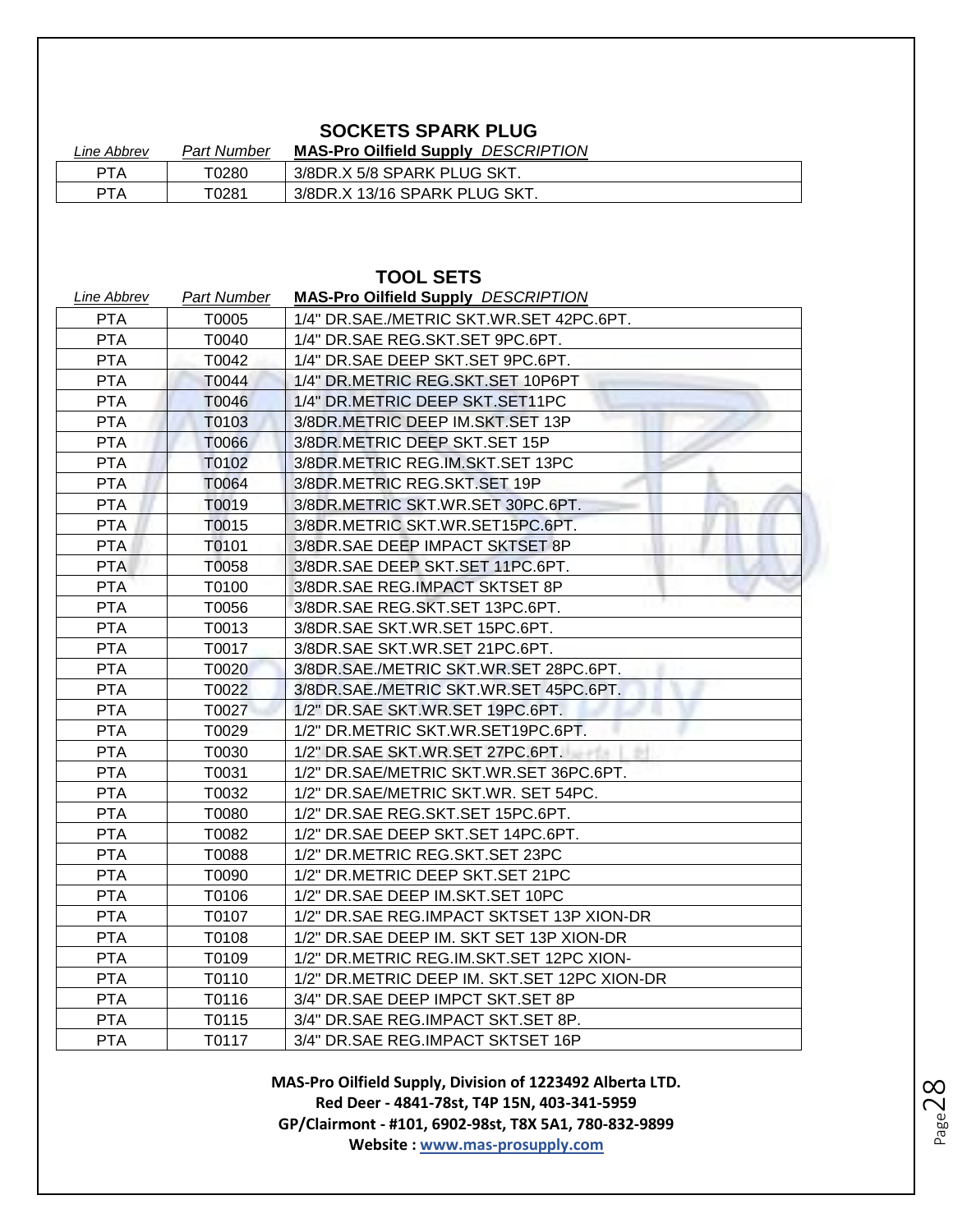# **SOCKETS SPARK PLUG**

| Line Abbrev | <b>Part Number</b> | <b>MAS-Pro Oilfield Supply DESCRIPTION</b> |
|-------------|--------------------|--------------------------------------------|
| <b>PTA</b>  | T0280              | 3/8DR.X 5/8 SPARK PLUG SKT.                |
| <b>PTA</b>  | T0281              | 3/8DR.X 13/16 SPARK PLUG SKT.              |

**TOOL SETS**

| Line Abbrev | <b>Part Number</b> | <b>MAS-Pro Oilfield Supply DESCRIPTION</b>   |
|-------------|--------------------|----------------------------------------------|
| <b>PTA</b>  | T0005              | 1/4" DR.SAE./METRIC SKT.WR.SET 42PC.6PT.     |
| <b>PTA</b>  | T0040              | 1/4" DR.SAE REG.SKT.SET 9PC.6PT.             |
| <b>PTA</b>  | T0042              | 1/4" DR.SAE DEEP SKT.SET 9PC.6PT.            |
| <b>PTA</b>  | T0044              | 1/4" DR.METRIC REG.SKT.SET 10P6PT            |
| <b>PTA</b>  | T0046              | 1/4" DR.METRIC DEEP SKT.SET11PC              |
| <b>PTA</b>  | T0103              | 3/8DR.METRIC DEEP IM.SKT.SET 13P             |
| <b>PTA</b>  | T0066              | 3/8DR.METRIC DEEP SKT.SET 15P                |
| <b>PTA</b>  | T0102              | 3/8DR.METRIC REG.IM.SKT.SET 13PC             |
| <b>PTA</b>  | T0064              | 3/8DR.METRIC REG.SKT.SET 19P                 |
| <b>PTA</b>  | T0019              | 3/8DR.METRIC SKT.WR.SET 30PC.6PT.            |
| <b>PTA</b>  | T0015              | 3/8DR.METRIC SKT.WR.SET15PC.6PT.             |
| <b>PTA</b>  | T0101              | 3/8DR. SAE DEEP IMPACT SKTSET 8P             |
| <b>PTA</b>  | T0058              | 3/8DR.SAE DEEP SKT.SET 11PC.6PT.             |
| <b>PTA</b>  | T0100              | 3/8DR.SAE REG.IMPACT SKTSET 8P               |
| <b>PTA</b>  | T0056              | 3/8DR.SAE REG.SKT.SET 13PC.6PT.              |
| <b>PTA</b>  | T0013              | 3/8DR.SAE SKT.WR.SET 15PC.6PT.               |
| <b>PTA</b>  | T0017              | 3/8DR.SAE SKT.WR.SET 21PC.6PT.               |
| <b>PTA</b>  | T0020              | 3/8DR.SAE./METRIC SKT.WR.SET 28PC.6PT.       |
| <b>PTA</b>  | T0022              | 3/8DR.SAE./METRIC SKT.WR.SET 45PC.6PT.       |
| <b>PTA</b>  | T0027              | 1/2" DR.SAE SKT.WR.SET 19PC.6PT.             |
| <b>PTA</b>  | T0029              | 1/2" DR.METRIC SKT.WR.SET19PC.6PT.           |
| <b>PTA</b>  | T0030              | 1/2" DR.SAE SKT.WR.SET 27PC.6PT.             |
| <b>PTA</b>  | T0031              | 1/2" DR.SAE/METRIC SKT.WR.SET 36PC.6PT.      |
| <b>PTA</b>  | T0032              | 1/2" DR.SAE/METRIC SKT.WR. SET 54PC.         |
| <b>PTA</b>  | T0080              | 1/2" DR.SAE REG.SKT.SET 15PC.6PT.            |
| <b>PTA</b>  | T0082              | 1/2" DR.SAE DEEP SKT.SET 14PC.6PT.           |
| <b>PTA</b>  | T0088              | 1/2" DR.METRIC REG.SKT.SET 23PC              |
| <b>PTA</b>  | T0090              | 1/2" DR.METRIC DEEP SKT.SET 21PC             |
| <b>PTA</b>  | T0106              | 1/2" DR.SAE DEEP IM.SKT.SET 10PC             |
| <b>PTA</b>  | T0107              | 1/2" DR.SAE REG.IMPACT SKTSET 13P XION-DR    |
| <b>PTA</b>  | T0108              | 1/2" DR.SAE DEEP IM. SKT SET 13P XION-DR     |
| <b>PTA</b>  | T0109              | 1/2" DR.METRIC REG.IM.SKT.SET 12PC XION-     |
| <b>PTA</b>  | T0110              | 1/2" DR.METRIC DEEP IM. SKT.SET 12PC XION-DR |
| <b>PTA</b>  | T0116              | 3/4" DR.SAE DEEP IMPCT SKT.SET 8P            |
| <b>PTA</b>  | T0115              | 3/4" DR.SAE REG.IMPACT SKT.SET 8P.           |
| <b>PTA</b>  | T0117              | 3/4" DR.SAE REG.IMPACT SKTSET 16P            |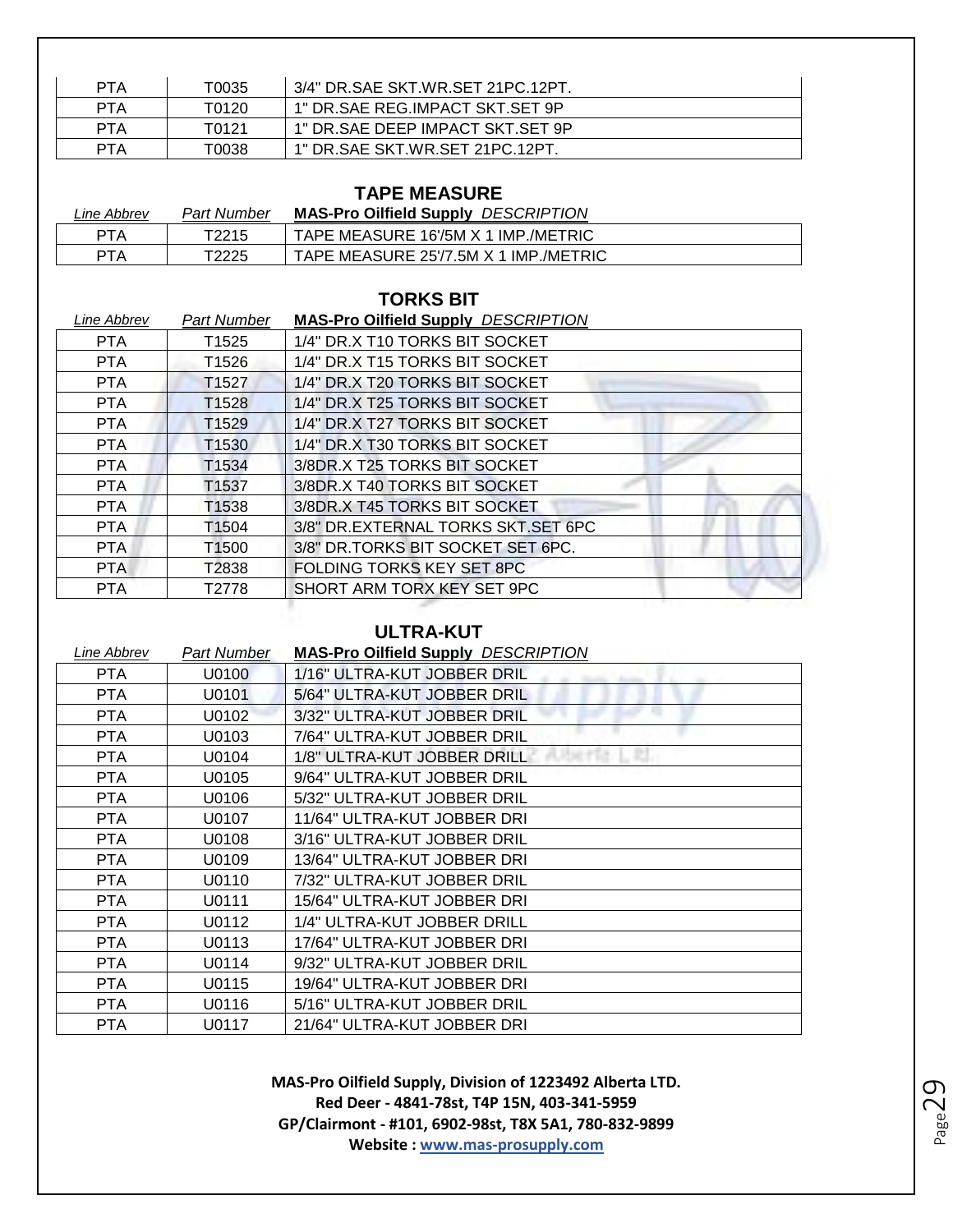| PTA        | T0035 | 3/4" DR. SAE SKT. WR. SET 21PC. 12PT. |
|------------|-------|---------------------------------------|
| <b>PTA</b> | T0120 | 1" DR.SAE REG.IMPACT SKT.SET 9P       |
| PTA        | T0121 | 1" DR.SAE DEEP IMPACT SKT.SET 9P      |
| PTA        | T0038 | 1" DR.SAE SKT.WR.SET 21PC.12PT.       |

# **TAPE MEASURE**

| Line Abbrev | Part Number | <b>MAS-Pro Oilfield Supply DESCRIPTION</b> |
|-------------|-------------|--------------------------------------------|
| <b>PTA</b>  | T2215       | TAPE MEASURE 16'/5M X 1 IMP./METRIC        |
| <b>PTA</b>  | T2225       | TAPE MEASURE 25'/7.5M X 1 IMP./METRIC      |

#### **TORKS BIT**

| Line Abbrev | <b>Part Number</b> | <b>MAS-Pro Oilfield Supply DESCRIPTION</b> |
|-------------|--------------------|--------------------------------------------|
| PTA         | T1525              | 1/4" DR.X T10 TORKS BIT SOCKET             |
| <b>PTA</b>  | T1526              | 1/4" DR.X T15 TORKS BIT SOCKET             |
| <b>PTA</b>  | T <sub>1527</sub>  | 1/4" DR.X T20 TORKS BIT SOCKET             |
| <b>PTA</b>  | T <sub>1528</sub>  | 1/4" DR.X T25 TORKS BIT SOCKET             |
| <b>PTA</b>  | T <sub>1529</sub>  | 1/4" DR.X T27 TORKS BIT SOCKET             |
| PTA         | T <sub>1530</sub>  | 1/4" DR.X T30 TORKS BIT SOCKET             |
| <b>PTA</b>  | T1534              | 3/8DR.X T25 TORKS BIT SOCKET               |
| PTA         | T1537              | 3/8DR.X T40 TORKS BIT SOCKET               |
| <b>PTA</b>  | T1538              | 3/8DR.X T45 TORKS BIT SOCKET               |
| PTA         | T <sub>1504</sub>  | 3/8" DR.EXTERNAL TORKS SKT.SET 6PC         |
| PTA.        | T <sub>1500</sub>  | 3/8" DR.TORKS BIT SOCKET SET 6PC.          |
| PTA         | T2838              | FOLDING TORKS KEY SET 8PC                  |
| <b>PTA</b>  | T2778              | SHORT ARM TORX KEY SET 9PC                 |
|             |                    |                                            |

#### **ULTRA-KUT**

| Line Abbrev | Part Number | <b>MAS-Pro Oilfield Supply DESCRIPTION</b> |
|-------------|-------------|--------------------------------------------|
| PTA.        | U0100       | 1/16" ULTRA-KUT JOBBER DRIL                |
| <b>PTA</b>  | U0101       | 5/64" ULTRA-KUT JOBBER DRIL                |
| <b>PTA</b>  | U0102       | 3/32" ULTRA-KUT JOBBER DRIL                |
| <b>PTA</b>  | U0103       | 7/64" ULTRA-KUT JOBBER DRIL                |
| <b>PTA</b>  | U0104       | 1/8" ULTRA-KUT JOBBER DRILL                |
| <b>PTA</b>  | U0105       | 9/64" ULTRA-KUT JOBBER DRIL                |
| <b>PTA</b>  | U0106       | 5/32" ULTRA-KUT JOBBER DRIL                |
| <b>PTA</b>  | U0107       | 11/64" ULTRA-KUT JOBBER DRI                |
| PTA.        | U0108       | 3/16" ULTRA-KUT JOBBER DRIL                |
| PTA         | U0109       | 13/64" ULTRA-KUT JOBBER DRI                |
| <b>PTA</b>  | U0110       | 7/32" ULTRA-KUT JOBBER DRIL                |
| <b>PTA</b>  | U0111       | 15/64" ULTRA-KUT JOBBER DRI                |
| <b>PTA</b>  | U0112       | 1/4" ULTRA-KUT JOBBER DRILL                |
| <b>PTA</b>  | U0113       | 17/64" ULTRA-KUT JOBBER DRI                |
| <b>PTA</b>  | U0114       | 9/32" ULTRA-KUT JOBBER DRIL                |
| <b>PTA</b>  | U0115       | 19/64" ULTRA-KUT JOBBER DRI                |
| <b>PTA</b>  | U0116       | 5/16" ULTRA-KUT JOBBER DRIL                |
| <b>PTA</b>  | U0117       | 21/64" ULTRA-KUT JOBBER DRI                |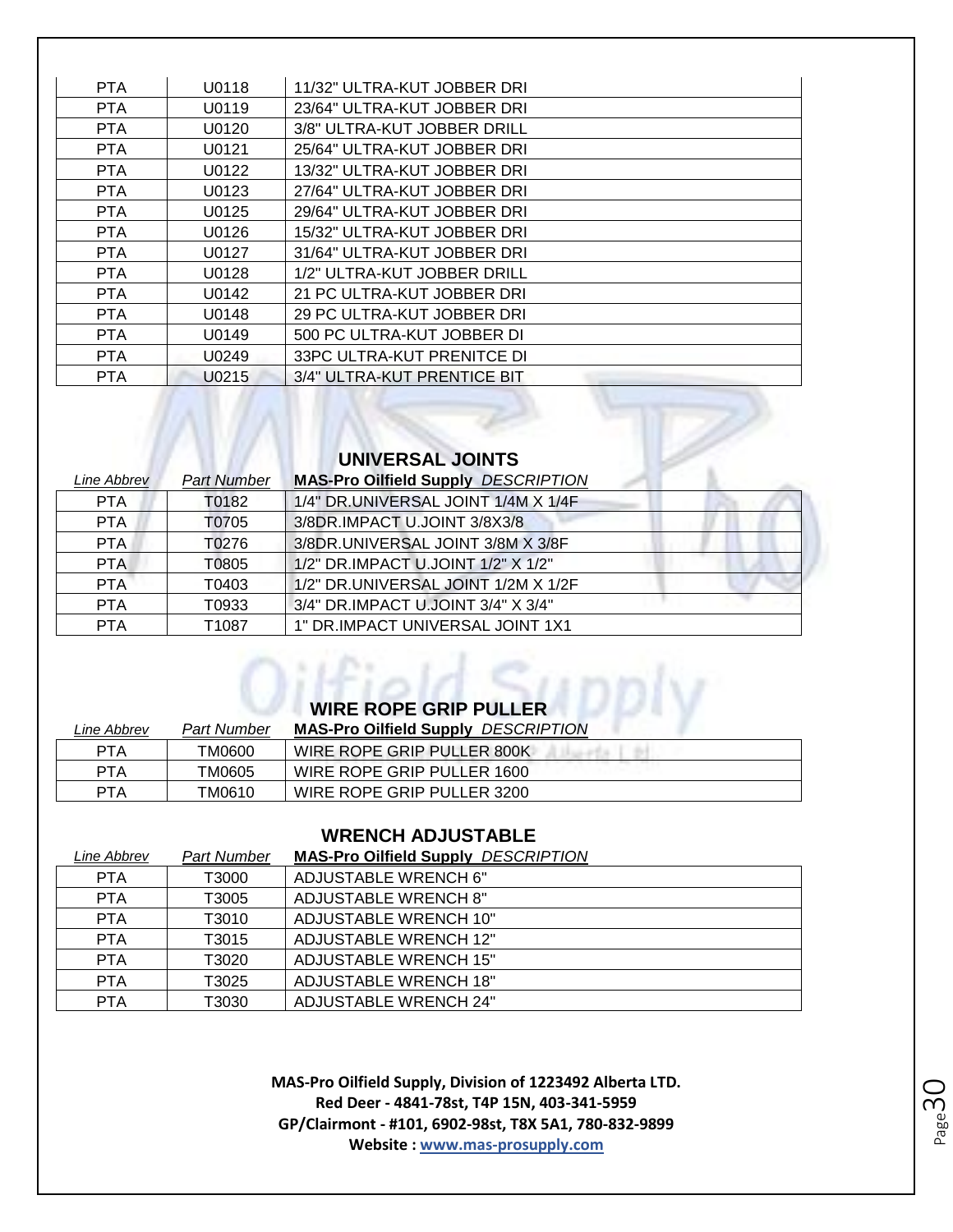| <b>PTA</b><br>U0118<br>11/32" ULTRA-KUT JOBBER DRI<br><b>PTA</b><br>23/64" ULTRA-KUT JOBBER DRI<br>U0119<br>U0120<br>3/8" ULTRA-KUT JOBBER DRILL<br><b>PTA</b><br><b>PTA</b><br>25/64" ULTRA-KUT JOBBER DRI<br>U0121<br>13/32" ULTRA-KUT JOBBER DRI<br>PTA.<br>U0122 |
|----------------------------------------------------------------------------------------------------------------------------------------------------------------------------------------------------------------------------------------------------------------------|
|                                                                                                                                                                                                                                                                      |
|                                                                                                                                                                                                                                                                      |
|                                                                                                                                                                                                                                                                      |
|                                                                                                                                                                                                                                                                      |
|                                                                                                                                                                                                                                                                      |
| <b>PTA</b><br>27/64" ULTRA-KUT JOBBER DRI<br>U0123                                                                                                                                                                                                                   |
| 29/64" ULTRA-KUT JOBBER DRI<br><b>PTA</b><br>U0125                                                                                                                                                                                                                   |
| <b>PTA</b><br>U0126<br>15/32" ULTRA-KUT JOBBER DRI                                                                                                                                                                                                                   |
| <b>PTA</b><br>31/64" ULTRA-KUT JOBBER DRI<br>U0127                                                                                                                                                                                                                   |
| 1/2" ULTRA-KUT JOBBER DRILL<br><b>PTA</b><br>U0128                                                                                                                                                                                                                   |
| <b>PTA</b><br>U0142<br>21 PC ULTRA-KUT JOBBER DRI                                                                                                                                                                                                                    |
| 29 PC ULTRA-KUT JOBBER DRI<br><b>PTA</b><br>U0148                                                                                                                                                                                                                    |
| <b>PTA</b><br>U0149<br>500 PC ULTRA-KUT JOBBER DI                                                                                                                                                                                                                    |
| <b>PTA</b><br>33PC ULTRA-KUT PRENITCE DI<br>U0249                                                                                                                                                                                                                    |
| 3/4" ULTRA-KUT PRENTICE BIT<br><b>PTA</b><br>U0215                                                                                                                                                                                                                   |

| UNIVERSAL JOINTS |                    |                                            |
|------------------|--------------------|--------------------------------------------|
| Line Abbrev      | <b>Part Number</b> | <b>MAS-Pro Oilfield Supply DESCRIPTION</b> |
| <b>PTA</b>       | T0182              | 1/4" DR.UNIVERSAL JOINT 1/4M X 1/4F        |
| <b>PTA</b>       | T0705              | 3/8DR.IMPACT U.JOINT 3/8X3/8               |
| PTA.             | T0276              | 3/8DR.UNIVERSAL JOINT 3/8M X 3/8F          |
| PTA.             | T0805              | 1/2" DR.IMPACT U.JOINT 1/2" X 1/2"         |
| <b>PTA</b>       | T0403              | 1/2" DR.UNIVERSAL JOINT 1/2M X 1/2F        |
| <b>PTA</b>       | T0933              | 3/4" DR.IMPACT U.JOINT 3/4" X 3/4"         |
| <b>PTA</b>       | T1087              | 1" DR.IMPACT UNIVERSAL JOINT 1X1           |

AMAINS

| <b>WIRE ROPE GRIP PULLER</b> |  |
|------------------------------|--|

| Line Abbrev | Part Number | <b>MAS-Pro Oilfield Supply DESCRIPTION</b> |
|-------------|-------------|--------------------------------------------|
| PTA         | TM0600      | WIRE ROPE GRIP PULLER 800K                 |
| PTA         | TM0605      | WIRE ROPE GRIP PULLER 1600                 |
| <b>PTA</b>  | TM0610      | WIRE ROPE GRIP PULLER 3200                 |

#### **WRENCH ADJUSTABLE**

| Line Abbrev | <b>Part Number</b> | <b>MAS-Pro Oilfield Supply DESCRIPTION</b> |
|-------------|--------------------|--------------------------------------------|
| <b>PTA</b>  | T3000              | ADJUSTABLE WRENCH 6"                       |
| <b>PTA</b>  | T3005              | ADJUSTABLE WRENCH 8"                       |
| <b>PTA</b>  | T3010              | ADJUSTABLE WRENCH 10"                      |
| <b>PTA</b>  | T3015              | <b>ADJUSTABLE WRENCH 12"</b>               |
| <b>PTA</b>  | T3020              | <b>ADJUSTABLE WRENCH 15"</b>               |
| <b>PTA</b>  | T3025              | ADJUSTABLE WRENCH 18"                      |
| <b>PTA</b>  | T3030              | <b>ADJUSTABLE WRENCH 24"</b>               |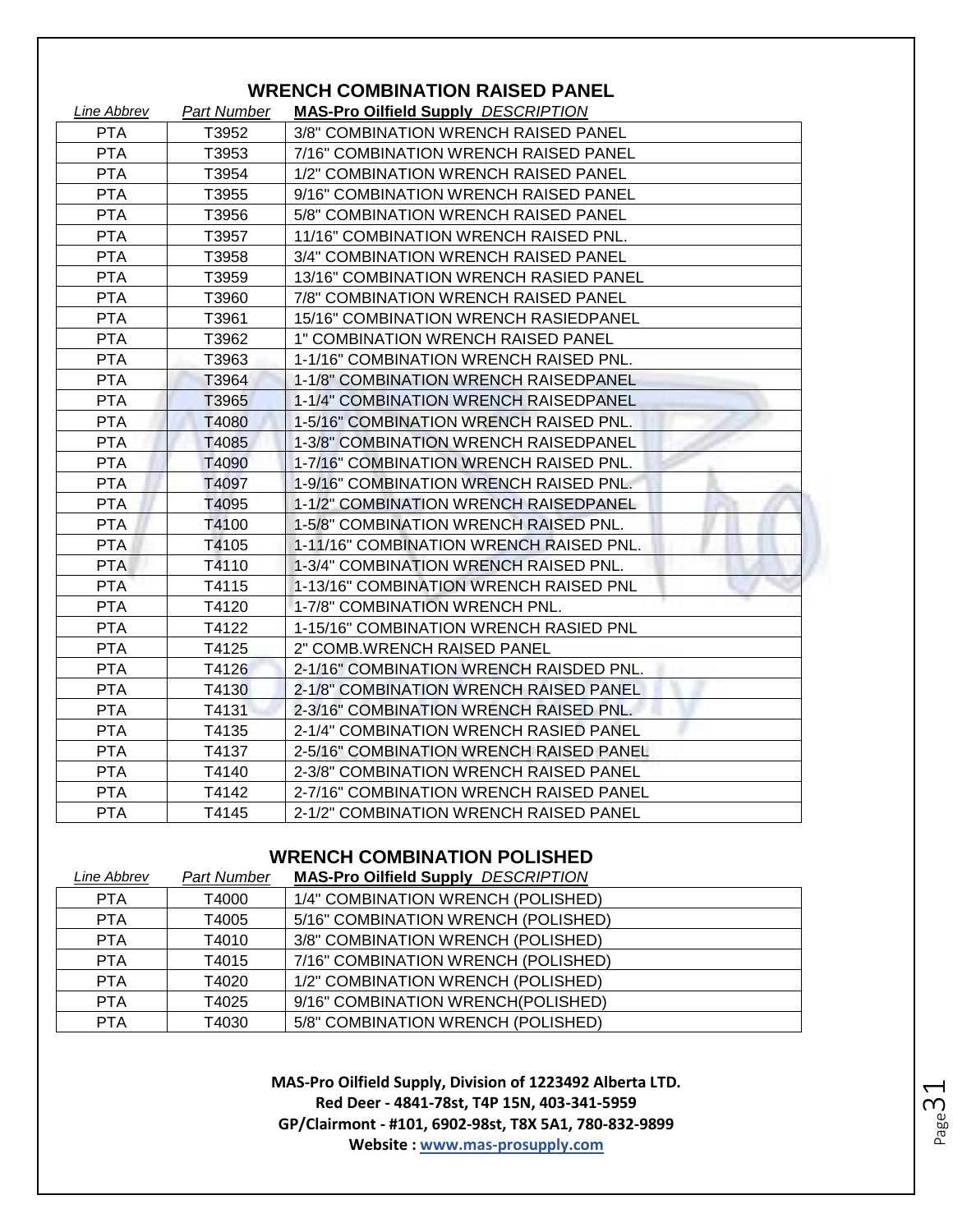|             |             | MILITU COMPINATION INJULP I ANLL           |
|-------------|-------------|--------------------------------------------|
| Line Abbrev | Part Number | <b>MAS-Pro Oilfield Supply DESCRIPTION</b> |
| <b>PTA</b>  | T3952       | 3/8" COMBINATION WRENCH RAISED PANEL       |
| <b>PTA</b>  | T3953       | 7/16" COMBINATION WRENCH RAISED PANEL      |
| <b>PTA</b>  | T3954       | 1/2" COMBINATION WRENCH RAISED PANEL       |
| <b>PTA</b>  | T3955       | 9/16" COMBINATION WRENCH RAISED PANEL      |
| <b>PTA</b>  | T3956       | 5/8" COMBINATION WRENCH RAISED PANEL       |
| <b>PTA</b>  | T3957       | 11/16" COMBINATION WRENCH RAISED PNL.      |
| <b>PTA</b>  | T3958       | 3/4" COMBINATION WRENCH RAISED PANEL       |
| <b>PTA</b>  | T3959       | 13/16" COMBINATION WRENCH RASIED PANEL     |
| <b>PTA</b>  | T3960       | 7/8" COMBINATION WRENCH RAISED PANEL       |
| <b>PTA</b>  | T3961       | 15/16" COMBINATION WRENCH RASIEDPANEL      |
| <b>PTA</b>  | T3962       | 1" COMBINATION WRENCH RAISED PANEL         |
| <b>PTA</b>  | T3963       | 1-1/16" COMBINATION WRENCH RAISED PNL.     |
| <b>PTA</b>  | T3964       | 1-1/8" COMBINATION WRENCH RAISEDPANEL      |
| <b>PTA</b>  | T3965       | 1-1/4" COMBINATION WRENCH RAISEDPANEL      |
| <b>PTA</b>  | T4080       | 1-5/16" COMBINATION WRENCH RAISED PNL.     |
| <b>PTA</b>  | T4085       | 1-3/8" COMBINATION WRENCH RAISEDPANEL      |
| <b>PTA</b>  | T4090       | 1-7/16" COMBINATION WRENCH RAISED PNL.     |
| <b>PTA</b>  | T4097       | 1-9/16" COMBINATION WRENCH RAISED PNL.     |
| <b>PTA</b>  | T4095       | 1-1/2" COMBINATION WRENCH RAISEDPANEL      |
| <b>PTA</b>  | T4100       | 1-5/8" COMBINATION WRENCH RAISED PNL.      |
| <b>PTA</b>  | T4105       | 1-11/16" COMBINATION WRENCH RAISED PNL.    |
| <b>PTA</b>  | T4110       | 1-3/4" COMBINATION WRENCH RAISED PNL.      |
| <b>PTA</b>  | T4115       | 1-13/16" COMBINATION WRENCH RAISED PNL     |
| <b>PTA</b>  | T4120       | 1-7/8" COMBINATION WRENCH PNL.             |
| <b>PTA</b>  | T4122       | 1-15/16" COMBINATION WRENCH RASIED PNL     |
| <b>PTA</b>  | T4125       | 2" COMB.WRENCH RAISED PANEL                |
| <b>PTA</b>  | T4126       | 2-1/16" COMBINATION WRENCH RAISDED PNL.    |
| <b>PTA</b>  | T4130       | 2-1/8" COMBINATION WRENCH RAISED PANEL     |
| <b>PTA</b>  | T4131       | 2-3/16" COMBINATION WRENCH RAISED PNL.     |
| <b>PTA</b>  | T4135       | 2-1/4" COMBINATION WRENCH RASIED PANEL     |
| <b>PTA</b>  | T4137       | 2-5/16" COMBINATION WRENCH RAISED PANEL    |
| <b>PTA</b>  | T4140       | 2-3/8" COMBINATION WRENCH RAISED PANEL     |
| <b>PTA</b>  | T4142       | 2-7/16" COMBINATION WRENCH RAISED PANEL    |
| <b>PTA</b>  | T4145       | 2-1/2" COMBINATION WRENCH RAISED PANEL     |

### **WRENCH COMBINATION RAISED PANEL**

#### **WRENCH COMBINATION POLISHED**

| Line Abbrev | <b>Part Number</b> | <b>MAS-Pro Oilfield Supply DESCRIPTION</b> |
|-------------|--------------------|--------------------------------------------|
| <b>PTA</b>  | T4000              | 1/4" COMBINATION WRENCH (POLISHED)         |
| <b>PTA</b>  | T4005              | 5/16" COMBINATION WRENCH (POLISHED)        |
| <b>PTA</b>  | T4010              | 3/8" COMBINATION WRENCH (POLISHED)         |
| <b>PTA</b>  | T4015              | 7/16" COMBINATION WRENCH (POLISHED)        |
| <b>PTA</b>  | T4020              | 1/2" COMBINATION WRENCH (POLISHED)         |
| <b>PTA</b>  | T4025              | 9/16" COMBINATION WRENCH(POLISHED)         |
| <b>PTA</b>  | T4030              | 5/8" COMBINATION WRENCH (POLISHED)         |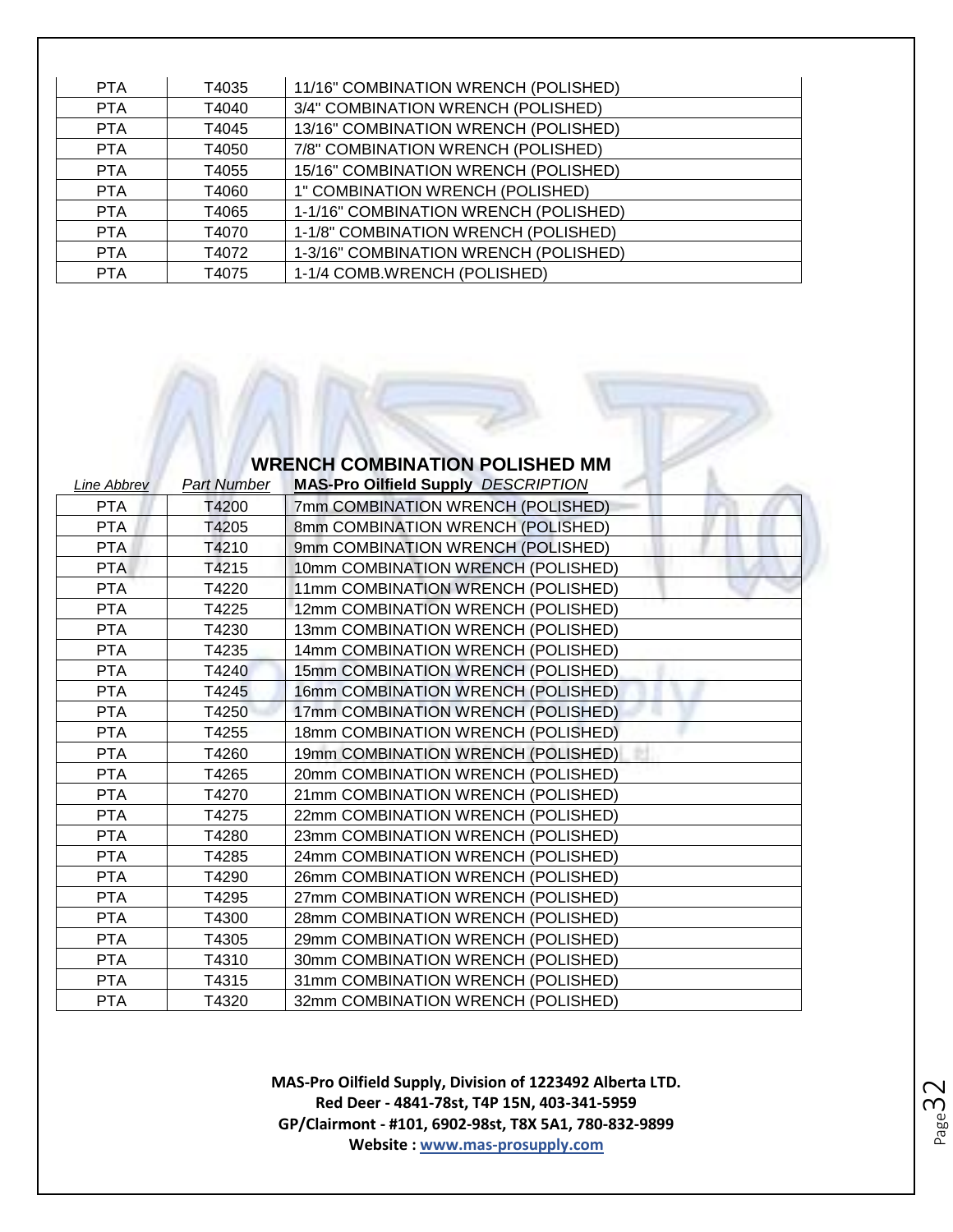| <b>PTA</b> | T4035 | 11/16" COMBINATION WRENCH (POLISHED)  |
|------------|-------|---------------------------------------|
| <b>PTA</b> | T4040 | 3/4" COMBINATION WRENCH (POLISHED)    |
| <b>PTA</b> | T4045 | 13/16" COMBINATION WRENCH (POLISHED)  |
| <b>PTA</b> | T4050 | 7/8" COMBINATION WRENCH (POLISHED)    |
| <b>PTA</b> | T4055 | 15/16" COMBINATION WRENCH (POLISHED)  |
| <b>PTA</b> | T4060 | 1" COMBINATION WRENCH (POLISHED)      |
| <b>PTA</b> | T4065 | 1-1/16" COMBINATION WRENCH (POLISHED) |
| <b>PTA</b> | T4070 | 1-1/8" COMBINATION WRENCH (POLISHED)  |
| <b>PTA</b> | T4072 | 1-3/16" COMBINATION WRENCH (POLISHED) |
| <b>PTA</b> | T4075 | 1-1/4 COMB.WRENCH (POLISHED)          |

#### **WRENCH COMBINATION POLISHED MM**

| <b>Line Abbrev</b> | <b>Part Number</b> | <b>MAS-Pro Oilfield Supply DESCRIPTION</b> |
|--------------------|--------------------|--------------------------------------------|
| <b>PTA</b>         | T4200              | 7mm COMBINATION WRENCH (POLISHED)          |
| <b>PTA</b>         | T4205              | 8mm COMBINATION WRENCH (POLISHED)          |
| PTA                | T4210              | 9mm COMBINATION WRENCH (POLISHED)          |
| <b>PTA</b>         | T4215              | 10mm COMBINATION WRENCH (POLISHED)         |
| <b>PTA</b>         | T4220              | 11mm COMBINATION WRENCH (POLISHED)         |
| <b>PTA</b>         | T4225              | 12mm COMBINATION WRENCH (POLISHED)         |
| <b>PTA</b>         | T4230              | 13mm COMBINATION WRENCH (POLISHED)         |
| <b>PTA</b>         | T4235              | 14mm COMBINATION WRENCH (POLISHED)         |
| <b>PTA</b>         | T4240              | 15mm COMBINATION WRENCH (POLISHED)         |
| <b>PTA</b>         | T4245              | 16mm COMBINATION WRENCH (POLISHED)         |
| <b>PTA</b>         | T4250              | 17mm COMBINATION WRENCH (POLISHED)         |
| <b>PTA</b>         | T4255              | 18mm COMBINATION WRENCH (POLISHED)         |
| <b>PTA</b>         | T4260              | 19mm COMBINATION WRENCH (POLISHED)         |
| <b>PTA</b>         | T4265              | 20mm COMBINATION WRENCH (POLISHED)         |
| <b>PTA</b>         | T4270              | 21mm COMBINATION WRENCH (POLISHED)         |
| <b>PTA</b>         | T4275              | 22mm COMBINATION WRENCH (POLISHED)         |
| <b>PTA</b>         | T4280              | 23mm COMBINATION WRENCH (POLISHED)         |
| <b>PTA</b>         | T4285              | 24mm COMBINATION WRENCH (POLISHED)         |
| <b>PTA</b>         | T4290              | 26mm COMBINATION WRENCH (POLISHED)         |
| <b>PTA</b>         | T4295              | 27mm COMBINATION WRENCH (POLISHED)         |
| <b>PTA</b>         | T4300              | 28mm COMBINATION WRENCH (POLISHED)         |
| <b>PTA</b>         | T4305              | 29mm COMBINATION WRENCH (POLISHED)         |
| <b>PTA</b>         | T4310              | 30mm COMBINATION WRENCH (POLISHED)         |
| <b>PTA</b>         | T4315              | 31mm COMBINATION WRENCH (POLISHED)         |
| <b>PTA</b>         | T4320              | 32mm COMBINATION WRENCH (POLISHED)         |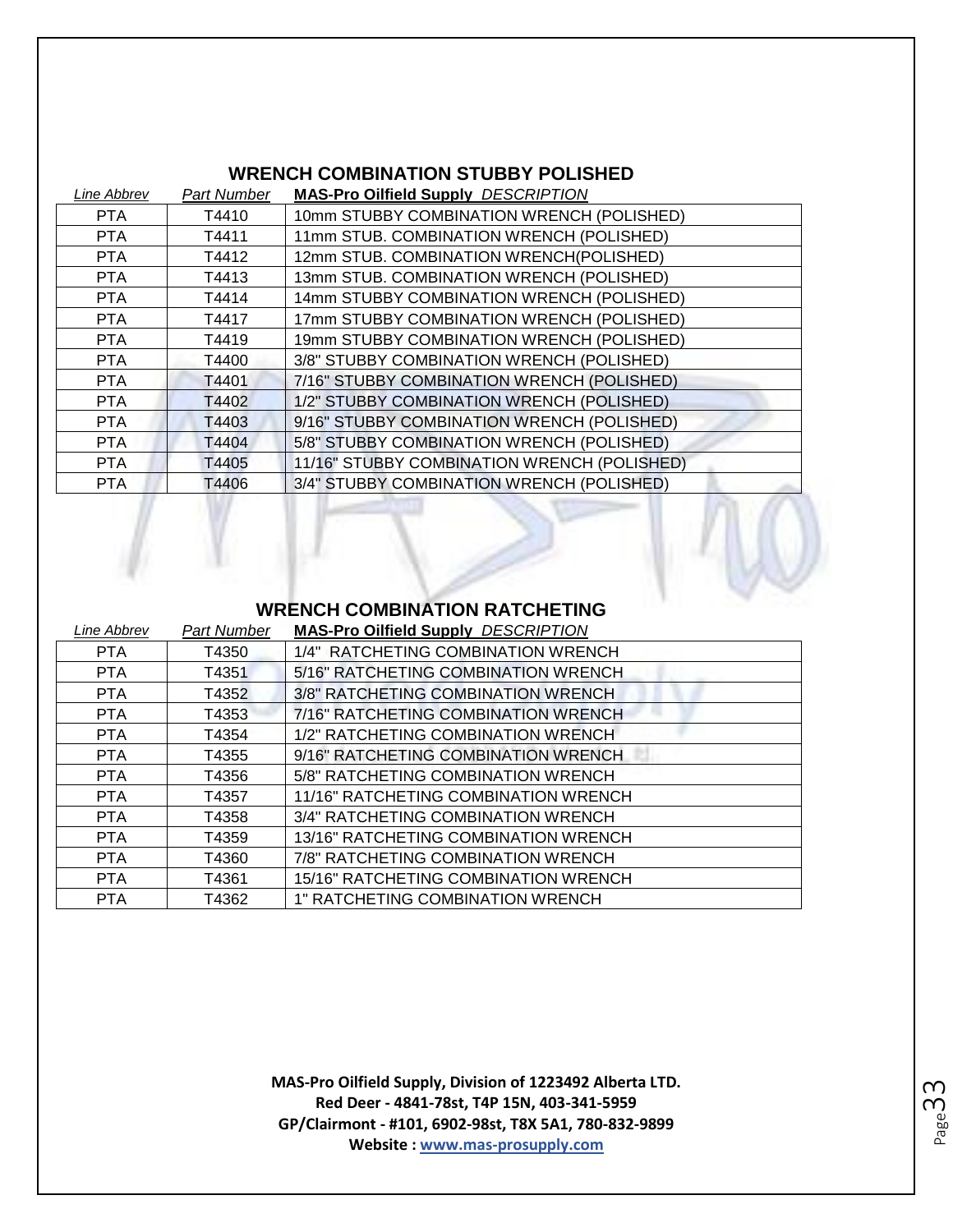# **WRENCH COMBINATION STUBBY POLISHED**

| <b>Part Number</b> | <b>MAS-Pro Oilfield Supply DESCRIPTION</b>  |
|--------------------|---------------------------------------------|
| T4410              | 10mm STUBBY COMBINATION WRENCH (POLISHED)   |
| T4411              | 11mm STUB. COMBINATION WRENCH (POLISHED)    |
| T4412              | 12mm STUB. COMBINATION WRENCH(POLISHED)     |
| T4413              | 13mm STUB. COMBINATION WRENCH (POLISHED)    |
| T4414              | 14mm STUBBY COMBINATION WRENCH (POLISHED)   |
| T4417              | 17mm STUBBY COMBINATION WRENCH (POLISHED)   |
| T4419              | 19mm STUBBY COMBINATION WRENCH (POLISHED)   |
| T4400              | 3/8" STUBBY COMBINATION WRENCH (POLISHED)   |
| T4401              | 7/16" STUBBY COMBINATION WRENCH (POLISHED)  |
| T4402              | 1/2" STUBBY COMBINATION WRENCH (POLISHED)   |
| T4403              | 9/16" STUBBY COMBINATION WRENCH (POLISHED)  |
| T4404              | 5/8" STUBBY COMBINATION WRENCH (POLISHED)   |
| T4405              | 11/16" STUBBY COMBINATION WRENCH (POLISHED) |
| T4406              | 3/4" STUBBY COMBINATION WRENCH (POLISHED)   |
|                    |                                             |



 $\sqrt{1 + \frac{1}{2}}$ 

| Line Abbrev | <b>Part Number</b> | <b>MAS-Pro Oilfield Supply DESCRIPTION</b> |
|-------------|--------------------|--------------------------------------------|
| <b>PTA</b>  | T4350              | 1/4" RATCHETING COMBINATION WRENCH         |
| <b>PTA</b>  | T4351              | 5/16" RATCHETING COMBINATION WRENCH        |
| <b>PTA</b>  | T4352              | 3/8" RATCHETING COMBINATION WRENCH         |
| <b>PTA</b>  | T4353              | 7/16" RATCHETING COMBINATION WRENCH        |
| <b>PTA</b>  | T4354              | 1/2" RATCHETING COMBINATION WRENCH         |
| <b>PTA</b>  | T4355              | 9/16" RATCHETING COMBINATION WRENCH        |
| <b>PTA</b>  | T4356              | 5/8" RATCHETING COMBINATION WRENCH         |
| <b>PTA</b>  | T4357              | 11/16" RATCHETING COMBINATION WRENCH       |
| <b>PTA</b>  | T4358              | 3/4" RATCHETING COMBINATION WRENCH         |
| <b>PTA</b>  | T4359              | 13/16" RATCHETING COMBINATION WRENCH       |
| <b>PTA</b>  | T4360              | 7/8" RATCHETING COMBINATION WRENCH         |
| <b>PTA</b>  | T4361              | 15/16" RATCHETING COMBINATION WRENCH       |
| <b>PTA</b>  | T4362              | 1" RATCHETING COMBINATION WRENCH           |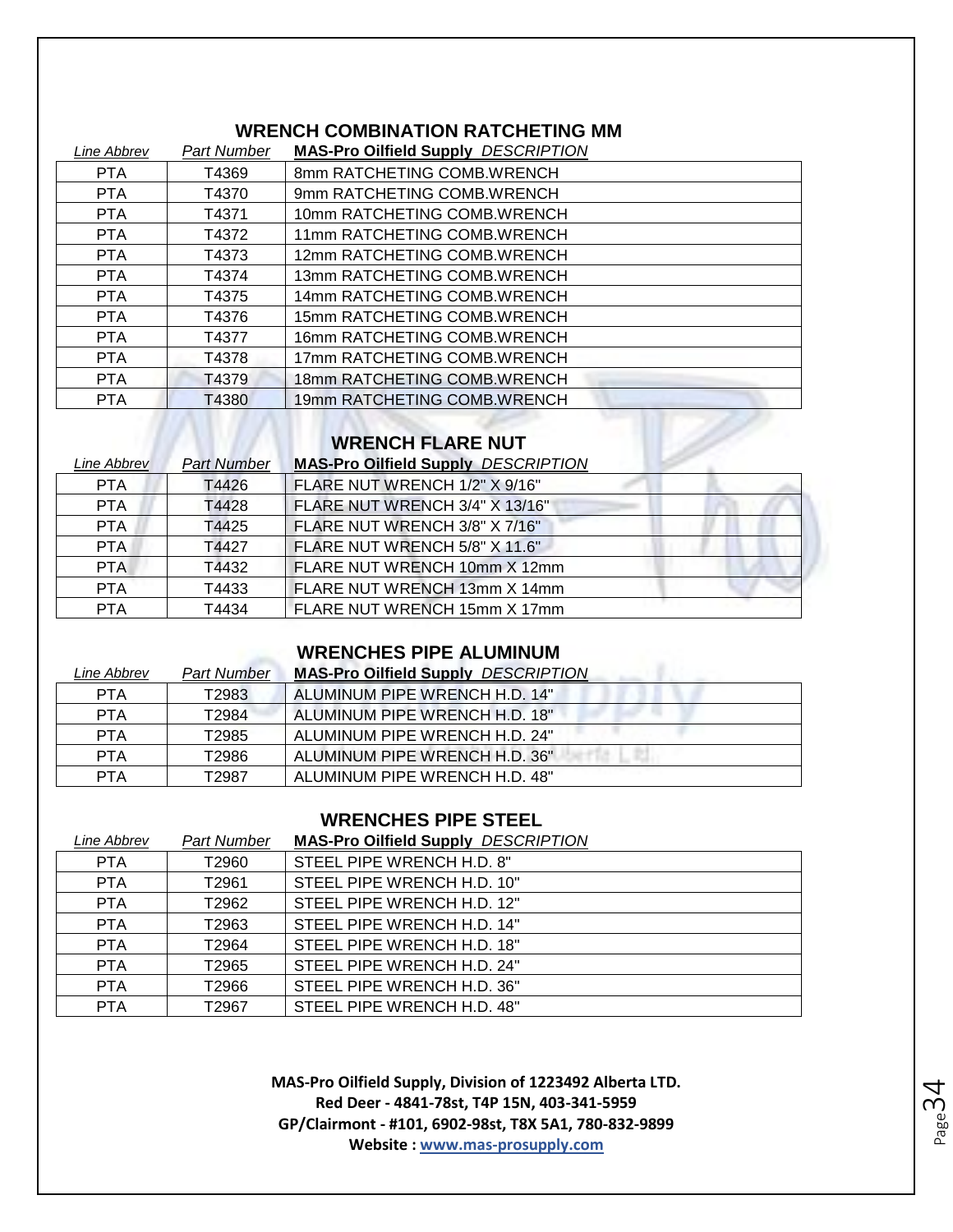#### **WRENCH COMBINATION RATCHETING MM**

| Line Abbrev | <b>Part Number</b> | <b>MAS-Pro Oilfield Supply DESCRIPTION</b> |
|-------------|--------------------|--------------------------------------------|
| <b>PTA</b>  | T4369              | 8mm RATCHETING COMB.WRENCH                 |
| <b>PTA</b>  | T4370              | 9mm RATCHETING COMB.WRENCH                 |
| <b>PTA</b>  | T4371              | 10mm RATCHETING COMB.WRENCH                |
| <b>PTA</b>  | T4372              | 11mm RATCHETING COMB.WRENCH                |
| <b>PTA</b>  | T4373              | 12mm RATCHETING COMB.WRENCH                |
| <b>PTA</b>  | T4374              | 13mm RATCHETING COMB.WRENCH                |
| <b>PTA</b>  | T4375              | 14mm RATCHETING COMB.WRENCH                |
| <b>PTA</b>  | T4376              | 15mm RATCHETING COMB.WRENCH                |
| <b>PTA</b>  | T4377              | 16mm RATCHETING COMB.WRENCH                |
| <b>PTA</b>  | T4378              | 17mm RATCHETING COMB.WRENCH                |
| <b>PTA</b>  | T4379              | 18mm RATCHETING COMB.WRENCH                |
| <b>PTA</b>  | T4380              | 19mm RATCHETING COMB.WRENCH                |

#### **WRENCH FLARE NUT**

| Line Abbrev | <b>Part Number</b> | <b>MAS-Pro Oilfield Supply DESCRIPTION</b> |  |
|-------------|--------------------|--------------------------------------------|--|
| <b>PTA</b>  | T4426              | FLARE NUT WRENCH 1/2" X 9/16"              |  |
| <b>PTA</b>  | T4428              | FLARE NUT WRENCH 3/4" X 13/16"             |  |
| <b>PTA</b>  | T4425              | FLARE NUT WRENCH 3/8" X 7/16"              |  |
| PTA.        | T4427              | FLARE NUT WRENCH 5/8" X 11.6"              |  |
| <b>PTA</b>  | T4432              | FLARE NUT WRENCH 10mm X 12mm               |  |
| <b>PTA</b>  | T4433              | FLARE NUT WRENCH 13mm X 14mm               |  |
| <b>PTA</b>  | T4434              | FLARE NUT WRENCH 15mm X 17mm               |  |

## **WRENCHES PIPE ALUMINUM**

| Line Abbrev | <b>Part Number</b> | <b>MAS-Pro Oilfield Supply DESCRIPTION</b> |
|-------------|--------------------|--------------------------------------------|
| <b>PTA</b>  | T2983              | ALUMINUM PIPE WRENCH H.D. 14"              |
| <b>PTA</b>  | T2984              | ALUMINUM PIPE WRENCH H.D. 18"              |
| <b>PTA</b>  | T2985              | ALUMINUM PIPE WRENCH H.D. 24"              |
| <b>PTA</b>  | T2986              | ALUMINUM PIPE WRENCH H.D. 36"              |
| <b>PTA</b>  | T2987              | ALUMINUM PIPE WRENCH H.D. 48"              |

#### **WRENCHES PIPE STEEL**

#### *Line Abbrev Part Number* **MAS-Pro Oilfield Supply** *DESCRIPTION*

| <b>PTA</b> | T2960 | STEEL PIPE WRENCH H.D. 8"  |
|------------|-------|----------------------------|
| <b>PTA</b> | T2961 | STEEL PIPE WRENCH H.D. 10" |
| <b>PTA</b> | T2962 | STEEL PIPE WRENCH H.D. 12" |
| <b>PTA</b> | T2963 | STEEL PIPE WRENCH H.D. 14" |
| <b>PTA</b> | T2964 | STEEL PIPE WRENCH H.D. 18" |
| <b>PTA</b> | T2965 | STEEL PIPE WRENCH H.D. 24" |
| <b>PTA</b> | T2966 | STEEL PIPE WRENCH H.D. 36" |
| <b>PTA</b> | T2967 | STEEL PIPE WRENCH H.D. 48" |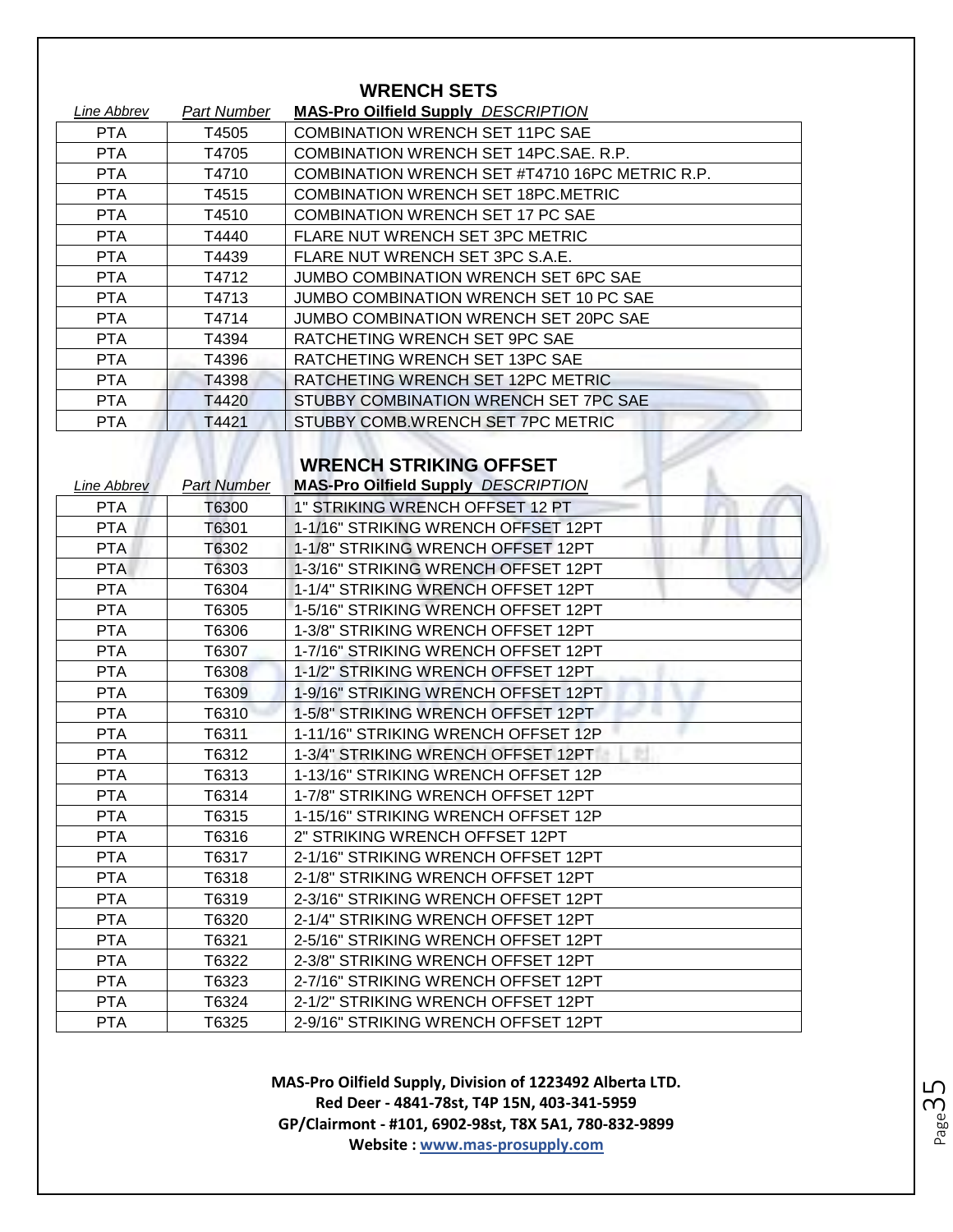| <b>WRENCH SETS</b> |             |                                                |  |
|--------------------|-------------|------------------------------------------------|--|
| Line Abbrev        | Part Number | <b>MAS-Pro Oilfield Supply DESCRIPTION</b>     |  |
| <b>PTA</b>         | T4505       | <b>COMBINATION WRENCH SET 11PC SAE</b>         |  |
| <b>PTA</b>         | T4705       | COMBINATION WRENCH SET 14PC.SAE. R.P.          |  |
| <b>PTA</b>         | T4710       | COMBINATION WRENCH SET #T4710 16PC METRIC R.P. |  |
| <b>PTA</b>         | T4515       | COMBINATION WRENCH SET 18PC.METRIC             |  |
| <b>PTA</b>         | T4510       | COMBINATION WRENCH SET 17 PC SAE               |  |
| <b>PTA</b>         | T4440       | FLARE NUT WRENCH SET 3PC METRIC                |  |
| PTA.               | T4439       | FLARE NUT WRENCH SET 3PC S.A.E.                |  |
| <b>PTA</b>         | T4712       | JUMBO COMBINATION WRENCH SET 6PC SAE           |  |
| <b>PTA</b>         | T4713       | JUMBO COMBINATION WRENCH SET 10 PC SAE         |  |
| <b>PTA</b>         | T4714       | JUMBO COMBINATION WRENCH SET 20PC SAE          |  |
| PTA.               | T4394       | RATCHETING WRENCH SET 9PC SAE                  |  |
| <b>PTA</b>         | T4396       | RATCHETING WRENCH SET 13PC SAE                 |  |
| <b>PTA</b>         | T4398       | RATCHETING WRENCH SET 12PC METRIC              |  |
| <b>PTA</b>         | T4420       | STUBBY COMBINATION WRENCH SET 7PC SAE          |  |
| <b>PTA</b>         | T4421       | STUBBY COMB.WRENCH SET 7PC METRIC              |  |

# **WRENCH STRIKING OFFSET**

| Line Abbrev | <b>Part Number</b> | <b>MAS-Pro Oilfield Supply DESCRIPTION</b> |
|-------------|--------------------|--------------------------------------------|
| <b>PTA</b>  | T6300              | 1" STRIKING WRENCH OFFSET 12 PT            |
| <b>PTA</b>  | T6301              | 1-1/16" STRIKING WRENCH OFFSET 12PT        |
| PTA         | T6302              | 1-1/8" STRIKING WRENCH OFFSET 12PT         |
| <b>PTA</b>  | T6303              | 1-3/16" STRIKING WRENCH OFFSET 12PT        |
| <b>PTA</b>  | T6304              | 1-1/4" STRIKING WRENCH OFFSET 12PT         |
| <b>PTA</b>  | T6305              | 1-5/16" STRIKING WRENCH OFFSET 12PT        |
| <b>PTA</b>  | T6306              | 1-3/8" STRIKING WRENCH OFFSET 12PT         |
| <b>PTA</b>  | T6307              | 1-7/16" STRIKING WRENCH OFFSET 12PT        |
| <b>PTA</b>  | T6308              | 1-1/2" STRIKING WRENCH OFFSET 12PT         |
| <b>PTA</b>  | T6309              | 1-9/16" STRIKING WRENCH OFFSET 12PT        |
| <b>PTA</b>  | T6310              | 1-5/8" STRIKING WRENCH OFFSET 12PT         |
| <b>PTA</b>  | T6311              | 1-11/16" STRIKING WRENCH OFFSET 12P        |
| <b>PTA</b>  | T6312              | 1-3/4" STRIKING WRENCH OFFSET 12PT         |
| <b>PTA</b>  | T6313              | 1-13/16" STRIKING WRENCH OFFSET 12P        |
| <b>PTA</b>  | T6314              | 1-7/8" STRIKING WRENCH OFFSET 12PT         |
| <b>PTA</b>  | T6315              | 1-15/16" STRIKING WRENCH OFFSET 12P        |
| <b>PTA</b>  | T6316              | 2" STRIKING WRENCH OFFSET 12PT             |
| <b>PTA</b>  | T6317              | 2-1/16" STRIKING WRENCH OFFSET 12PT        |
| <b>PTA</b>  | T6318              | 2-1/8" STRIKING WRENCH OFFSET 12PT         |
| <b>PTA</b>  | T6319              | 2-3/16" STRIKING WRENCH OFFSET 12PT        |
| <b>PTA</b>  | T6320              | 2-1/4" STRIKING WRENCH OFFSET 12PT         |
| <b>PTA</b>  | T6321              | 2-5/16" STRIKING WRENCH OFFSET 12PT        |
| <b>PTA</b>  | T6322              | 2-3/8" STRIKING WRENCH OFFSET 12PT         |
| <b>PTA</b>  | T6323              | 2-7/16" STRIKING WRENCH OFFSET 12PT        |
| <b>PTA</b>  | T6324              | 2-1/2" STRIKING WRENCH OFFSET 12PT         |
| <b>PTA</b>  | T6325              | 2-9/16" STRIKING WRENCH OFFSET 12PT        |
|             |                    |                                            |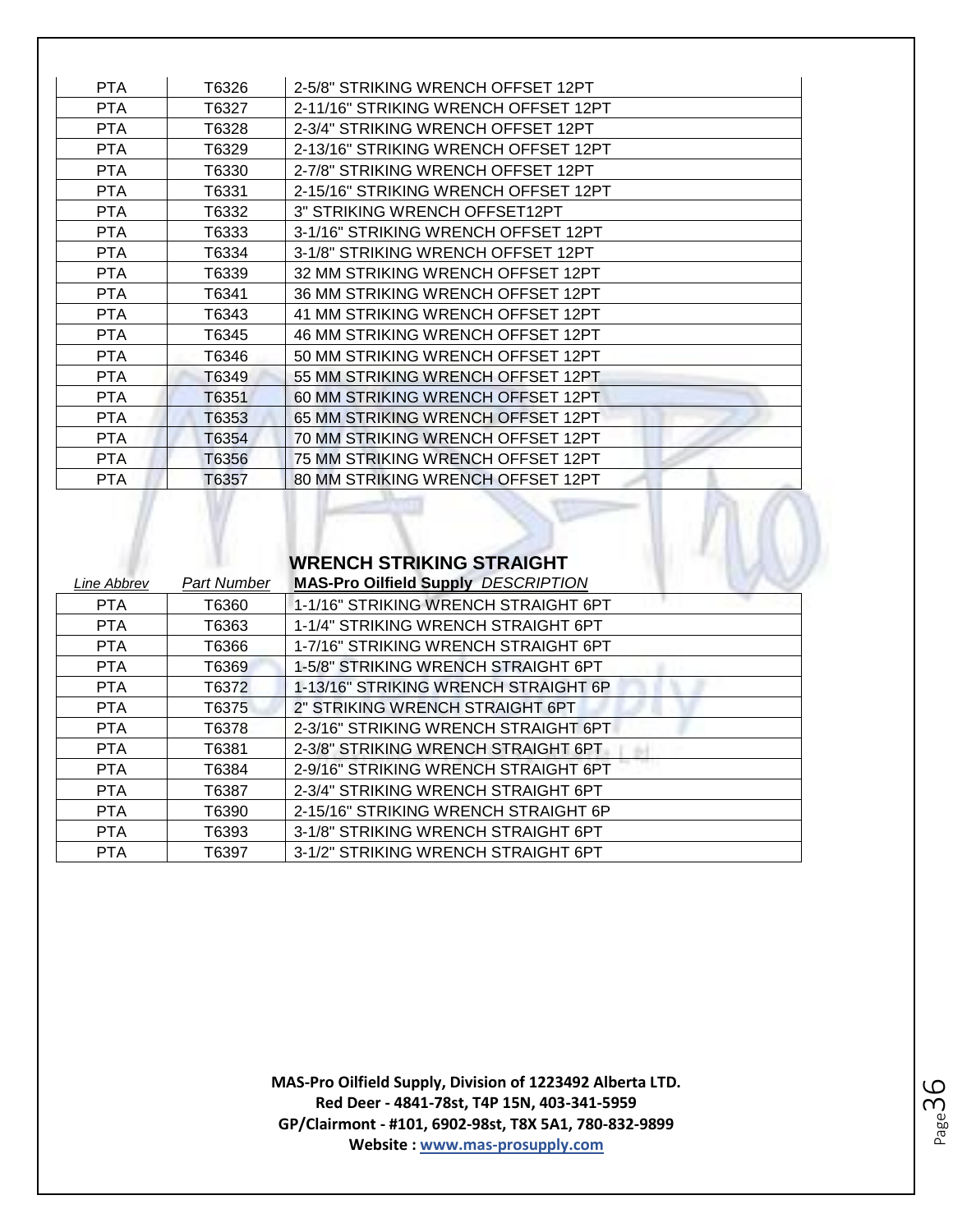| <b>PTA</b> | T6326 | 2-5/8" STRIKING WRENCH OFFSET 12PT   |
|------------|-------|--------------------------------------|
| <b>PTA</b> | T6327 | 2-11/16" STRIKING WRENCH OFFSET 12PT |
| <b>PTA</b> | T6328 | 2-3/4" STRIKING WRENCH OFFSET 12PT   |
| <b>PTA</b> | T6329 | 2-13/16" STRIKING WRENCH OFFSET 12PT |
| <b>PTA</b> | T6330 | 2-7/8" STRIKING WRENCH OFFSET 12PT   |
| <b>PTA</b> | T6331 | 2-15/16" STRIKING WRENCH OFFSET 12PT |
| <b>PTA</b> | T6332 | 3" STRIKING WRENCH OFFSET12PT        |
| <b>PTA</b> | T6333 | 3-1/16" STRIKING WRENCH OFFSET 12PT  |
| <b>PTA</b> | T6334 | 3-1/8" STRIKING WRENCH OFFSET 12PT   |
| <b>PTA</b> | T6339 | 32 MM STRIKING WRENCH OFFSET 12PT    |
| <b>PTA</b> | T6341 | 36 MM STRIKING WRENCH OFFSET 12PT    |
| <b>PTA</b> | T6343 | 41 MM STRIKING WRENCH OFFSET 12PT    |
| <b>PTA</b> | T6345 | 46 MM STRIKING WRENCH OFFSET 12PT    |
| <b>PTA</b> | T6346 | 50 MM STRIKING WRENCH OFFSET 12PT    |
| <b>PTA</b> | T6349 | 55 MM STRIKING WRENCH OFFSET 12PT    |
| <b>PTA</b> | T6351 | 60 MM STRIKING WRENCH OFFSET 12PT    |
| <b>PTA</b> | T6353 | 65 MM STRIKING WRENCH OFFSET 12PT    |
| <b>PTA</b> | T6354 | 70 MM STRIKING WRENCH OFFSET 12PT    |
| <b>PTA</b> | T6356 | 75 MM STRIKING WRENCH OFFSET 12PT    |
| <b>PTA</b> | T6357 | 80 MM STRIKING WRENCH OFFSET 12PT    |
|            |       |                                      |

# **WRENCH STRIKING STRAIGHT**

 $\perp$ 

| Line Abbrev | Part Number | <b>MAS-Pro Oilfield Supply DESCRIPTION</b> |
|-------------|-------------|--------------------------------------------|
| PTA         | T6360       | 1-1/16" STRIKING WRENCH STRAIGHT 6PT       |
| <b>PTA</b>  | T6363       | 1-1/4" STRIKING WRENCH STRAIGHT 6PT        |
| <b>PTA</b>  | T6366       | 1-7/16" STRIKING WRENCH STRAIGHT 6PT       |
| <b>PTA</b>  | T6369       | 1-5/8" STRIKING WRENCH STRAIGHT 6PT        |
| <b>PTA</b>  | T6372       | 1-13/16" STRIKING WRENCH STRAIGHT 6P       |
| <b>PTA</b>  | T6375       | 2" STRIKING WRENCH STRAIGHT 6PT            |
| <b>PTA</b>  | T6378       | 2-3/16" STRIKING WRENCH STRAIGHT 6PT       |
| <b>PTA</b>  | T6381       | 2-3/8" STRIKING WRENCH STRAIGHT 6PT        |
| <b>PTA</b>  | T6384       | 2-9/16" STRIKING WRENCH STRAIGHT 6PT       |
| <b>PTA</b>  | T6387       | 2-3/4" STRIKING WRENCH STRAIGHT 6PT        |
| <b>PTA</b>  | T6390       | 2-15/16" STRIKING WRENCH STRAIGHT 6P       |
| <b>PTA</b>  | T6393       | 3-1/8" STRIKING WRENCH STRAIGHT 6PT        |
| <b>PTA</b>  | T6397       | 3-1/2" STRIKING WRENCH STRAIGHT 6PT        |